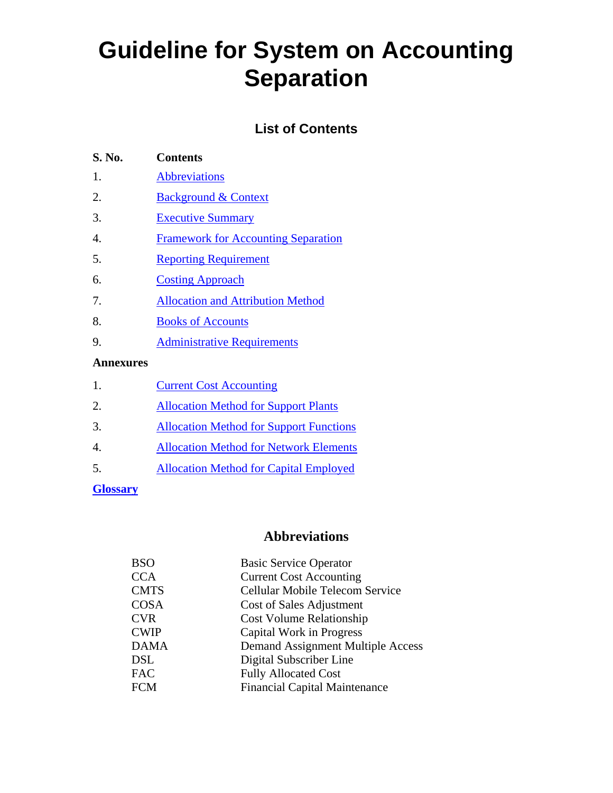# **Guideline for System on Accounting Separation**

# **List of Contents**

| S. No.           | Contents                                   |
|------------------|--------------------------------------------|
| 1.               | <b>Abbreviations</b>                       |
| 2.               | <b>Background &amp; Context</b>            |
| 3.               | <b>Executive Summary</b>                   |
| $\overline{4}$ . | <b>Framework for Accounting Separation</b> |
| 5.               | <b>Reporting Requirement</b>               |
| 6.               | <b>Costing Approach</b>                    |
| 7.               | <b>Allocation and Attribution Method</b>   |
| 8.               | <b>Books of Accounts</b>                   |
| 9.               | <b>Administrative Requirements</b>         |
| <b>Annexures</b> |                                            |
| 1.               | <b>Current Cost Accounting</b>             |

| . . | Carlone Cost Accounting                        |
|-----|------------------------------------------------|
| 2.  | <b>Allocation Method for Support Plants</b>    |
| 3.  | <b>Allocation Method for Support Functions</b> |
| 4.  | <b>Allocation Method for Network Elements</b>  |
| 5.  | <b>Allocation Method for Capital Employed</b>  |
|     |                                                |

## **Glossary**

# **Abbreviations**

| <b>BSO</b>  | <b>Basic Service Operator</b>        |
|-------------|--------------------------------------|
| <b>CCA</b>  | <b>Current Cost Accounting</b>       |
| <b>CMTS</b> | Cellular Mobile Telecom Service      |
| <b>COSA</b> | Cost of Sales Adjustment             |
| <b>CVR</b>  | <b>Cost Volume Relationship</b>      |
| <b>CWIP</b> | Capital Work in Progress             |
| <b>DAMA</b> | Demand Assignment Multiple Access    |
| <b>DSL</b>  | Digital Subscriber Line              |
| <b>FAC</b>  | <b>Fully Allocated Cost</b>          |
| <b>FCM</b>  | <b>Financial Capital Maintenance</b> |
|             |                                      |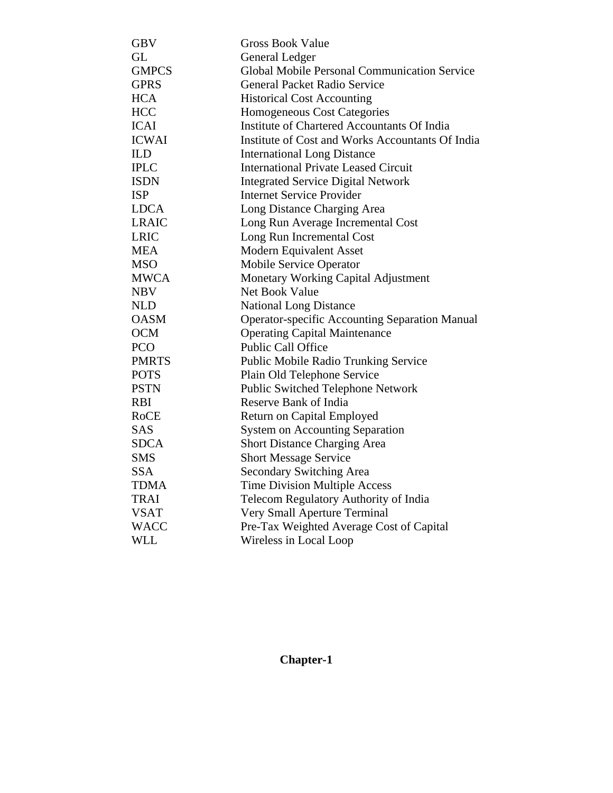| <b>GBV</b>   | <b>Gross Book Value</b>                               |
|--------------|-------------------------------------------------------|
| <b>GL</b>    | General Ledger                                        |
| <b>GMPCS</b> | <b>Global Mobile Personal Communication Service</b>   |
| <b>GPRS</b>  | <b>General Packet Radio Service</b>                   |
| <b>HCA</b>   | <b>Historical Cost Accounting</b>                     |
| <b>HCC</b>   | Homogeneous Cost Categories                           |
| <b>ICAI</b>  | Institute of Chartered Accountants Of India           |
| <b>ICWAI</b> | Institute of Cost and Works Accountants Of India      |
| <b>ILD</b>   | <b>International Long Distance</b>                    |
| <b>IPLC</b>  | <b>International Private Leased Circuit</b>           |
| <b>ISDN</b>  | <b>Integrated Service Digital Network</b>             |
| <b>ISP</b>   | <b>Internet Service Provider</b>                      |
| <b>LDCA</b>  | Long Distance Charging Area                           |
| <b>LRAIC</b> | Long Run Average Incremental Cost                     |
| <b>LRIC</b>  | Long Run Incremental Cost                             |
| <b>MEA</b>   | <b>Modern Equivalent Asset</b>                        |
| <b>MSO</b>   | Mobile Service Operator                               |
| <b>MWCA</b>  | Monetary Working Capital Adjustment                   |
| <b>NBV</b>   | <b>Net Book Value</b>                                 |
| <b>NLD</b>   | <b>National Long Distance</b>                         |
| <b>OASM</b>  | <b>Operator-specific Accounting Separation Manual</b> |
| <b>OCM</b>   | <b>Operating Capital Maintenance</b>                  |
| <b>PCO</b>   | <b>Public Call Office</b>                             |
| <b>PMRTS</b> | <b>Public Mobile Radio Trunking Service</b>           |
| <b>POTS</b>  | Plain Old Telephone Service                           |
| <b>PSTN</b>  | Public Switched Telephone Network                     |
| <b>RBI</b>   | Reserve Bank of India                                 |
| <b>RoCE</b>  | Return on Capital Employed                            |
| <b>SAS</b>   | <b>System on Accounting Separation</b>                |
| <b>SDCA</b>  | Short Distance Charging Area                          |
| <b>SMS</b>   | <b>Short Message Service</b>                          |
| <b>SSA</b>   | <b>Secondary Switching Area</b>                       |
| <b>TDMA</b>  | <b>Time Division Multiple Access</b>                  |
| <b>TRAI</b>  | Telecom Regulatory Authority of India                 |
| <b>VSAT</b>  | Very Small Aperture Terminal                          |
| <b>WACC</b>  | Pre-Tax Weighted Average Cost of Capital              |
| <b>WLL</b>   | Wireless in Local Loop                                |

# **Chapter-1**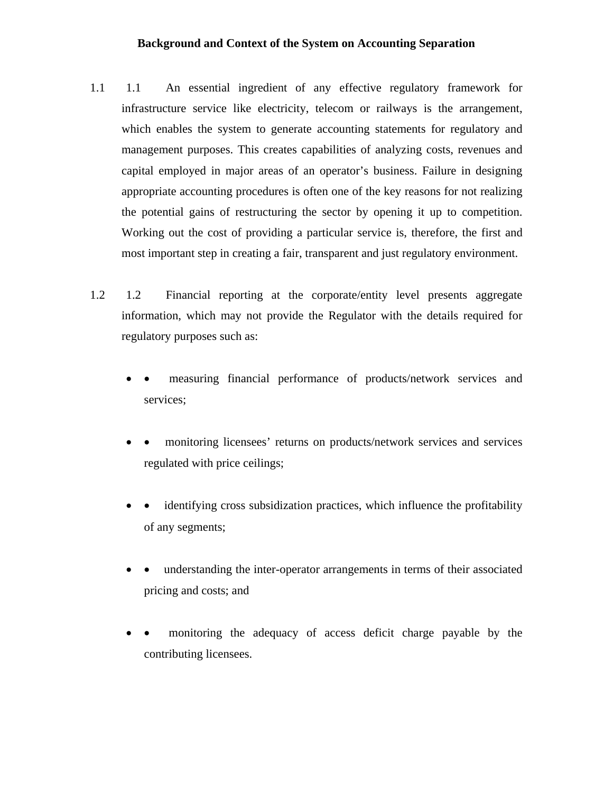#### **Background and Context of the System on Accounting Separation**

- 1.1 1.1 An essential ingredient of any effective regulatory framework for infrastructure service like electricity, telecom or railways is the arrangement, which enables the system to generate accounting statements for regulatory and management purposes. This creates capabilities of analyzing costs, revenues and capital employed in major areas of an operator's business. Failure in designing appropriate accounting procedures is often one of the key reasons for not realizing the potential gains of restructuring the sector by opening it up to competition. Working out the cost of providing a particular service is, therefore, the first and most important step in creating a fair, transparent and just regulatory environment.
- 1.2 1.2 Financial reporting at the corporate/entity level presents aggregate information, which may not provide the Regulator with the details required for regulatory purposes such as:
	- measuring financial performance of products/network services and services;
	- monitoring licensees' returns on products/network services and services regulated with price ceilings;
	- identifying cross subsidization practices, which influence the profitability of any segments;
	- understanding the inter-operator arrangements in terms of their associated pricing and costs; and
	- monitoring the adequacy of access deficit charge payable by the contributing licensees.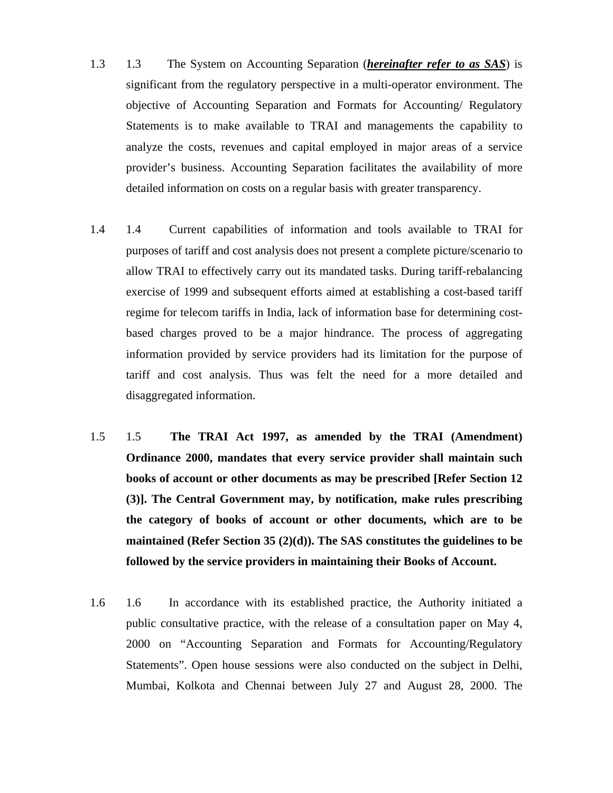- 1.3 1.3 The System on Accounting Separation (*hereinafter refer to as SAS*) is significant from the regulatory perspective in a multi-operator environment. The objective of Accounting Separation and Formats for Accounting/ Regulatory Statements is to make available to TRAI and managements the capability to analyze the costs, revenues and capital employed in major areas of a service provider's business. Accounting Separation facilitates the availability of more detailed information on costs on a regular basis with greater transparency.
- 1.4 1.4 Current capabilities of information and tools available to TRAI for purposes of tariff and cost analysis does not present a complete picture/scenario to allow TRAI to effectively carry out its mandated tasks. During tariff-rebalancing exercise of 1999 and subsequent efforts aimed at establishing a cost-based tariff regime for telecom tariffs in India, lack of information base for determining costbased charges proved to be a major hindrance. The process of aggregating information provided by service providers had its limitation for the purpose of tariff and cost analysis. Thus was felt the need for a more detailed and disaggregated information.
- 1.5 1.5 **The TRAI Act 1997, as amended by the TRAI (Amendment) Ordinance 2000, mandates that every service provider shall maintain such books of account or other documents as may be prescribed [Refer Section 12 (3)]. The Central Government may, by notification, make rules prescribing the category of books of account or other documents, which are to be maintained (Refer Section 35 (2)(d)). The SAS constitutes the guidelines to be followed by the service providers in maintaining their Books of Account.**
- 1.6 1.6 In accordance with its established practice, the Authority initiated a public consultative practice, with the release of a consultation paper on May 4, 2000 on "Accounting Separation and Formats for Accounting/Regulatory Statements". Open house sessions were also conducted on the subject in Delhi, Mumbai, Kolkota and Chennai between July 27 and August 28, 2000. The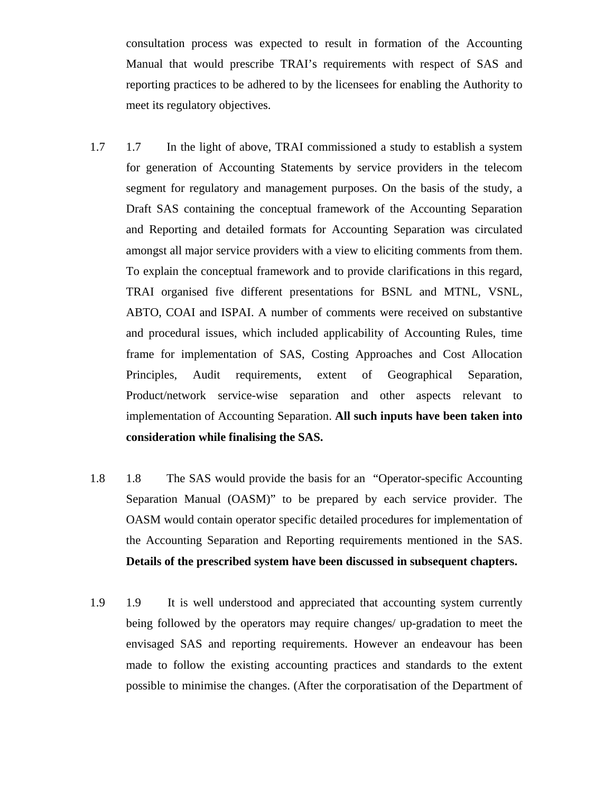consultation process was expected to result in formation of the Accounting Manual that would prescribe TRAI's requirements with respect of SAS and reporting practices to be adhered to by the licensees for enabling the Authority to meet its regulatory objectives.

- 1.7 1.7 In the light of above, TRAI commissioned a study to establish a system for generation of Accounting Statements by service providers in the telecom segment for regulatory and management purposes. On the basis of the study, a Draft SAS containing the conceptual framework of the Accounting Separation and Reporting and detailed formats for Accounting Separation was circulated amongst all major service providers with a view to eliciting comments from them. To explain the conceptual framework and to provide clarifications in this regard, TRAI organised five different presentations for BSNL and MTNL, VSNL, ABTO, COAI and ISPAI. A number of comments were received on substantive and procedural issues, which included applicability of Accounting Rules, time frame for implementation of SAS, Costing Approaches and Cost Allocation Principles, Audit requirements, extent of Geographical Separation, Product/network service-wise separation and other aspects relevant to implementation of Accounting Separation. **All such inputs have been taken into consideration while finalising the SAS.**
- 1.8 1.8 The SAS would provide the basis for an "Operator-specific Accounting Separation Manual (OASM)" to be prepared by each service provider. The OASM would contain operator specific detailed procedures for implementation of the Accounting Separation and Reporting requirements mentioned in the SAS. **Details of the prescribed system have been discussed in subsequent chapters.**
- 1.9 1.9 It is well understood and appreciated that accounting system currently being followed by the operators may require changes/ up-gradation to meet the envisaged SAS and reporting requirements. However an endeavour has been made to follow the existing accounting practices and standards to the extent possible to minimise the changes. (After the corporatisation of the Department of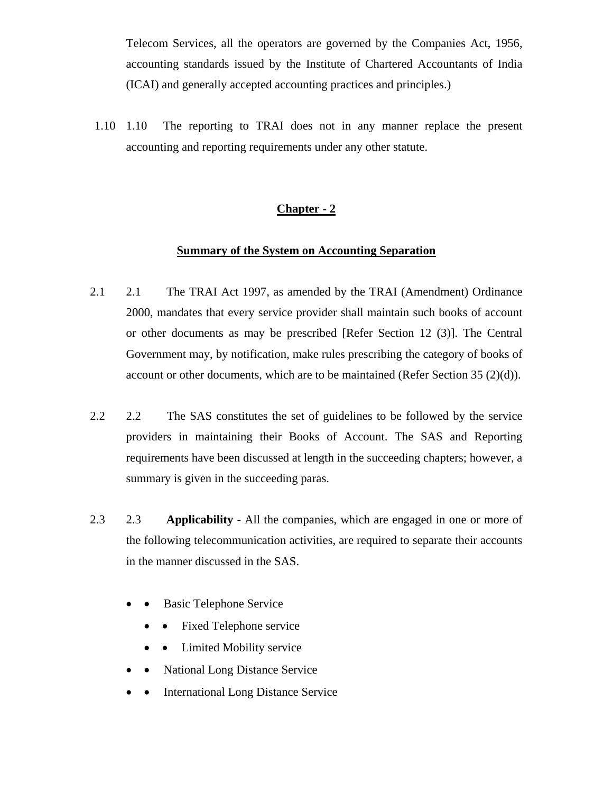Telecom Services, all the operators are governed by the Companies Act, 1956, accounting standards issued by the Institute of Chartered Accountants of India (ICAI) and generally accepted accounting practices and principles.)

1.10 1.10 The reporting to TRAI does not in any manner replace the present accounting and reporting requirements under any other statute.

# **Chapter - 2**

#### **Summary of the System on Accounting Separation**

- 2.1 2.1 The TRAI Act 1997, as amended by the TRAI (Amendment) Ordinance 2000, mandates that every service provider shall maintain such books of account or other documents as may be prescribed [Refer Section 12 (3)]. The Central Government may, by notification, make rules prescribing the category of books of account or other documents, which are to be maintained (Refer Section 35  $(2)(d)$ ).
- 2.2 2.2 The SAS constitutes the set of guidelines to be followed by the service providers in maintaining their Books of Account. The SAS and Reporting requirements have been discussed at length in the succeeding chapters; however, a summary is given in the succeeding paras.
- 2.3 2.3 **Applicability** All the companies, which are engaged in one or more of the following telecommunication activities, are required to separate their accounts in the manner discussed in the SAS.
	- Basic Telephone Service
		- Fixed Telephone service
		- Limited Mobility service
	- National Long Distance Service
	- **International Long Distance Service**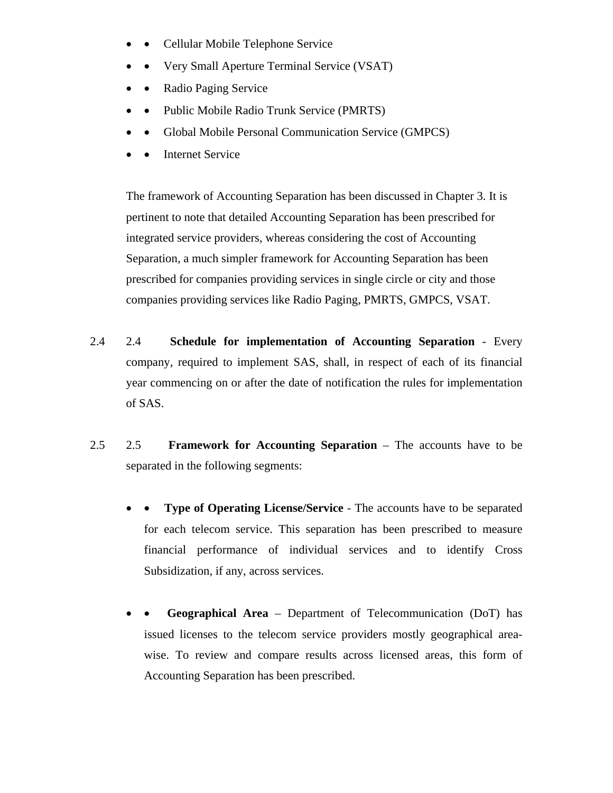- • Cellular Mobile Telephone Service
- • Very Small Aperture Terminal Service (VSAT)
- Radio Paging Service
- • Public Mobile Radio Trunk Service (PMRTS)
- • Global Mobile Personal Communication Service (GMPCS)
- **Internet Service**

The framework of Accounting Separation has been discussed in Chapter 3. It is pertinent to note that detailed Accounting Separation has been prescribed for integrated service providers, whereas considering the cost of Accounting Separation, a much simpler framework for Accounting Separation has been prescribed for companies providing services in single circle or city and those companies providing services like Radio Paging, PMRTS, GMPCS, VSAT.

- 2.4 2.4 **Schedule for implementation of Accounting Separation** Every company, required to implement SAS, shall, in respect of each of its financial year commencing on or after the date of notification the rules for implementation of SAS.
- 2.5 2.5 **Framework for Accounting Separation** The accounts have to be separated in the following segments:
	- **Type of Operating License/Service The accounts have to be separated** for each telecom service. This separation has been prescribed to measure financial performance of individual services and to identify Cross Subsidization, if any, across services.
	- • **Geographical Area** Department of Telecommunication (DoT) has issued licenses to the telecom service providers mostly geographical areawise. To review and compare results across licensed areas, this form of Accounting Separation has been prescribed.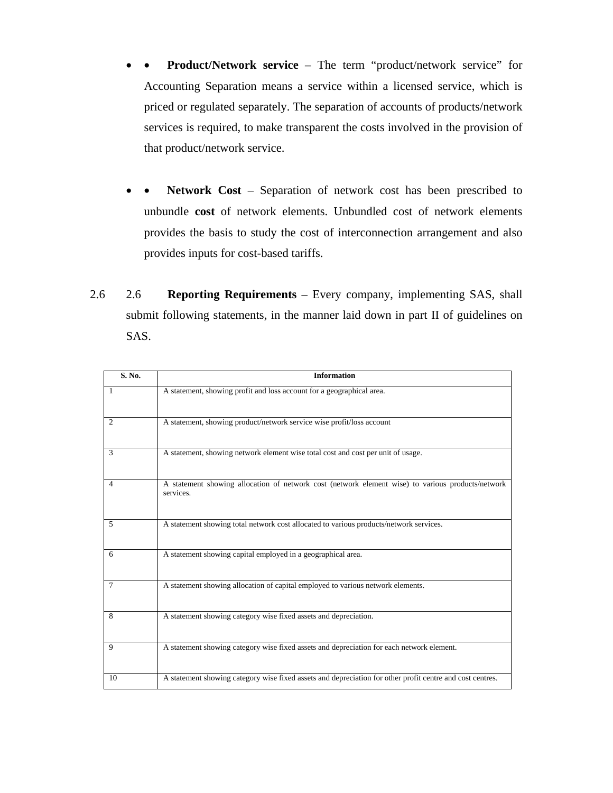- • **Product/Network service**  The term "product/network service" for Accounting Separation means a service within a licensed service, which is priced or regulated separately. The separation of accounts of products/network services is required, to make transparent the costs involved in the provision of that product/network service.
- • **Network Cost** Separation of network cost has been prescribed to unbundle **cost** of network elements. Unbundled cost of network elements provides the basis to study the cost of interconnection arrangement and also provides inputs for cost-based tariffs.
- 2.6 2.6 **Reporting Requirements**  Every company, implementing SAS, shall submit following statements, in the manner laid down in part II of guidelines on SAS.

| S. No.         | <b>Information</b>                                                                                             |
|----------------|----------------------------------------------------------------------------------------------------------------|
| -1             | A statement, showing profit and loss account for a geographical area.                                          |
| 2              | A statement, showing product/network service wise profit/loss account                                          |
| 3              | A statement, showing network element wise total cost and cost per unit of usage.                               |
| $\overline{4}$ | A statement showing allocation of network cost (network element wise) to various products/network<br>services. |
| 5              | A statement showing total network cost allocated to various products/network services.                         |
| 6              | A statement showing capital employed in a geographical area.                                                   |
| $\tau$         | A statement showing allocation of capital employed to various network elements.                                |
| 8              | A statement showing category wise fixed assets and depreciation.                                               |
| 9              | A statement showing category wise fixed assets and depreciation for each network element.                      |
| 10             | A statement showing category wise fixed assets and depreciation for other profit centre and cost centres.      |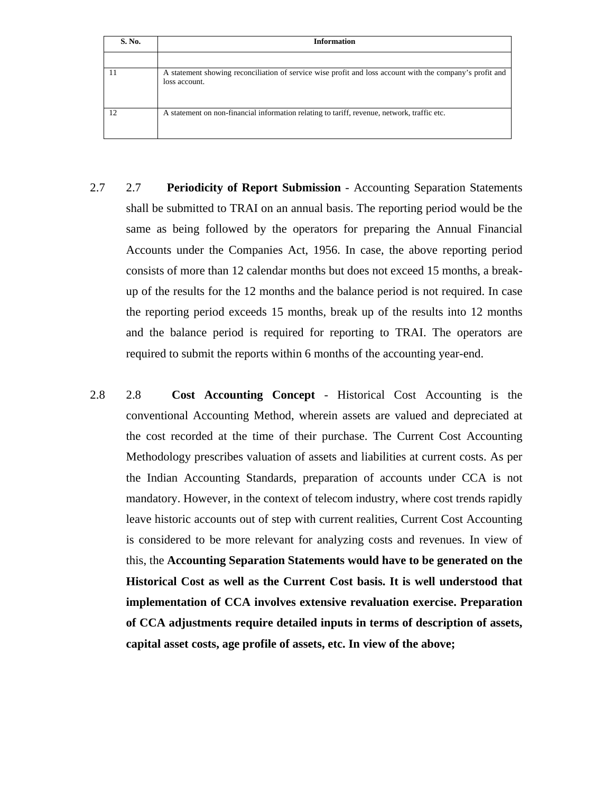| S. No.         | <b>Information</b>                                                                                                        |
|----------------|---------------------------------------------------------------------------------------------------------------------------|
|                |                                                                                                                           |
|                | A statement showing reconciliation of service wise profit and loss account with the company's profit and<br>loss account. |
| $\overline{2}$ | A statement on non-financial information relating to tariff, revenue, network, traffic etc.                               |

- 2.7 2.7 **Periodicity of Report Submission** Accounting Separation Statements shall be submitted to TRAI on an annual basis. The reporting period would be the same as being followed by the operators for preparing the Annual Financial Accounts under the Companies Act, 1956. In case, the above reporting period consists of more than 12 calendar months but does not exceed 15 months, a breakup of the results for the 12 months and the balance period is not required. In case the reporting period exceeds 15 months, break up of the results into 12 months and the balance period is required for reporting to TRAI. The operators are required to submit the reports within 6 months of the accounting year-end.
- 2.8 2.8 **Cost Accounting Concept** Historical Cost Accounting is the conventional Accounting Method, wherein assets are valued and depreciated at the cost recorded at the time of their purchase. The Current Cost Accounting Methodology prescribes valuation of assets and liabilities at current costs. As per the Indian Accounting Standards, preparation of accounts under CCA is not mandatory. However, in the context of telecom industry, where cost trends rapidly leave historic accounts out of step with current realities, Current Cost Accounting is considered to be more relevant for analyzing costs and revenues. In view of this, the **Accounting Separation Statements would have to be generated on the Historical Cost as well as the Current Cost basis. It is well understood that implementation of CCA involves extensive revaluation exercise. Preparation of CCA adjustments require detailed inputs in terms of description of assets, capital asset costs, age profile of assets, etc. In view of the above;**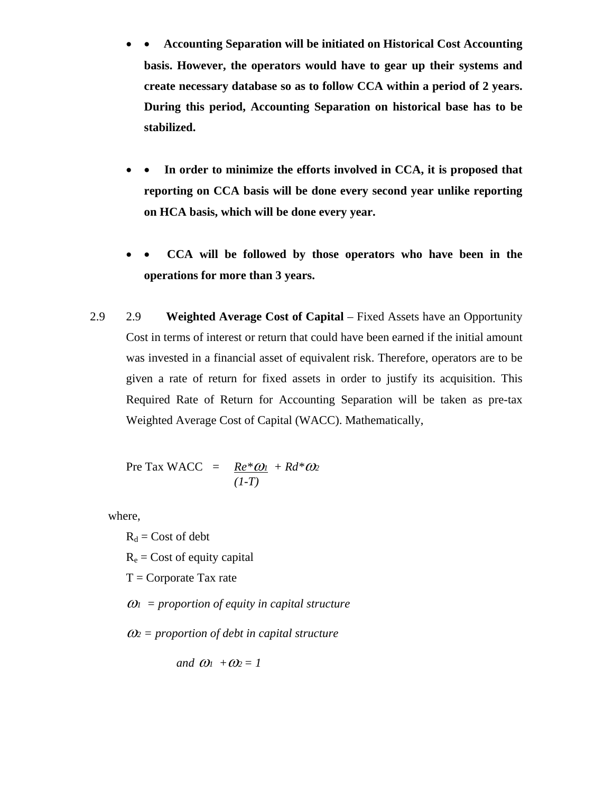- • **Accounting Separation will be initiated on Historical Cost Accounting basis. However, the operators would have to gear up their systems and create necessary database so as to follow CCA within a period of 2 years. During this period, Accounting Separation on historical base has to be stabilized.**
- • **In order to minimize the efforts involved in CCA, it is proposed that reporting on CCA basis will be done every second year unlike reporting on HCA basis, which will be done every year.**
- • **CCA will be followed by those operators who have been in the operations for more than 3 years.**
- 2.9 2.9 **Weighted Average Cost of Capital** Fixed Assets have an Opportunity Cost in terms of interest or return that could have been earned if the initial amount was invested in a financial asset of equivalent risk. Therefore, operators are to be given a rate of return for fixed assets in order to justify its acquisition. This Required Rate of Return for Accounting Separation will be taken as pre-tax Weighted Average Cost of Capital (WACC). Mathematically,

$$
Pre Tax WACC = \frac{Re^* \omega_1}{(1-T)} + Rd^* \omega_2
$$

where,

 $R_d$  = Cost of debt

 $R_e$  = Cost of equity capital

 $T =$ Corporate Tax rate

<sup>ω</sup>*1 = proportion of equity in capital structure* 

<sup>ω</sup>*2 = proportion of debt in capital structure* 

and 
$$
\omega_1 + \omega_2 = 1
$$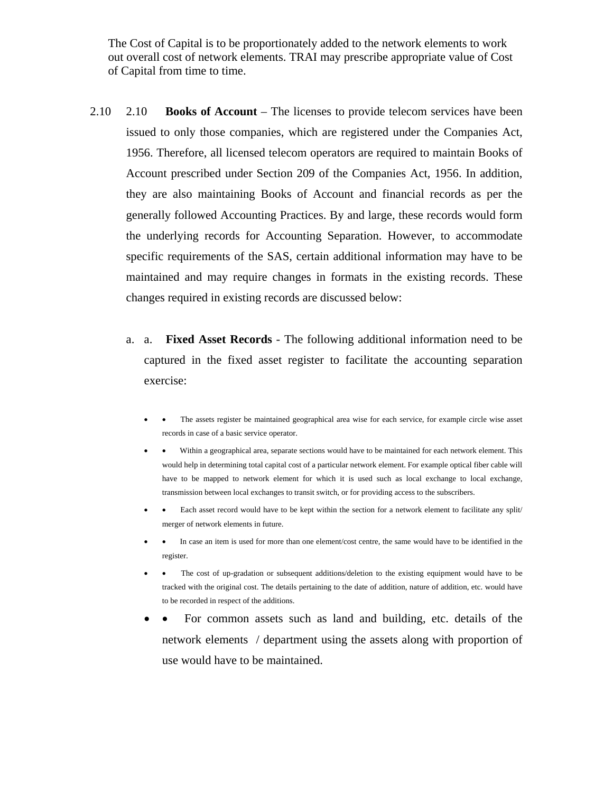The Cost of Capital is to be proportionately added to the network elements to work out overall cost of network elements. TRAI may prescribe appropriate value of Cost of Capital from time to time.

- 2.10 2.10 **Books of Account** The licenses to provide telecom services have been issued to only those companies, which are registered under the Companies Act, 1956. Therefore, all licensed telecom operators are required to maintain Books of Account prescribed under Section 209 of the Companies Act, 1956. In addition, they are also maintaining Books of Account and financial records as per the generally followed Accounting Practices. By and large, these records would form the underlying records for Accounting Separation. However, to accommodate specific requirements of the SAS, certain additional information may have to be maintained and may require changes in formats in the existing records. These changes required in existing records are discussed below:
	- a. a. **Fixed Asset Records** The following additional information need to be captured in the fixed asset register to facilitate the accounting separation exercise:
		- The assets register be maintained geographical area wise for each service, for example circle wise asset records in case of a basic service operator.
		- • Within a geographical area, separate sections would have to be maintained for each network element. This would help in determining total capital cost of a particular network element. For example optical fiber cable will have to be mapped to network element for which it is used such as local exchange to local exchange, transmission between local exchanges to transit switch, or for providing access to the subscribers.
		- Each asset record would have to be kept within the section for a network element to facilitate any split/ merger of network elements in future.
		- In case an item is used for more than one element/cost centre, the same would have to be identified in the register.
		- The cost of up-gradation or subsequent additions/deletion to the existing equipment would have to be tracked with the original cost. The details pertaining to the date of addition, nature of addition, etc. would have to be recorded in respect of the additions.
		- • For common assets such as land and building, etc. details of the network elements / department using the assets along with proportion of use would have to be maintained.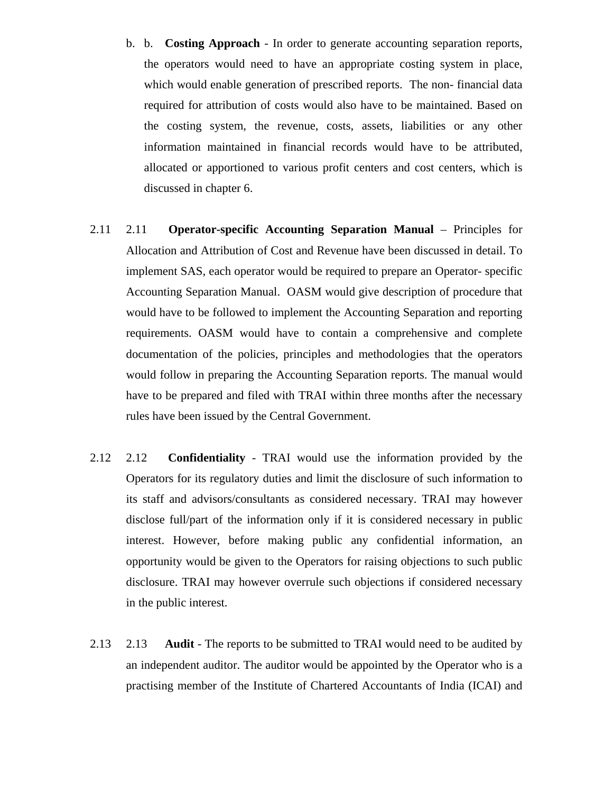- b. b. **Costing Approach**  In order to generate accounting separation reports, the operators would need to have an appropriate costing system in place, which would enable generation of prescribed reports. The non- financial data required for attribution of costs would also have to be maintained. Based on the costing system, the revenue, costs, assets, liabilities or any other information maintained in financial records would have to be attributed, allocated or apportioned to various profit centers and cost centers, which is discussed in chapter 6.
- 2.11 2.11 **Operator-specific Accounting Separation Manual** Principles for Allocation and Attribution of Cost and Revenue have been discussed in detail. To implement SAS, each operator would be required to prepare an Operator- specific Accounting Separation Manual. OASM would give description of procedure that would have to be followed to implement the Accounting Separation and reporting requirements. OASM would have to contain a comprehensive and complete documentation of the policies, principles and methodologies that the operators would follow in preparing the Accounting Separation reports. The manual would have to be prepared and filed with TRAI within three months after the necessary rules have been issued by the Central Government.
- 2.12 2.12 **Confidentiality**  TRAI would use the information provided by the Operators for its regulatory duties and limit the disclosure of such information to its staff and advisors/consultants as considered necessary. TRAI may however disclose full/part of the information only if it is considered necessary in public interest. However, before making public any confidential information, an opportunity would be given to the Operators for raising objections to such public disclosure. TRAI may however overrule such objections if considered necessary in the public interest.
- 2.13 2.13 **Audit** The reports to be submitted to TRAI would need to be audited by an independent auditor. The auditor would be appointed by the Operator who is a practising member of the Institute of Chartered Accountants of India (ICAI) and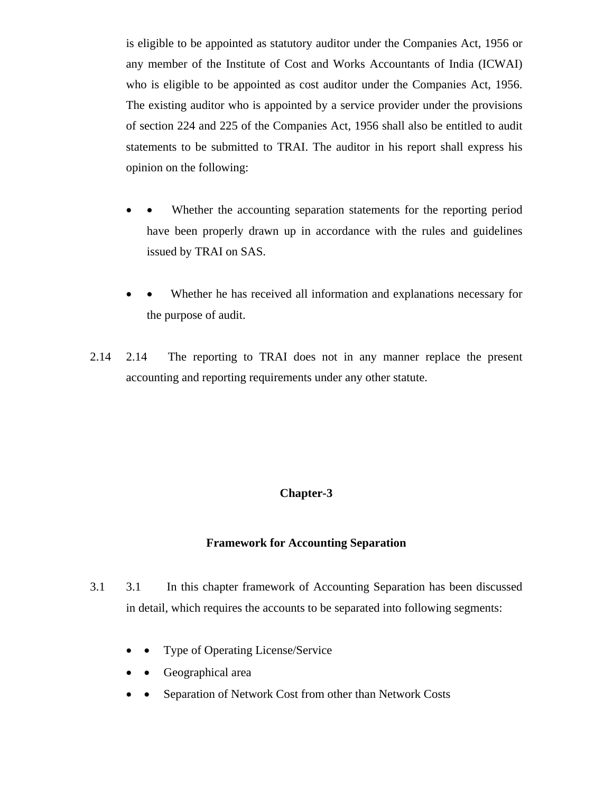is eligible to be appointed as statutory auditor under the Companies Act, 1956 or any member of the Institute of Cost and Works Accountants of India (ICWAI) who is eligible to be appointed as cost auditor under the Companies Act, 1956. The existing auditor who is appointed by a service provider under the provisions of section 224 and 225 of the Companies Act, 1956 shall also be entitled to audit statements to be submitted to TRAI. The auditor in his report shall express his opinion on the following:

- Whether the accounting separation statements for the reporting period have been properly drawn up in accordance with the rules and guidelines issued by TRAI on SAS.
- Whether he has received all information and explanations necessary for the purpose of audit.
- 2.14 2.14 The reporting to TRAI does not in any manner replace the present accounting and reporting requirements under any other statute.

## **Chapter-3**

#### **Framework for Accounting Separation**

- 3.1 3.1 In this chapter framework of Accounting Separation has been discussed in detail, which requires the accounts to be separated into following segments:
	- Type of Operating License/Service
	- Geographical area
	- Separation of Network Cost from other than Network Costs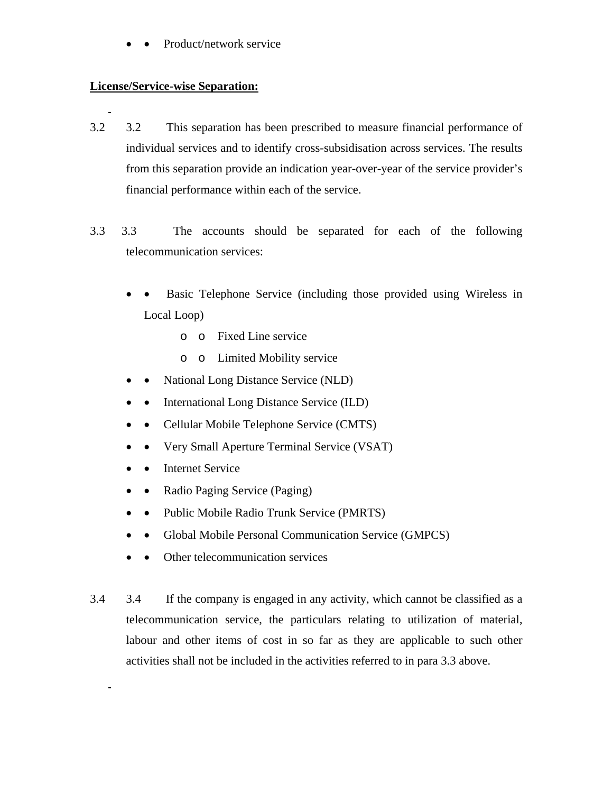Product/network service

## **License/Service-wise Separation:**

- 3.2 3.2 This separation has been prescribed to measure financial performance of individual services and to identify cross-subsidisation across services. The results from this separation provide an indication year-over-year of the service provider's financial performance within each of the service.
- 3.3 3.3 The accounts should be separated for each of the following telecommunication services:
	- Basic Telephone Service (including those provided using Wireless in Local Loop)
		- o o Fixed Line service
		- o o Limited Mobility service
	- National Long Distance Service (NLD)
	- International Long Distance Service (ILD)
	- Cellular Mobile Telephone Service (CMTS)
	- • Very Small Aperture Terminal Service (VSAT)
	- Internet Service

 $\blacksquare$ 

- Radio Paging Service (Paging)
- Public Mobile Radio Trunk Service (PMRTS)
- Global Mobile Personal Communication Service (GMPCS)
- • Other telecommunication services
- 3.4 3.4 If the company is engaged in any activity, which cannot be classified as a telecommunication service, the particulars relating to utilization of material, labour and other items of cost in so far as they are applicable to such other activities shall not be included in the activities referred to in para 3.3 above.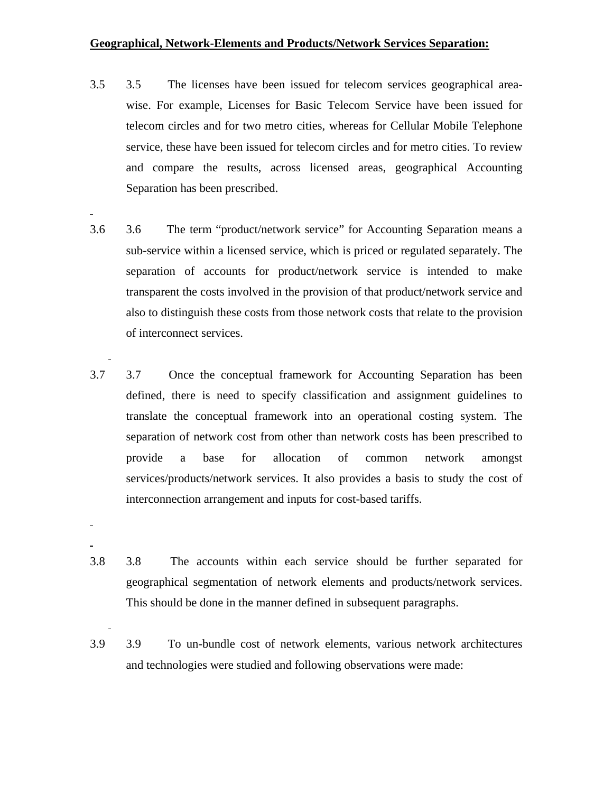#### **Geographical, Network-Elements and Products/Network Services Separation:**

- 3.5 3.5 The licenses have been issued for telecom services geographical areawise. For example, Licenses for Basic Telecom Service have been issued for telecom circles and for two metro cities, whereas for Cellular Mobile Telephone service, these have been issued for telecom circles and for metro cities. To review and compare the results, across licensed areas, geographical Accounting Separation has been prescribed.
- 3.6 3.6 The term "product/network service" for Accounting Separation means a sub-service within a licensed service, which is priced or regulated separately. The separation of accounts for product/network service is intended to make transparent the costs involved in the provision of that product/network service and also to distinguish these costs from those network costs that relate to the provision of interconnect services.
- 3.7 3.7 Once the conceptual framework for Accounting Separation has been defined, there is need to specify classification and assignment guidelines to translate the conceptual framework into an operational costing system. The separation of network cost from other than network costs has been prescribed to provide a base for allocation of common network amongst services/products/network services. It also provides a basis to study the cost of interconnection arrangement and inputs for cost-based tariffs.
- 3.8 3.8 The accounts within each service should be further separated for geographical segmentation of network elements and products/network services. This should be done in the manner defined in subsequent paragraphs.

4

3.9 3.9 To un-bundle cost of network elements, various network architectures and technologies were studied and following observations were made: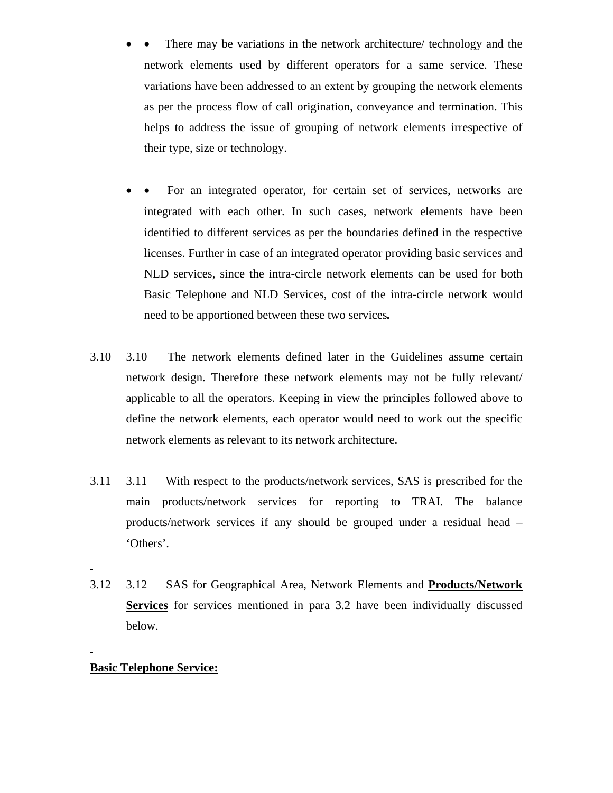- There may be variations in the network architecture/ technology and the network elements used by different operators for a same service. These variations have been addressed to an extent by grouping the network elements as per the process flow of call origination, conveyance and termination. This helps to address the issue of grouping of network elements irrespective of their type, size or technology.
- • For an integrated operator, for certain set of services, networks are integrated with each other. In such cases, network elements have been identified to different services as per the boundaries defined in the respective licenses. Further in case of an integrated operator providing basic services and NLD services, since the intra-circle network elements can be used for both Basic Telephone and NLD Services, cost of the intra-circle network would need to be apportioned between these two services*.*
- 3.10 3.10 The network elements defined later in the Guidelines assume certain network design. Therefore these network elements may not be fully relevant/ applicable to all the operators. Keeping in view the principles followed above to define the network elements, each operator would need to work out the specific network elements as relevant to its network architecture.
- 3.11 3.11 With respect to the products/network services, SAS is prescribed for the main products/network services for reporting to TRAI. The balance products/network services if any should be grouped under a residual head – 'Others'.
- 3.12 3.12 SAS for Geographical Area, Network Elements and **Products/Network Services** for services mentioned in para 3.2 have been individually discussed below.

## **Basic Telephone Service:**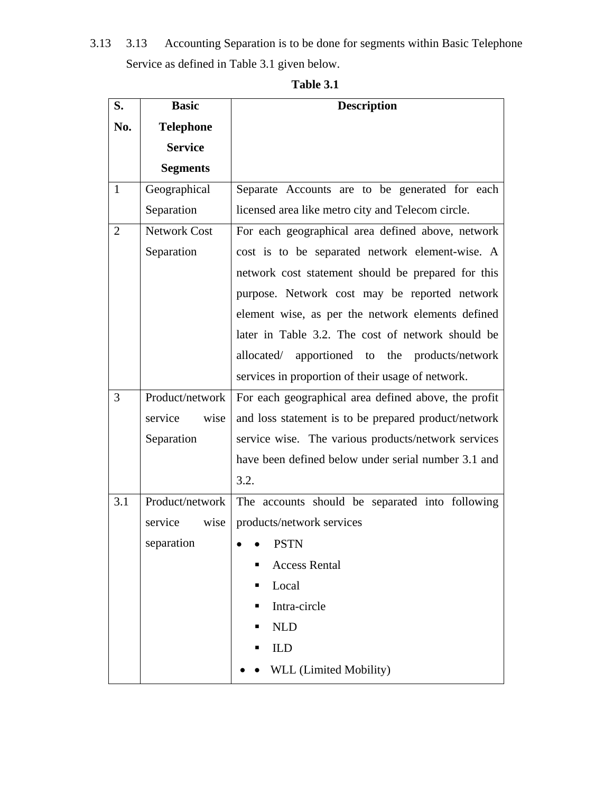3.13 3.13 Accounting Separation is to be done for segments within Basic Telephone Service as defined in Table 3.1 given below.

| S.             | <b>Basic</b>        | <b>Description</b>                                   |
|----------------|---------------------|------------------------------------------------------|
| No.            | <b>Telephone</b>    |                                                      |
|                | <b>Service</b>      |                                                      |
|                | <b>Segments</b>     |                                                      |
| $\mathbf{1}$   | Geographical        | Separate Accounts are to be generated for each       |
|                | Separation          | licensed area like metro city and Telecom circle.    |
| $\overline{2}$ | <b>Network Cost</b> | For each geographical area defined above, network    |
|                | Separation          | cost is to be separated network element-wise. A      |
|                |                     | network cost statement should be prepared for this   |
|                |                     | purpose. Network cost may be reported network        |
|                |                     | element wise, as per the network elements defined    |
|                |                     | later in Table 3.2. The cost of network should be    |
|                |                     | allocated/ apportioned to the products/network       |
|                |                     | services in proportion of their usage of network.    |
| 3              | Product/network     | For each geographical area defined above, the profit |
|                | service<br>wise     | and loss statement is to be prepared product/network |
|                | Separation          | service wise. The various products/network services  |
|                |                     | have been defined below under serial number 3.1 and  |
|                |                     | 3.2.                                                 |
| 3.1            | Product/network     | The accounts should be separated into following      |
|                | wise<br>service     | products/network services                            |
|                | separation          | <b>PSTN</b>                                          |
|                |                     | <b>Access Rental</b><br>П                            |
|                |                     | Local<br>п                                           |
|                |                     | Intra-circle<br>п                                    |
|                |                     | <b>NLD</b><br>п                                      |
|                |                     | <b>ILD</b>                                           |
|                |                     | WLL (Limited Mobility)                               |

**Table 3.1**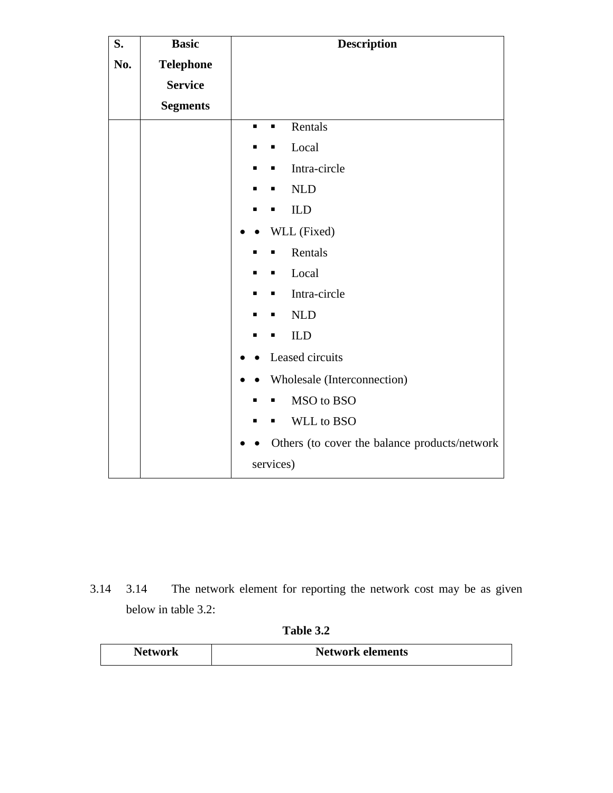| S.  | <b>Basic</b>     | <b>Description</b>                            |
|-----|------------------|-----------------------------------------------|
| No. | <b>Telephone</b> |                                               |
|     | <b>Service</b>   |                                               |
|     | <b>Segments</b>  |                                               |
|     |                  | Rentals<br>$\blacksquare$<br>П                |
|     |                  | Local                                         |
|     |                  | Intra-circle<br>п                             |
|     |                  | <b>NLD</b>                                    |
|     |                  | ILD                                           |
|     |                  | WLL (Fixed)                                   |
|     |                  | Rentals                                       |
|     |                  | Local<br>Ξ                                    |
|     |                  | Intra-circle<br>п                             |
|     |                  | <b>NLD</b>                                    |
|     |                  | ILD<br>п                                      |
|     |                  | Leased circuits                               |
|     |                  | Wholesale (Interconnection)                   |
|     |                  | MSO to BSO                                    |
|     |                  | WLL to BSO                                    |
|     |                  | Others (to cover the balance products/network |
|     |                  | services)                                     |

3.14 3.14 The network element for reporting the network cost may be as given below in table 3.2:

| <b>Table 3.</b> |  |
|-----------------|--|
|-----------------|--|

| <b>Network</b> | <b>Network elements</b> |
|----------------|-------------------------|
|                |                         |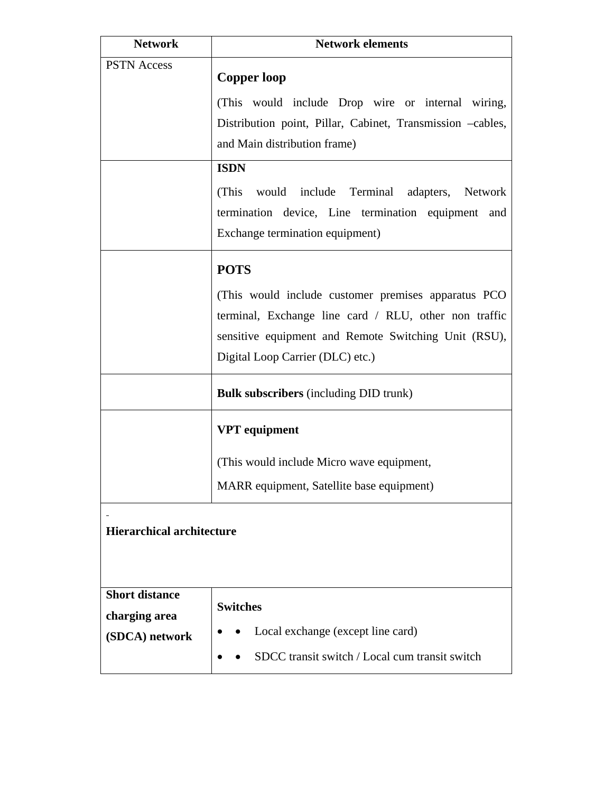| <b>Network</b>                         | <b>Network elements</b>                                    |
|----------------------------------------|------------------------------------------------------------|
| <b>PSTN Access</b>                     | <b>Copper loop</b>                                         |
|                                        | (This would include Drop wire or internal wiring,          |
|                                        | Distribution point, Pillar, Cabinet, Transmission -cables, |
|                                        | and Main distribution frame)                               |
|                                        | <b>ISDN</b>                                                |
|                                        | (This would include Terminal adapters, Network             |
|                                        | termination device, Line termination equipment and         |
|                                        | Exchange termination equipment)                            |
|                                        | <b>POTS</b>                                                |
|                                        | (This would include customer premises apparatus PCO)       |
|                                        | terminal, Exchange line card / RLU, other non traffic      |
|                                        | sensitive equipment and Remote Switching Unit (RSU),       |
|                                        | Digital Loop Carrier (DLC) etc.)                           |
|                                        | <b>Bulk subscribers</b> (including DID trunk)              |
|                                        | <b>VPT</b> equipment                                       |
|                                        | (This would include Micro wave equipment,                  |
|                                        | MARR equipment, Satellite base equipment)                  |
| <b>Hierarchical architecture</b>       |                                                            |
| <b>Short distance</b><br>charging area | <b>Switches</b>                                            |
| (SDCA) network                         | Local exchange (except line card)                          |
|                                        | SDCC transit switch / Local cum transit switch             |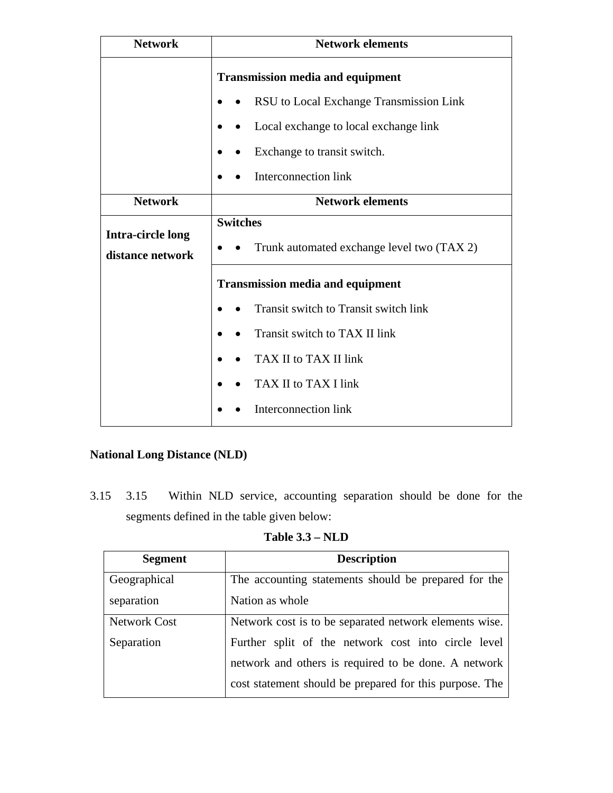| <b>Network</b>                               | <b>Network elements</b>                    |  |
|----------------------------------------------|--------------------------------------------|--|
|                                              | <b>Transmission media and equipment</b>    |  |
|                                              | RSU to Local Exchange Transmission Link    |  |
|                                              | Local exchange to local exchange link      |  |
|                                              | Exchange to transit switch.                |  |
|                                              | Interconnection link                       |  |
| <b>Network</b>                               | <b>Network elements</b>                    |  |
|                                              | <b>Switches</b>                            |  |
| <b>Intra-circle long</b><br>distance network | Trunk automated exchange level two (TAX 2) |  |
|                                              | <b>Transmission media and equipment</b>    |  |
|                                              | Transit switch to Transit switch link      |  |
|                                              | Transit switch to TAX II link              |  |
|                                              | TAX II to TAX II link                      |  |
|                                              | TAX II to TAX I link                       |  |
|                                              | <b>Interconnection link</b>                |  |

# **National Long Distance (NLD)**

3.15 3.15 Within NLD service, accounting separation should be done for the segments defined in the table given below:

**Table 3.3 – NLD** 

| <b>Segment</b>      | <b>Description</b>                                      |
|---------------------|---------------------------------------------------------|
| Geographical        | The accounting statements should be prepared for the    |
| separation          | Nation as whole                                         |
| <b>Network Cost</b> | Network cost is to be separated network elements wise.  |
| Separation          | Further split of the network cost into circle level     |
|                     | network and others is required to be done. A network    |
|                     | cost statement should be prepared for this purpose. The |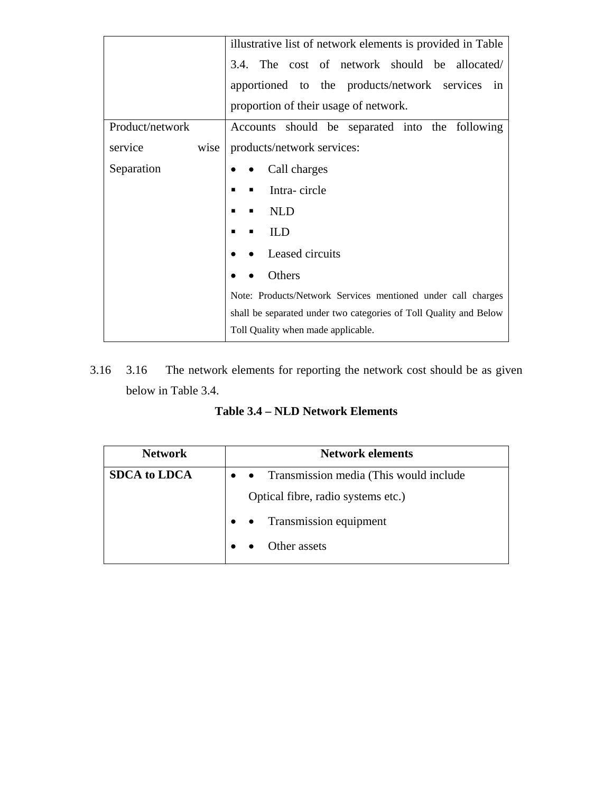|                 | illustrative list of network elements is provided in Table        |  |
|-----------------|-------------------------------------------------------------------|--|
|                 | 3.4. The cost of network should be allocated/                     |  |
|                 | apportioned to the products/network services in                   |  |
|                 | proportion of their usage of network.                             |  |
| Product/network | Accounts should be separated into the following                   |  |
| service<br>wise | products/network services:                                        |  |
| Separation      | Call charges                                                      |  |
|                 | Intra-circle                                                      |  |
|                 | <b>NLD</b>                                                        |  |
|                 | ILD                                                               |  |
|                 | Leased circuits                                                   |  |
|                 | Others                                                            |  |
|                 | Note: Products/Network Services mentioned under call charges      |  |
|                 | shall be separated under two categories of Toll Quality and Below |  |
|                 | Toll Quality when made applicable.                                |  |

3.16 3.16 The network elements for reporting the network cost should be as given below in Table 3.4.

**Table 3.4 – NLD Network Elements** 

| <b>Network</b>      | <b>Network elements</b>                    |
|---------------------|--------------------------------------------|
| <b>SDCA</b> to LDCA | • • Transmission media (This would include |
|                     | Optical fibre, radio systems etc.)         |
|                     | • • Transmission equipment                 |
|                     | Other assets                               |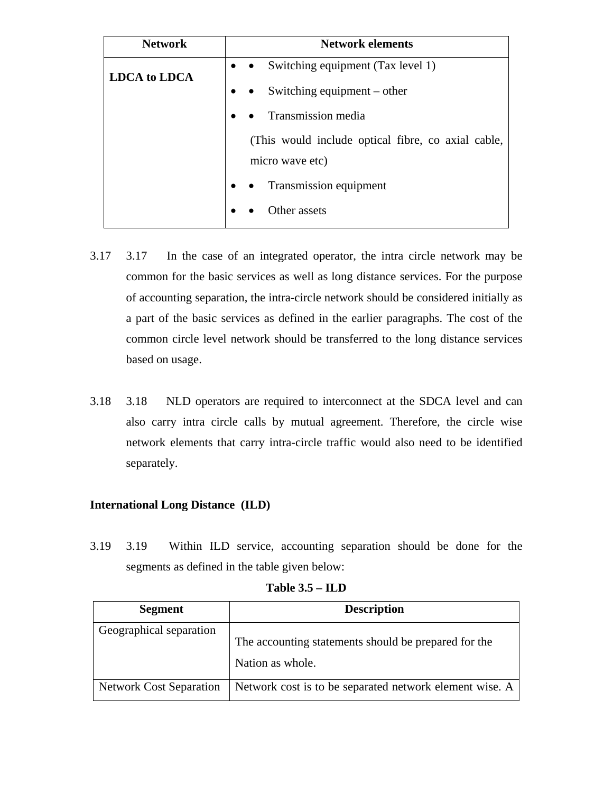| <b>Network</b>      | <b>Network elements</b>                                               |
|---------------------|-----------------------------------------------------------------------|
| <b>LDCA</b> to LDCA | • Switching equipment $(Tax level 1)$                                 |
|                     | Switching equipment – other                                           |
|                     | Transmission media                                                    |
|                     | (This would include optical fibre, co axial cable,<br>micro wave etc) |
|                     | Transmission equipment                                                |
|                     | Other assets                                                          |

- 3.17 3.17 In the case of an integrated operator, the intra circle network may be common for the basic services as well as long distance services. For the purpose of accounting separation, the intra-circle network should be considered initially as a part of the basic services as defined in the earlier paragraphs. The cost of the common circle level network should be transferred to the long distance services based on usage.
- 3.18 3.18 NLD operators are required to interconnect at the SDCA level and can also carry intra circle calls by mutual agreement. Therefore, the circle wise network elements that carry intra-circle traffic would also need to be identified separately.

# **International Long Distance (ILD)**

3.19 3.19 Within ILD service, accounting separation should be done for the segments as defined in the table given below:

| <b>Segment</b>                 | <b>Description</b>                                                       |
|--------------------------------|--------------------------------------------------------------------------|
| Geographical separation        | The accounting statements should be prepared for the<br>Nation as whole. |
| <b>Network Cost Separation</b> | Network cost is to be separated network element wise. A                  |

**Table 3.5 – ILD**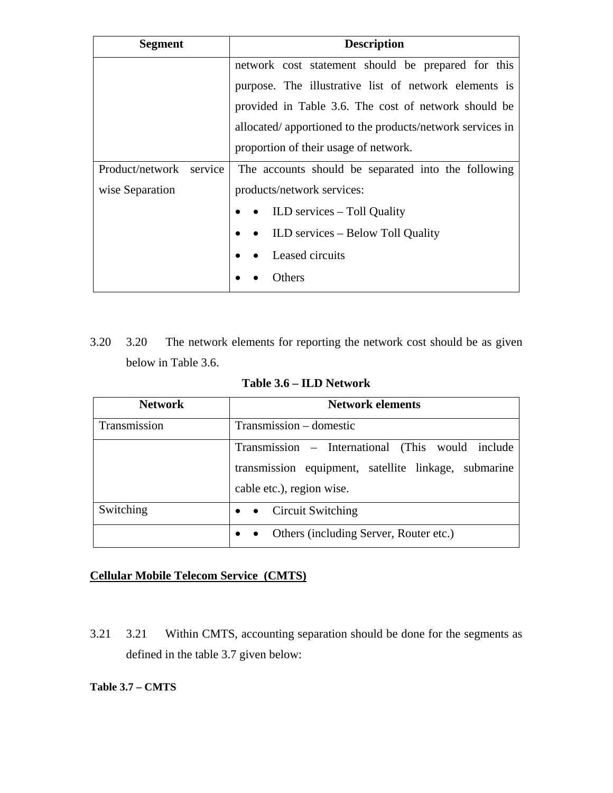| Segment                 | <b>Description</b>                                        |  |
|-------------------------|-----------------------------------------------------------|--|
|                         | network cost statement should be prepared for this        |  |
|                         | purpose. The illustrative list of network elements is     |  |
|                         | provided in Table 3.6. The cost of network should be      |  |
|                         | allocated/apportioned to the products/network services in |  |
|                         | proportion of their usage of network.                     |  |
| Product/network service | The accounts should be separated into the following       |  |
| wise Separation         | products/network services:                                |  |
|                         | $\bullet$ ILD services – Toll Quality                     |  |
|                         | • ILD services – Below Toll Quality                       |  |
|                         | Leased circuits                                           |  |
|                         | Others                                                    |  |

3.20 3.20 The network elements for reporting the network cost should be as given below in Table 3.6.

| <b>Network</b> | <b>Network elements</b>                              |  |
|----------------|------------------------------------------------------|--|
| Transmission   | Transmission - domestic                              |  |
|                | Transmission – International (This would include     |  |
|                | transmission equipment, satellite linkage, submarine |  |
|                | cable etc.), region wise.                            |  |
| Switching      | Circuit Switching<br>$\bullet\quad\bullet$           |  |
|                | Others (including Server, Router etc.)               |  |

**Table 3.6 – ILD Network**

# **Cellular Mobile Telecom Service (CMTS)**

3.21 3.21 Within CMTS, accounting separation should be done for the segments as defined in the table 3.7 given below:

## **Table 3.7 – CMTS**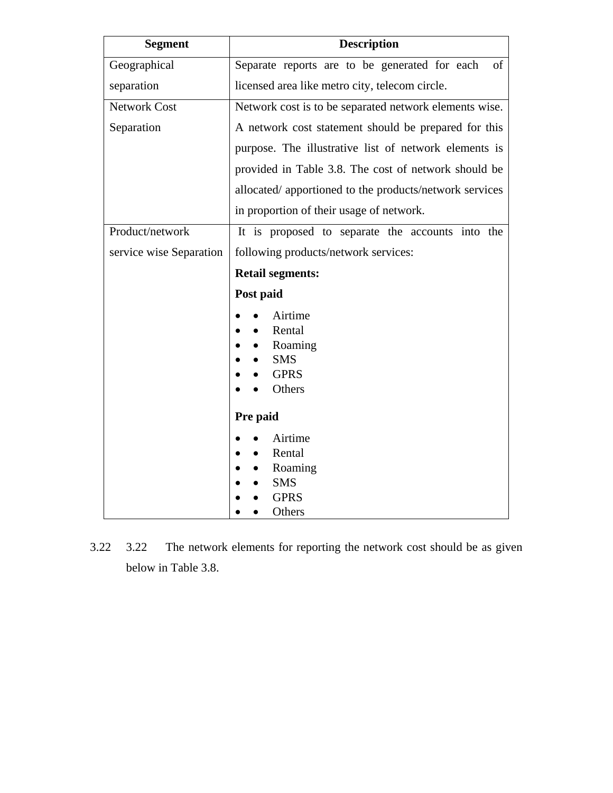| <b>Description</b>                                     |  |
|--------------------------------------------------------|--|
| Separate reports are to be generated for each<br>of    |  |
| licensed area like metro city, telecom circle.         |  |
| Network cost is to be separated network elements wise. |  |
| A network cost statement should be prepared for this   |  |
| purpose. The illustrative list of network elements is  |  |
| provided in Table 3.8. The cost of network should be   |  |
| allocated/apportioned to the products/network services |  |
| in proportion of their usage of network.               |  |
| It is proposed to separate the accounts into the       |  |
| following products/network services:                   |  |
| <b>Retail segments:</b>                                |  |
| Post paid                                              |  |
| Airtime                                                |  |
| Rental                                                 |  |
| Roaming                                                |  |
| <b>SMS</b><br><b>GPRS</b>                              |  |
| Others                                                 |  |
|                                                        |  |
| Pre paid                                               |  |
| Airtime                                                |  |
| Rental                                                 |  |
| Roaming                                                |  |
| <b>SMS</b>                                             |  |
| <b>GPRS</b><br>Others                                  |  |
|                                                        |  |

3.22 3.22 The network elements for reporting the network cost should be as given below in Table 3.8.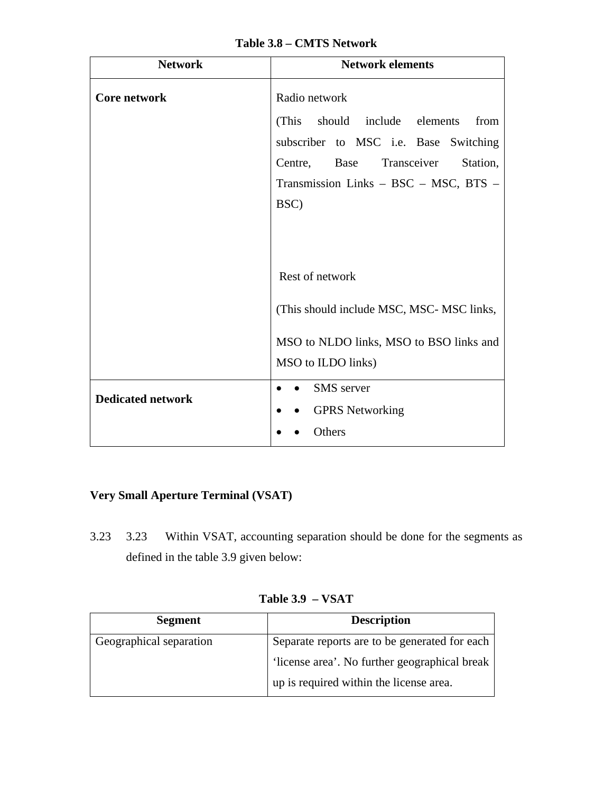| Table 3.8 – CMTS Network |  |  |
|--------------------------|--|--|
|--------------------------|--|--|

| <b>Network</b>           | <b>Network elements</b>                                                                                                                                                                   |
|--------------------------|-------------------------------------------------------------------------------------------------------------------------------------------------------------------------------------------|
| <b>Core network</b>      | Radio network<br>(This should include elements)<br>from<br>subscriber to MSC i.e. Base Switching<br>Centre, Base Transceiver<br>Station,<br>Transmission Links - BSC - MSC, BTS -<br>BSC) |
|                          | Rest of network<br>(This should include MSC, MSC-MSC links,<br>MSO to NLDO links, MSO to BSO links and<br>MSO to ILDO links)                                                              |
| <b>Dedicated network</b> | <b>SMS</b> server<br><b>GPRS</b> Networking<br>Others                                                                                                                                     |

# **Very Small Aperture Terminal (VSAT)**

3.23 3.23 Within VSAT, accounting separation should be done for the segments as defined in the table 3.9 given below:

| <b>Segment</b>          | <b>Description</b>                                                                       |
|-------------------------|------------------------------------------------------------------------------------------|
| Geographical separation | Separate reports are to be generated for each                                            |
|                         | 'license area'. No further geographical break<br>up is required within the license area. |

**Table 3.9 – VSAT**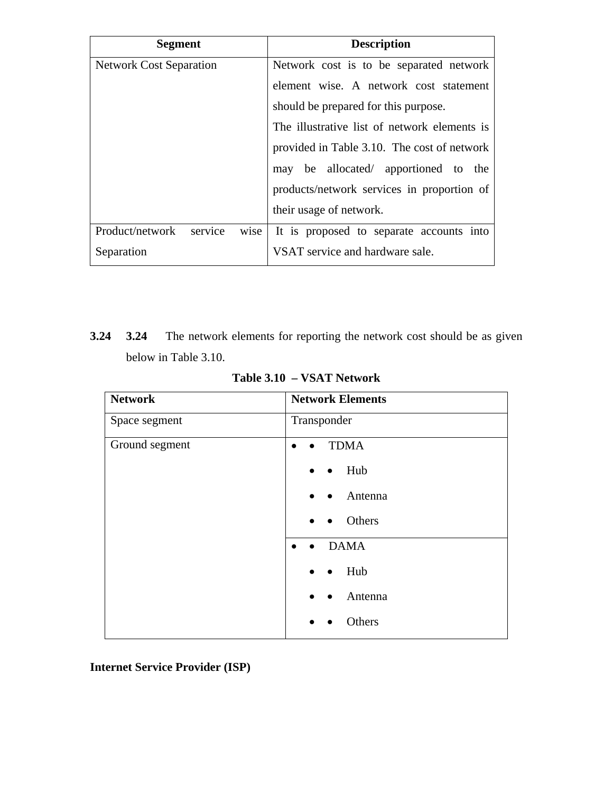| <b>Segment</b>                     | <b>Description</b>                           |
|------------------------------------|----------------------------------------------|
| <b>Network Cost Separation</b>     | Network cost is to be separated network      |
|                                    | element wise. A network cost statement       |
|                                    | should be prepared for this purpose.         |
|                                    | The illustrative list of network elements is |
|                                    | provided in Table 3.10. The cost of network  |
|                                    | may be allocated/ apportioned to the         |
|                                    | products/network services in proportion of   |
|                                    | their usage of network.                      |
| service<br>Product/network<br>wise | It is proposed to separate accounts into     |
| Separation                         | VSAT service and hardware sale.              |

**3.24 3.24** The network elements for reporting the network cost should be as given below in Table 3.10.

| <b>Network Elements</b>               |
|---------------------------------------|
| Transponder                           |
| <b>TDMA</b>                           |
| $\bullet$ Hub                         |
| Antenna<br>$\bullet$                  |
| Others<br>$\bullet$                   |
| <b>DAMA</b><br>$\bullet$<br>$\bullet$ |
| Hub<br>$\bullet$                      |
| Antenna<br>$\bullet$                  |
| Others                                |
|                                       |

**Table 3.10 – VSAT Network**

**Internet Service Provider (ISP)**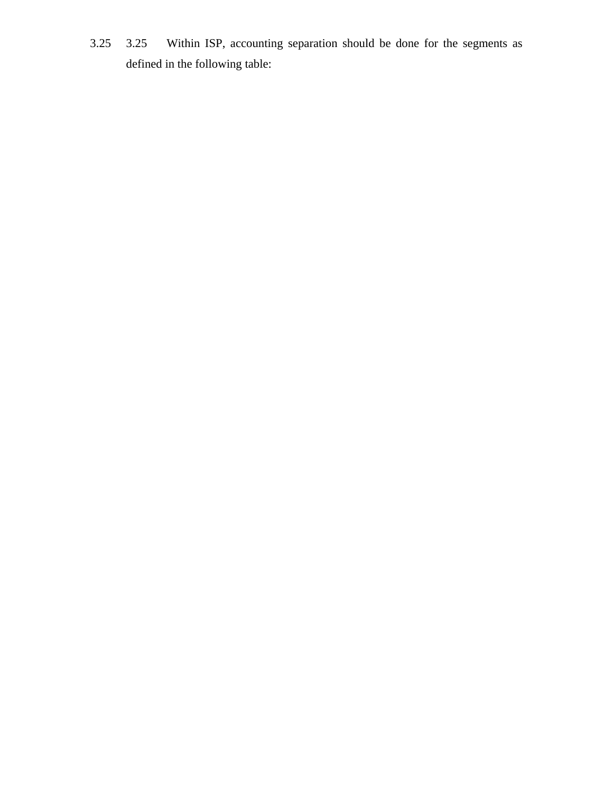3.25 3.25 Within ISP, accounting separation should be done for the segments as defined in the following table: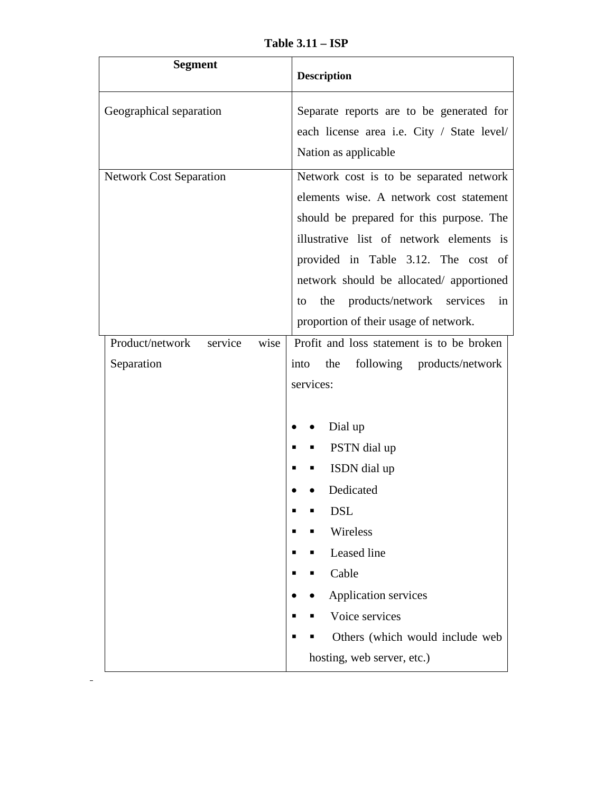**Table 3.11 – ISP** 

| <b>Segment</b>                                   | <b>Description</b>                                                                                                                                                                                                                                                                                                                                     |
|--------------------------------------------------|--------------------------------------------------------------------------------------------------------------------------------------------------------------------------------------------------------------------------------------------------------------------------------------------------------------------------------------------------------|
| Geographical separation                          | Separate reports are to be generated for<br>each license area i.e. City / State level/<br>Nation as applicable                                                                                                                                                                                                                                         |
| <b>Network Cost Separation</b>                   | Network cost is to be separated network<br>elements wise. A network cost statement<br>should be prepared for this purpose. The<br>illustrative list of network elements is<br>provided in Table 3.12. The cost of<br>network should be allocated/ apportioned<br>products/network services<br>the<br>in<br>to<br>proportion of their usage of network. |
| Product/network<br>service<br>wise<br>Separation | Profit and loss statement is to be broken<br>following products/network<br>the<br>into<br>services:<br>Dial up<br>PSTN dial up<br>ISDN dial up<br>Dedicated<br><b>DSL</b><br>Wireless<br>Leased line<br>Cable<br><b>Application services</b><br>Voice services<br>Others (which would include web<br>hosting, web server, etc.)                        |

 $\sim$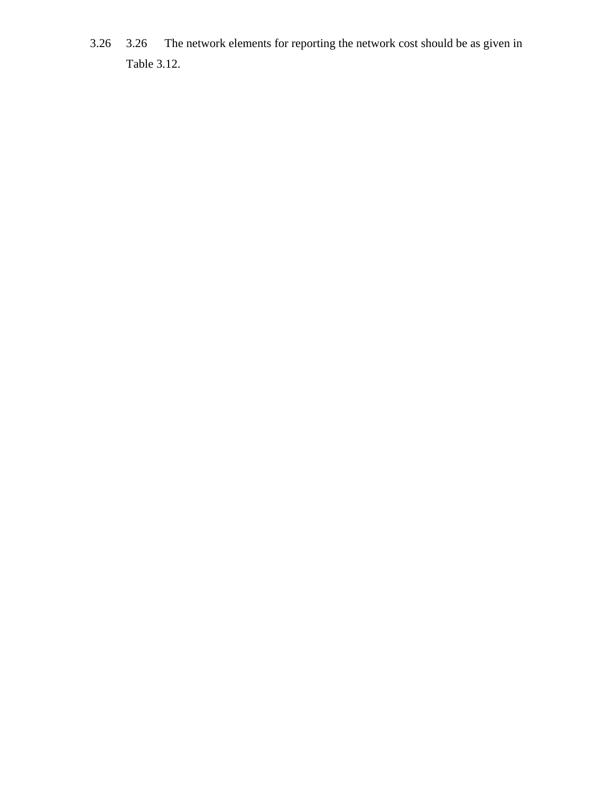3.26 3.26 The network elements for reporting the network cost should be as given in Table 3.12.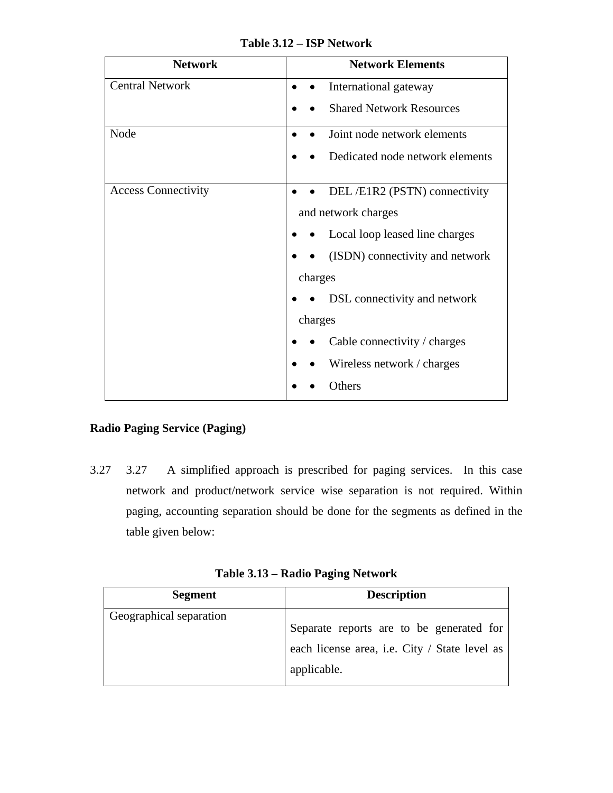| <b>Network</b>             | <b>Network Elements</b>         |
|----------------------------|---------------------------------|
| <b>Central Network</b>     | International gateway           |
|                            | <b>Shared Network Resources</b> |
| Node                       | Joint node network elements     |
|                            | Dedicated node network elements |
| <b>Access Connectivity</b> | DEL/E1R2 (PSTN) connectivity    |
|                            | and network charges             |
|                            | Local loop leased line charges  |
|                            | (ISDN) connectivity and network |
|                            | charges                         |
|                            | DSL connectivity and network    |
|                            | charges                         |
|                            | Cable connectivity / charges    |
|                            | Wireless network / charges      |
|                            | Others                          |

**Table 3.12 – ISP Network** 

# **Radio Paging Service (Paging)**

3.27 3.27 A simplified approach is prescribed for paging services. In this case network and product/network service wise separation is not required. Within paging, accounting separation should be done for the segments as defined in the table given below:

**Table 3.13 – Radio Paging Network**

| <b>Segment</b>          | <b>Description</b>                                                                                       |
|-------------------------|----------------------------------------------------------------------------------------------------------|
| Geographical separation | Separate reports are to be generated for<br>each license area, i.e. City / State level as<br>applicable. |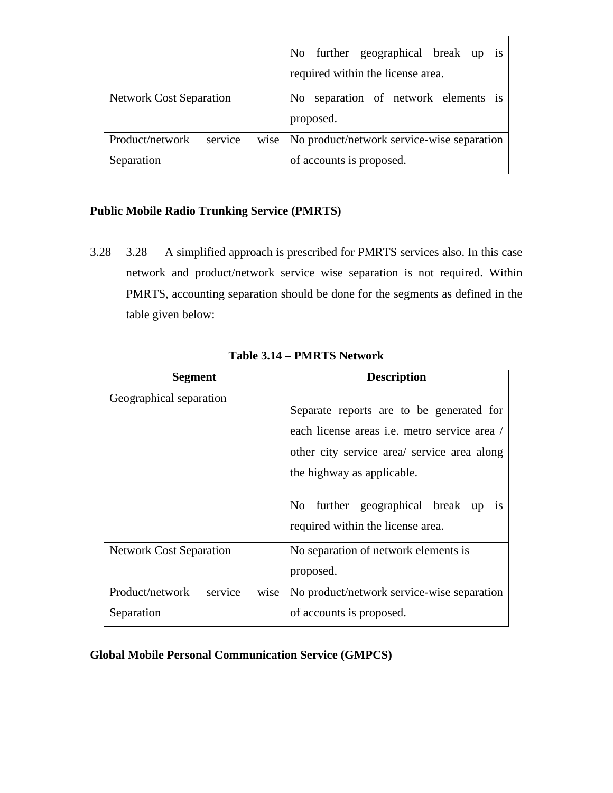|                                    | No further geographical break up is<br>required within the license area. |
|------------------------------------|--------------------------------------------------------------------------|
| <b>Network Cost Separation</b>     | No separation of network elements is                                     |
|                                    | proposed.                                                                |
| service<br>Product/network<br>wise | No product/network service-wise separation                               |
| Separation                         | of accounts is proposed.                                                 |

# **Public Mobile Radio Trunking Service (PMRTS)**

3.28 3.28 A simplified approach is prescribed for PMRTS services also. In this case network and product/network service wise separation is not required. Within PMRTS, accounting separation should be done for the segments as defined in the table given below:

| <b>Segment</b>                     | <b>Description</b>                                                                                                                                                                                                                                                 |
|------------------------------------|--------------------------------------------------------------------------------------------------------------------------------------------------------------------------------------------------------------------------------------------------------------------|
| Geographical separation            | Separate reports are to be generated for<br>each license areas <i>i.e.</i> metro service area /<br>other city service area/ service area along<br>the highway as applicable.<br>No further geographical break up<br><b>1S</b><br>required within the license area. |
| <b>Network Cost Separation</b>     | No separation of network elements is                                                                                                                                                                                                                               |
| service<br>Product/network<br>wise | proposed.<br>No product/network service-wise separation                                                                                                                                                                                                            |
| Separation                         | of accounts is proposed.                                                                                                                                                                                                                                           |

**Global Mobile Personal Communication Service (GMPCS)**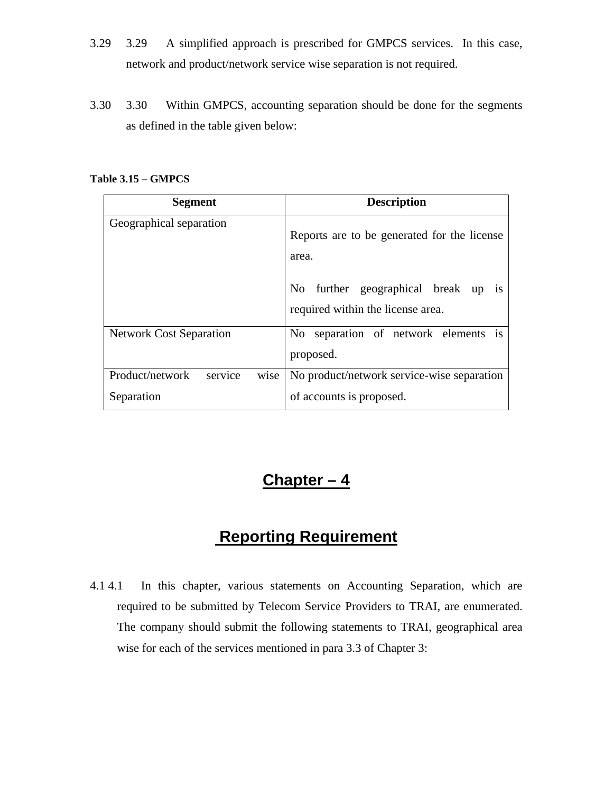- 3.29 3.29 A simplified approach is prescribed for GMPCS services. In this case, network and product/network service wise separation is not required.
- 3.30 3.30 Within GMPCS, accounting separation should be done for the segments as defined in the table given below:

#### **Table 3.15 – GMPCS**

| <b>Segment</b>                                   | <b>Description</b>                                                                                                            |
|--------------------------------------------------|-------------------------------------------------------------------------------------------------------------------------------|
| Geographical separation                          | Reports are to be generated for the license<br>area.<br>No further geographical break up<br>required within the license area. |
| <b>Network Cost Separation</b>                   | No separation of network elements is<br>proposed.                                                                             |
| Product/network<br>service<br>wise<br>Separation | No product/network service-wise separation<br>of accounts is proposed.                                                        |

# **Chapter – 4**

# **Reporting Requirement**

4.1 4.1 In this chapter, various statements on Accounting Separation, which are required to be submitted by Telecom Service Providers to TRAI, are enumerated. The company should submit the following statements to TRAI, geographical area wise for each of the services mentioned in para 3.3 of Chapter 3: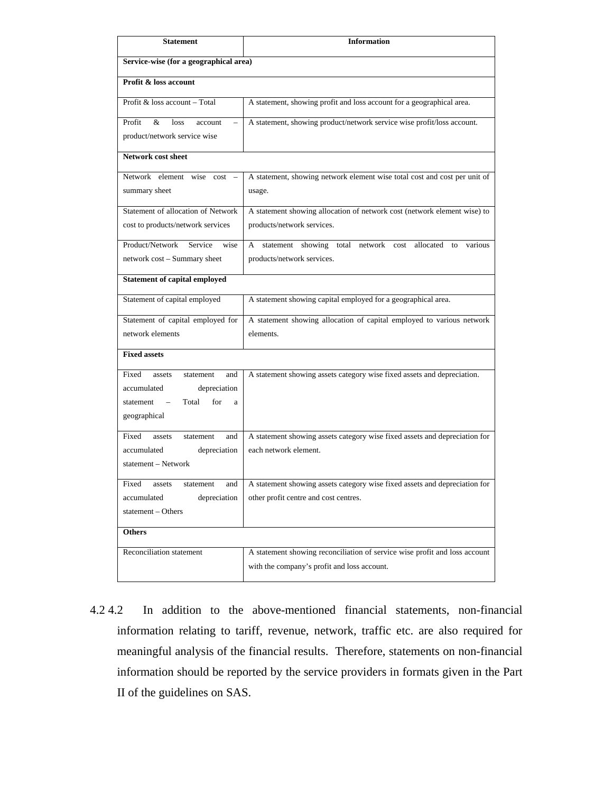| <b>Statement</b>                                                   | <b>Information</b>                                                                                  |
|--------------------------------------------------------------------|-----------------------------------------------------------------------------------------------------|
| Service-wise (for a geographical area)                             |                                                                                                     |
| <b>Profit &amp; loss account</b>                                   |                                                                                                     |
| Profit & loss account – Total                                      | A statement, showing profit and loss account for a geographical area.                               |
| &<br>Profit<br>loss<br>account<br>$\qquad \qquad -$                | A statement, showing product/network service wise profit/loss account.                              |
| product/network service wise                                       |                                                                                                     |
| <b>Network cost sheet</b>                                          |                                                                                                     |
| Network element wise cost -                                        | A statement, showing network element wise total cost and cost per unit of                           |
| summary sheet                                                      | usage.                                                                                              |
| Statement of allocation of Network                                 | A statement showing allocation of network cost (network element wise) to                            |
| cost to products/network services                                  | products/network services.                                                                          |
| Product/Network<br>Service<br>wise                                 | statement showing total<br>network cost<br>allocated<br>A<br>to<br>various                          |
| network cost - Summary sheet                                       | products/network services.                                                                          |
| <b>Statement of capital employed</b>                               |                                                                                                     |
| Statement of capital employed                                      | A statement showing capital employed for a geographical area.                                       |
| Statement of capital employed for                                  | A statement showing allocation of capital employed to various network                               |
| network elements                                                   | elements.                                                                                           |
| <b>Fixed assets</b>                                                |                                                                                                     |
| Fixed<br>and<br>assets<br>statement                                | A statement showing assets category wise fixed assets and depreciation.                             |
| accumulated<br>depreciation<br>for<br>Total                        |                                                                                                     |
| statement<br>a<br>geographical                                     |                                                                                                     |
|                                                                    |                                                                                                     |
| Fixed<br>assets<br>and<br>statement<br>depreciation<br>accumulated | A statement showing assets category wise fixed assets and depreciation for<br>each network element. |
| statement – Network                                                |                                                                                                     |
| <b>Fixed</b><br>assets<br>statement<br>and                         | A statement showing assets category wise fixed assets and depreciation for                          |
| accumulated<br>depreciation                                        | other profit centre and cost centres.                                                               |
| statement - Others                                                 |                                                                                                     |
| <b>Others</b>                                                      |                                                                                                     |
| Reconciliation statement                                           | A statement showing reconciliation of service wise profit and loss account                          |
|                                                                    | with the company's profit and loss account.                                                         |

4.2 4.2 In addition to the above-mentioned financial statements, non-financial information relating to tariff, revenue, network, traffic etc. are also required for meaningful analysis of the financial results. Therefore, statements on non-financial information should be reported by the service providers in formats given in the Part II of the guidelines on SAS.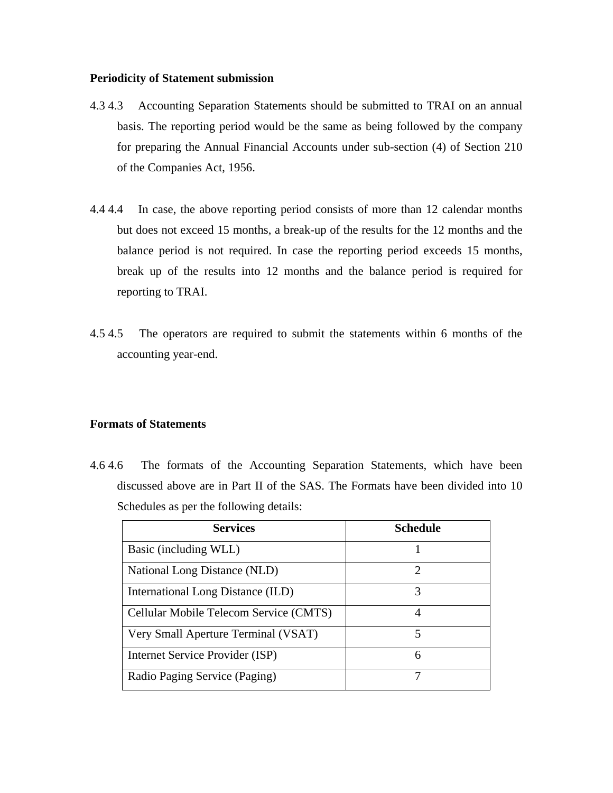#### **Periodicity of Statement submission**

- 4.3 4.3 Accounting Separation Statements should be submitted to TRAI on an annual basis. The reporting period would be the same as being followed by the company for preparing the Annual Financial Accounts under sub-section (4) of Section 210 of the Companies Act, 1956.
- 4.4 4.4 In case, the above reporting period consists of more than 12 calendar months but does not exceed 15 months, a break-up of the results for the 12 months and the balance period is not required. In case the reporting period exceeds 15 months, break up of the results into 12 months and the balance period is required for reporting to TRAI.
- 4.5 4.5 The operators are required to submit the statements within 6 months of the accounting year-end.

## **Formats of Statements**

4.6 4.6 The formats of the Accounting Separation Statements, which have been discussed above are in Part II of the SAS. The Formats have been divided into 10 Schedules as per the following details:

| <b>Services</b>                        | <b>Schedule</b>             |
|----------------------------------------|-----------------------------|
| Basic (including WLL)                  |                             |
| National Long Distance (NLD)           | $\mathcal{D}_{\mathcal{L}}$ |
| International Long Distance (ILD)      | 3                           |
| Cellular Mobile Telecom Service (CMTS) |                             |
| Very Small Aperture Terminal (VSAT)    | 5                           |
| Internet Service Provider (ISP)        | 6                           |
| Radio Paging Service (Paging)          |                             |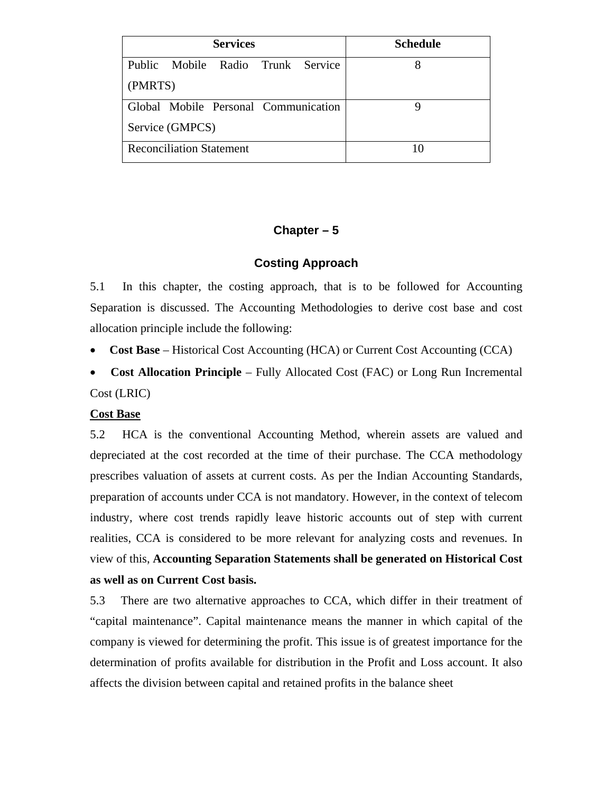| <b>Services</b>                             | <b>Schedule</b> |
|---------------------------------------------|-----------------|
| <b>Public</b><br>Mobile Radio Trunk Service |                 |
| (PMRTS)                                     |                 |
| Global Mobile Personal Communication        |                 |
| Service (GMPCS)                             |                 |
| <b>Reconciliation Statement</b>             |                 |

# **Chapter – 5**

## **Costing Approach**

5.1 In this chapter, the costing approach, that is to be followed for Accounting Separation is discussed. The Accounting Methodologies to derive cost base and cost allocation principle include the following:

• **Cost Base** – Historical Cost Accounting (HCA) or Current Cost Accounting (CCA)

• **Cost Allocation Principle** – Fully Allocated Cost (FAC) or Long Run Incremental Cost (LRIC)

## **Cost Base**

5.2 HCA is the conventional Accounting Method, wherein assets are valued and depreciated at the cost recorded at the time of their purchase. The CCA methodology prescribes valuation of assets at current costs. As per the Indian Accounting Standards, preparation of accounts under CCA is not mandatory. However, in the context of telecom industry, where cost trends rapidly leave historic accounts out of step with current realities, CCA is considered to be more relevant for analyzing costs and revenues. In view of this, **Accounting Separation Statements shall be generated on Historical Cost as well as on Current Cost basis.**

5.3 There are two alternative approaches to CCA, which differ in their treatment of "capital maintenance". Capital maintenance means the manner in which capital of the company is viewed for determining the profit. This issue is of greatest importance for the determination of profits available for distribution in the Profit and Loss account. It also affects the division between capital and retained profits in the balance sheet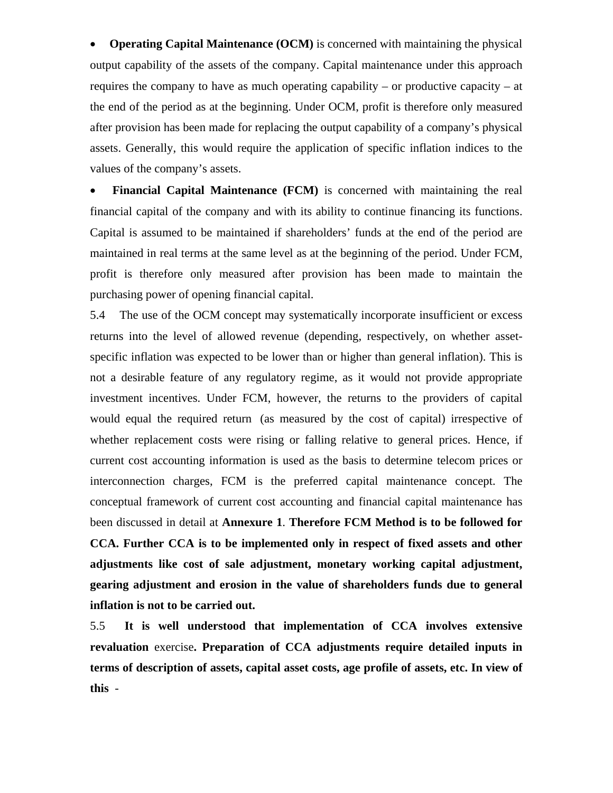• **Operating Capital Maintenance (OCM)** is concerned with maintaining the physical output capability of the assets of the company. Capital maintenance under this approach requires the company to have as much operating capability – or productive capacity – at the end of the period as at the beginning. Under OCM, profit is therefore only measured after provision has been made for replacing the output capability of a company's physical assets. Generally, this would require the application of specific inflation indices to the values of the company's assets.

• **Financial Capital Maintenance (FCM)** is concerned with maintaining the real financial capital of the company and with its ability to continue financing its functions. Capital is assumed to be maintained if shareholders' funds at the end of the period are maintained in real terms at the same level as at the beginning of the period. Under FCM, profit is therefore only measured after provision has been made to maintain the purchasing power of opening financial capital.

5.4 The use of the OCM concept may systematically incorporate insufficient or excess returns into the level of allowed revenue (depending, respectively, on whether assetspecific inflation was expected to be lower than or higher than general inflation). This is not a desirable feature of any regulatory regime, as it would not provide appropriate investment incentives. Under FCM, however, the returns to the providers of capital would equal the required return (as measured by the cost of capital) irrespective of whether replacement costs were rising or falling relative to general prices. Hence, if current cost accounting information is used as the basis to determine telecom prices or interconnection charges, FCM is the preferred capital maintenance concept. The conceptual framework of current cost accounting and financial capital maintenance has been discussed in detail at **Annexure 1**. **Therefore FCM Method is to be followed for CCA. Further CCA is to be implemented only in respect of fixed assets and other adjustments like cost of sale adjustment, monetary working capital adjustment, gearing adjustment and erosion in the value of shareholders funds due to general inflation is not to be carried out.**

5.5 **It is well understood that implementation of CCA involves extensive revaluation** exercise**. Preparation of CCA adjustments require detailed inputs in terms of description of assets, capital asset costs, age profile of assets, etc. In view of this** -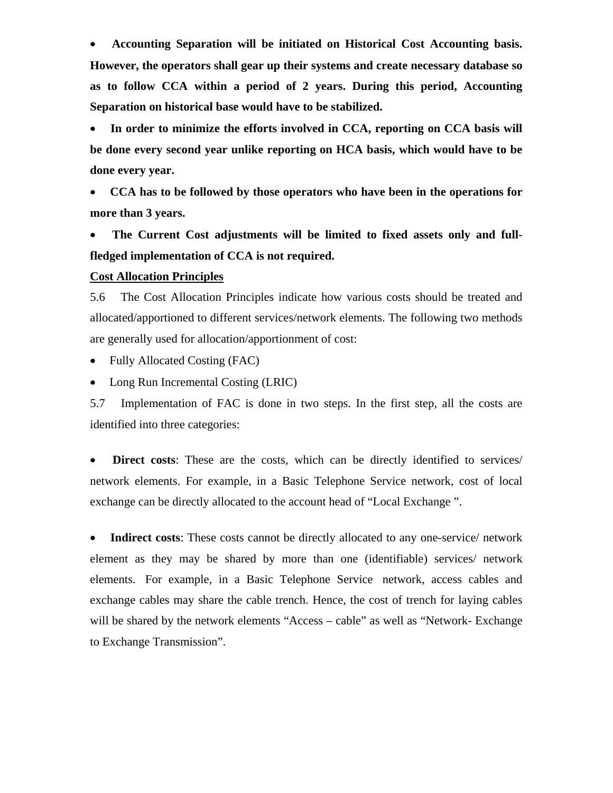• **Accounting Separation will be initiated on Historical Cost Accounting basis. However, the operators shall gear up their systems and create necessary database so as to follow CCA within a period of 2 years. During this period, Accounting Separation on historical base would have to be stabilized.** 

• **In order to minimize the efforts involved in CCA, reporting on CCA basis will be done every second year unlike reporting on HCA basis, which would have to be done every year.** 

• **CCA has to be followed by those operators who have been in the operations for more than 3 years.**

• **The Current Cost adjustments will be limited to fixed assets only and fullfledged implementation of CCA is not required.**

#### **Cost Allocation Principles**

5.6 The Cost Allocation Principles indicate how various costs should be treated and allocated/apportioned to different services/network elements. The following two methods are generally used for allocation/apportionment of cost:

- Fully Allocated Costing (FAC)
- Long Run Incremental Costing (LRIC)

5.7 Implementation of FAC is done in two steps. In the first step, all the costs are identified into three categories:

• **Direct costs**: These are the costs, which can be directly identified to services/ network elements. For example, in a Basic Telephone Service network, cost of local exchange can be directly allocated to the account head of "Local Exchange ".

• **Indirect costs:** These costs cannot be directly allocated to any one-service/ network element as they may be shared by more than one (identifiable) services/ network elements. For example, in a Basic Telephone Service network, access cables and exchange cables may share the cable trench. Hence, the cost of trench for laying cables will be shared by the network elements "Access – cable" as well as "Network- Exchange to Exchange Transmission".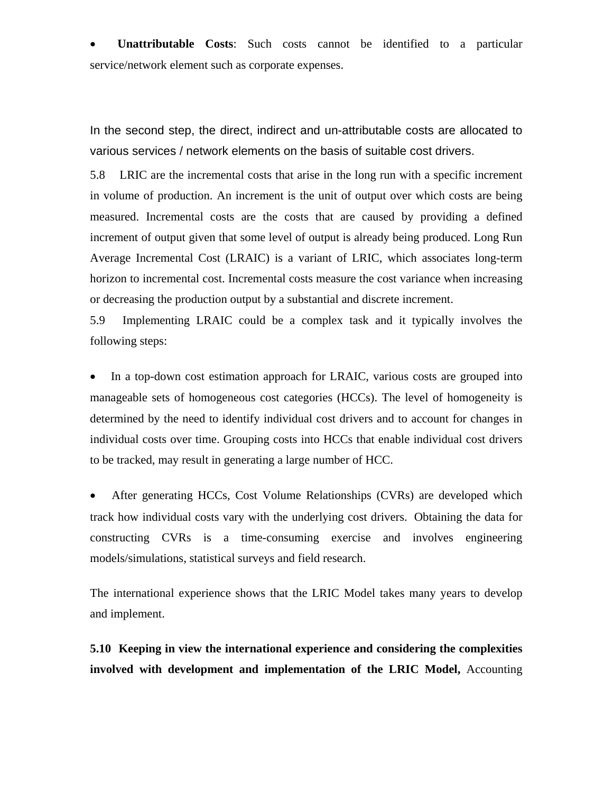• **Unattributable Costs**: Such costs cannot be identified to a particular service/network element such as corporate expenses.

In the second step, the direct, indirect and un-attributable costs are allocated to various services / network elements on the basis of suitable cost drivers.

5.8 LRIC are the incremental costs that arise in the long run with a specific increment in volume of production. An increment is the unit of output over which costs are being measured. Incremental costs are the costs that are caused by providing a defined increment of output given that some level of output is already being produced. Long Run Average Incremental Cost (LRAIC) is a variant of LRIC, which associates long-term horizon to incremental cost. Incremental costs measure the cost variance when increasing or decreasing the production output by a substantial and discrete increment.

5.9 Implementing LRAIC could be a complex task and it typically involves the following steps:

• In a top-down cost estimation approach for LRAIC, various costs are grouped into manageable sets of homogeneous cost categories (HCCs). The level of homogeneity is determined by the need to identify individual cost drivers and to account for changes in individual costs over time. Grouping costs into HCCs that enable individual cost drivers to be tracked, may result in generating a large number of HCC.

• After generating HCCs, Cost Volume Relationships (CVRs) are developed which track how individual costs vary with the underlying cost drivers. Obtaining the data for constructing CVRs is a time-consuming exercise and involves engineering models/simulations, statistical surveys and field research.

The international experience shows that the LRIC Model takes many years to develop and implement.

**5.10 Keeping in view the international experience and considering the complexities involved with development and implementation of the LRIC Model,** Accounting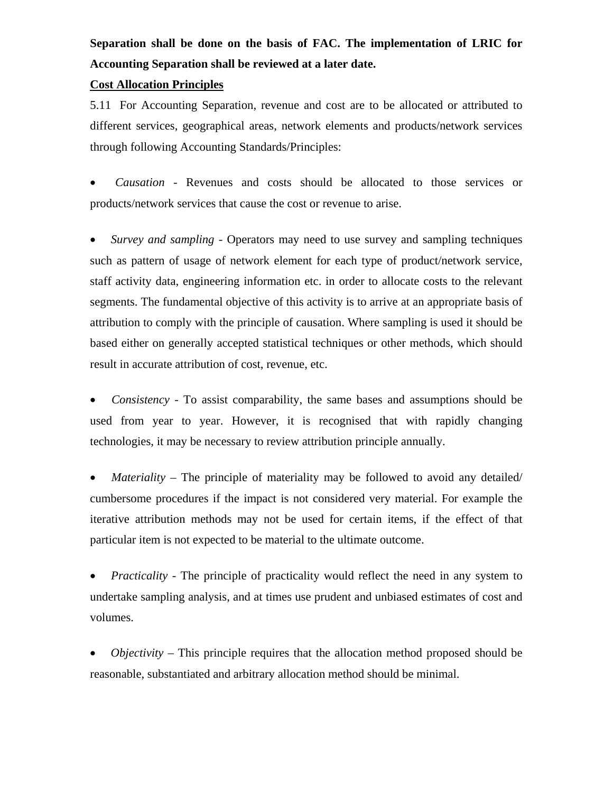# **Separation shall be done on the basis of FAC. The implementation of LRIC for Accounting Separation shall be reviewed at a later date.**

#### **Cost Allocation Principles**

5.11 For Accounting Separation, revenue and cost are to be allocated or attributed to different services, geographical areas, network elements and products/network services through following Accounting Standards/Principles:

• *Causation* - Revenues and costs should be allocated to those services or products/network services that cause the cost or revenue to arise.

• *Survey and sampling* - Operators may need to use survey and sampling techniques such as pattern of usage of network element for each type of product/network service, staff activity data, engineering information etc. in order to allocate costs to the relevant segments. The fundamental objective of this activity is to arrive at an appropriate basis of attribution to comply with the principle of causation. Where sampling is used it should be based either on generally accepted statistical techniques or other methods, which should result in accurate attribution of cost, revenue, etc.

• *Consistency* - To assist comparability, the same bases and assumptions should be used from year to year. However, it is recognised that with rapidly changing technologies, it may be necessary to review attribution principle annually.

• *Materiality* – The principle of materiality may be followed to avoid any detailed/ cumbersome procedures if the impact is not considered very material. For example the iterative attribution methods may not be used for certain items, if the effect of that particular item is not expected to be material to the ultimate outcome.

• *Practicality* - The principle of practicality would reflect the need in any system to undertake sampling analysis, and at times use prudent and unbiased estimates of cost and volumes.

• *Objectivity* – This principle requires that the allocation method proposed should be reasonable, substantiated and arbitrary allocation method should be minimal.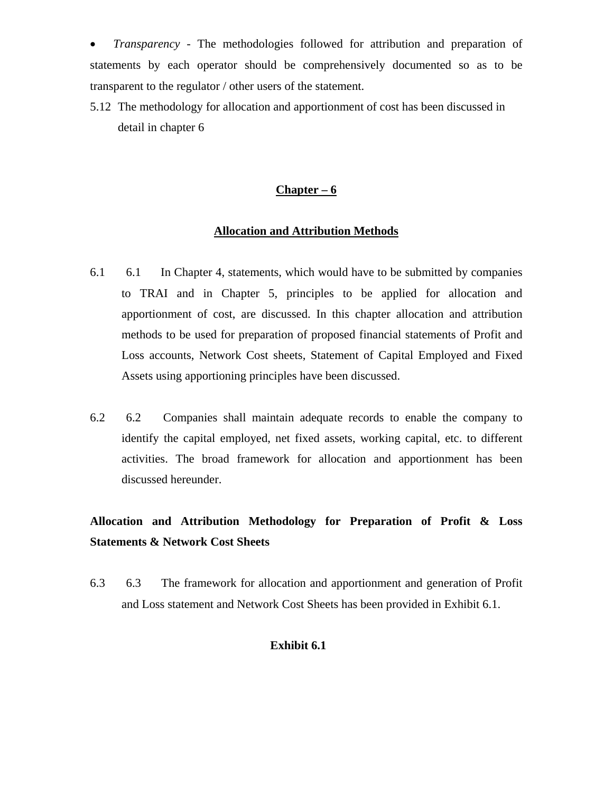• *Transparency -* The methodologies followed for attribution and preparation of statements by each operator should be comprehensively documented so as to be transparent to the regulator / other users of the statement.

5.12 The methodology for allocation and apportionment of cost has been discussed in detail in chapter 6

#### **Chapter – 6**

#### **Allocation and Attribution Methods**

- 6.1 6.1 In Chapter 4, statements, which would have to be submitted by companies to TRAI and in Chapter 5, principles to be applied for allocation and apportionment of cost, are discussed. In this chapter allocation and attribution methods to be used for preparation of proposed financial statements of Profit and Loss accounts, Network Cost sheets, Statement of Capital Employed and Fixed Assets using apportioning principles have been discussed.
- 6.2 6.2 Companies shall maintain adequate records to enable the company to identify the capital employed, net fixed assets, working capital, etc. to different activities. The broad framework for allocation and apportionment has been discussed hereunder.

# **Allocation and Attribution Methodology for Preparation of Profit & Loss Statements & Network Cost Sheets**

6.3 6.3 The framework for allocation and apportionment and generation of Profit and Loss statement and Network Cost Sheets has been provided in Exhibit 6.1.

#### **Exhibit 6.1**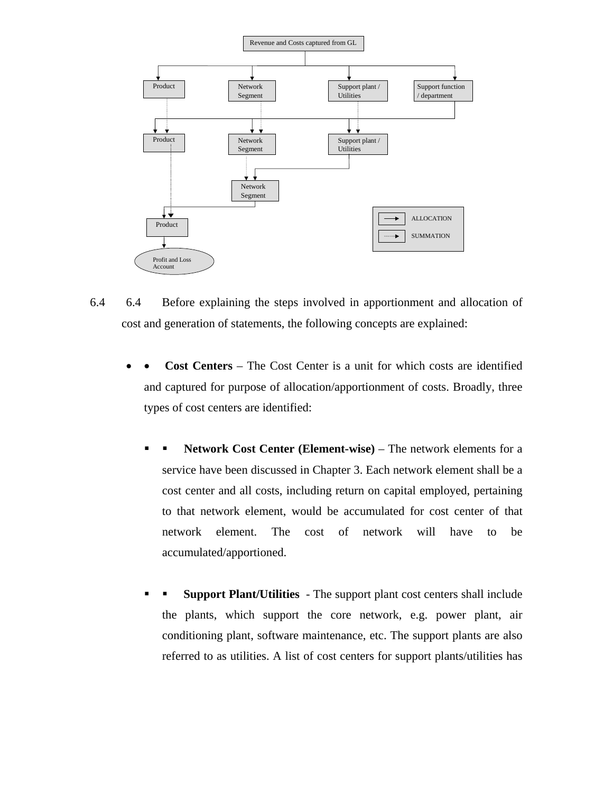

- 6.4 6.4 Before explaining the steps involved in apportionment and allocation of cost and generation of statements, the following concepts are explained:
	- **Cost Centers** The Cost Center is a unit for which costs are identified and captured for purpose of allocation/apportionment of costs. Broadly, three types of cost centers are identified:
		- **Network Cost Center (Element-wise)** The network elements for a service have been discussed in Chapter 3. Each network element shall be a cost center and all costs, including return on capital employed, pertaining to that network element, would be accumulated for cost center of that network element. The cost of network will have to be accumulated/apportioned.
		- **Support Plant/Utilities**  The support plant cost centers shall include the plants, which support the core network, e.g. power plant, air conditioning plant, software maintenance, etc. The support plants are also referred to as utilities. A list of cost centers for support plants/utilities has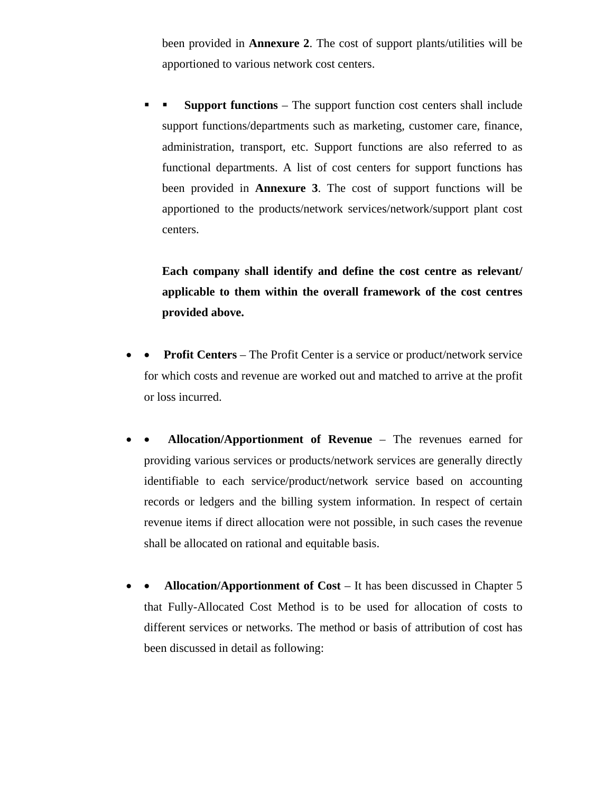been provided in **Annexure 2**. The cost of support plants/utilities will be apportioned to various network cost centers.

 **Support functions** – The support function cost centers shall include support functions/departments such as marketing, customer care, finance, administration, transport, etc. Support functions are also referred to as functional departments. A list of cost centers for support functions has been provided in **Annexure 3**. The cost of support functions will be apportioned to the products/network services/network/support plant cost centers.

**Each company shall identify and define the cost centre as relevant/ applicable to them within the overall framework of the cost centres provided above.** 

- **Profit Centers** The Profit Center is a service or product/network service for which costs and revenue are worked out and matched to arrive at the profit or loss incurred.
- • **Allocation/Apportionment of Revenue**  The revenues earned for providing various services or products/network services are generally directly identifiable to each service/product/network service based on accounting records or ledgers and the billing system information. In respect of certain revenue items if direct allocation were not possible, in such cases the revenue shall be allocated on rational and equitable basis.
- • **Allocation/Apportionment of Cost** It has been discussed in Chapter 5 that Fully-Allocated Cost Method is to be used for allocation of costs to different services or networks. The method or basis of attribution of cost has been discussed in detail as following: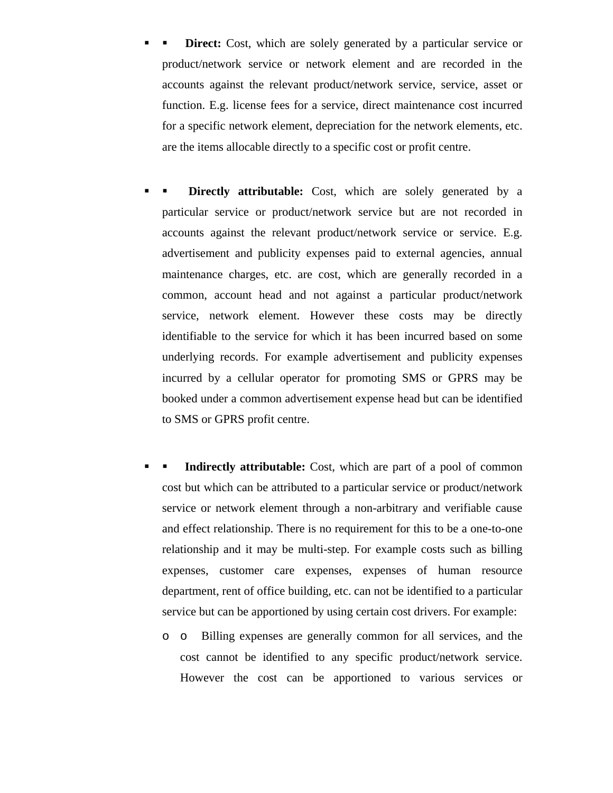- **Direct:** Cost, which are solely generated by a particular service or product/network service or network element and are recorded in the accounts against the relevant product/network service, service, asset or function. E.g. license fees for a service, direct maintenance cost incurred for a specific network element, depreciation for the network elements, etc. are the items allocable directly to a specific cost or profit centre.
- **Directly attributable:** Cost, which are solely generated by a particular service or product/network service but are not recorded in accounts against the relevant product/network service or service. E.g. advertisement and publicity expenses paid to external agencies, annual maintenance charges, etc. are cost, which are generally recorded in a common, account head and not against a particular product/network service, network element. However these costs may be directly identifiable to the service for which it has been incurred based on some underlying records. For example advertisement and publicity expenses incurred by a cellular operator for promoting SMS or GPRS may be booked under a common advertisement expense head but can be identified to SMS or GPRS profit centre.
- **Indirectly attributable:** Cost, which are part of a pool of common cost but which can be attributed to a particular service or product/network service or network element through a non-arbitrary and verifiable cause and effect relationship. There is no requirement for this to be a one-to-one relationship and it may be multi-step. For example costs such as billing expenses, customer care expenses, expenses of human resource department, rent of office building, etc. can not be identified to a particular service but can be apportioned by using certain cost drivers. For example:
	- o o Billing expenses are generally common for all services, and the cost cannot be identified to any specific product/network service. However the cost can be apportioned to various services or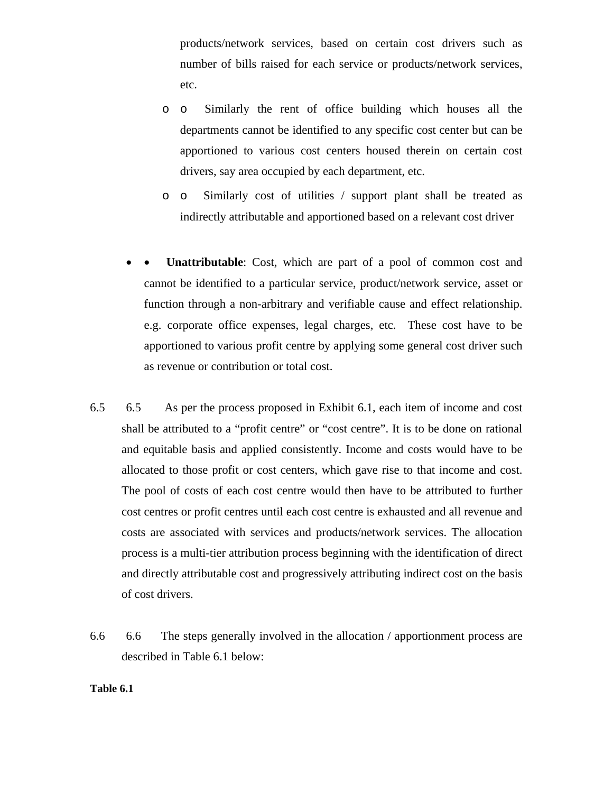products/network services, based on certain cost drivers such as number of bills raised for each service or products/network services, etc.

- o o Similarly the rent of office building which houses all the departments cannot be identified to any specific cost center but can be apportioned to various cost centers housed therein on certain cost drivers, say area occupied by each department, etc.
- o o Similarly cost of utilities / support plant shall be treated as indirectly attributable and apportioned based on a relevant cost driver
- Unattributable: Cost, which are part of a pool of common cost and cannot be identified to a particular service, product/network service, asset or function through a non-arbitrary and verifiable cause and effect relationship. e.g. corporate office expenses, legal charges, etc. These cost have to be apportioned to various profit centre by applying some general cost driver such as revenue or contribution or total cost.
- 6.5 6.5 As per the process proposed in Exhibit 6.1, each item of income and cost shall be attributed to a "profit centre" or "cost centre". It is to be done on rational and equitable basis and applied consistently. Income and costs would have to be allocated to those profit or cost centers, which gave rise to that income and cost. The pool of costs of each cost centre would then have to be attributed to further cost centres or profit centres until each cost centre is exhausted and all revenue and costs are associated with services and products/network services. The allocation process is a multi-tier attribution process beginning with the identification of direct and directly attributable cost and progressively attributing indirect cost on the basis of cost drivers.
- 6.6 6.6 The steps generally involved in the allocation / apportionment process are described in Table 6.1 below:

#### **Table 6.1**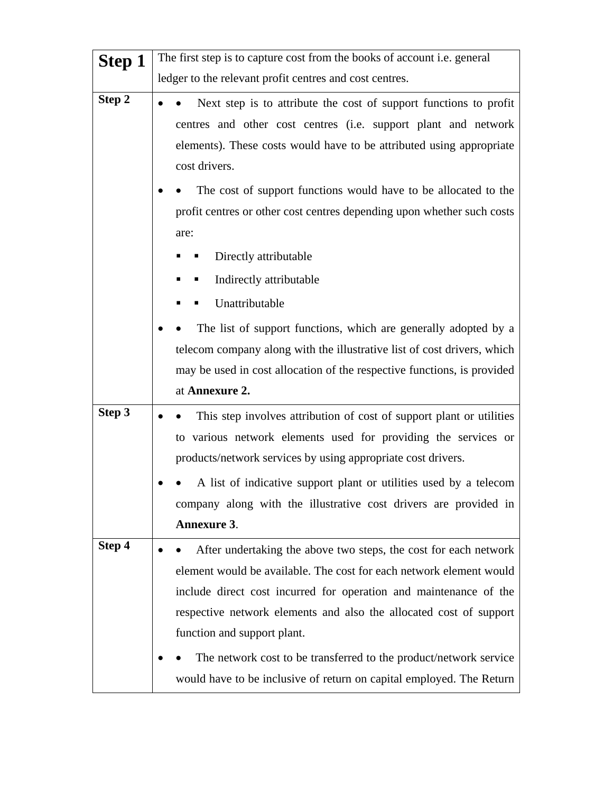| Step 1 | The first step is to capture cost from the books of account <i>i.e.</i> general |  |
|--------|---------------------------------------------------------------------------------|--|
|        | ledger to the relevant profit centres and cost centres.                         |  |
| Step 2 | Next step is to attribute the cost of support functions to profit               |  |
|        | centres and other cost centres (i.e. support plant and network                  |  |
|        | elements). These costs would have to be attributed using appropriate            |  |
|        | cost drivers.                                                                   |  |
|        | The cost of support functions would have to be allocated to the                 |  |
|        | profit centres or other cost centres depending upon whether such costs          |  |
|        | are:                                                                            |  |
|        | Directly attributable                                                           |  |
|        | Indirectly attributable<br>п                                                    |  |
|        | Unattributable                                                                  |  |
|        | The list of support functions, which are generally adopted by a                 |  |
|        | telecom company along with the illustrative list of cost drivers, which         |  |
|        | may be used in cost allocation of the respective functions, is provided         |  |
|        | at Annexure 2.                                                                  |  |
| Step 3 | This step involves attribution of cost of support plant or utilities            |  |
|        | to various network elements used for providing the services or                  |  |
|        | products/network services by using appropriate cost drivers.                    |  |
|        | A list of indicative support plant or utilities used by a telecom               |  |
|        | company along with the illustrative cost drivers are provided in                |  |
|        | <b>Annexure 3.</b>                                                              |  |
| Step 4 | After undertaking the above two steps, the cost for each network                |  |
|        | element would be available. The cost for each network element would             |  |
|        | include direct cost incurred for operation and maintenance of the               |  |
|        | respective network elements and also the allocated cost of support              |  |
|        | function and support plant.                                                     |  |
|        | The network cost to be transferred to the product/network service               |  |
|        | would have to be inclusive of return on capital employed. The Return            |  |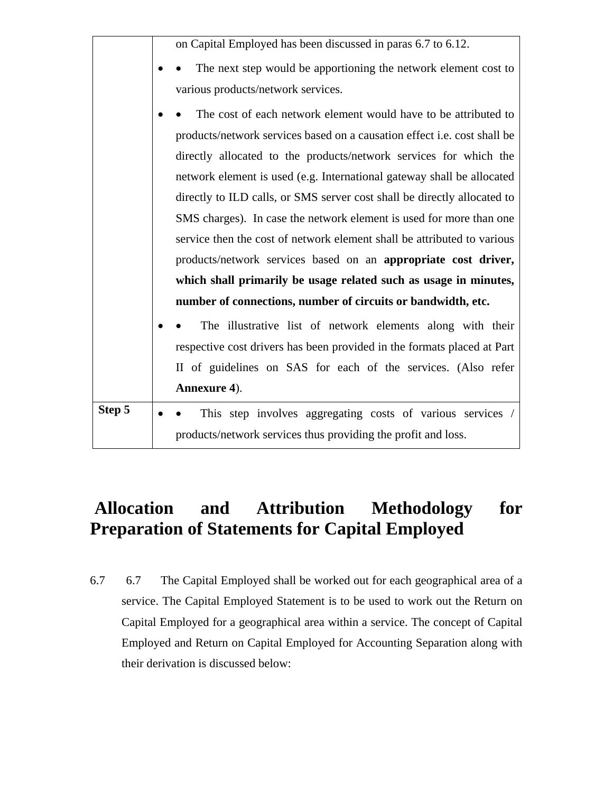|        | on Capital Employed has been discussed in paras 6.7 to 6.12.             |
|--------|--------------------------------------------------------------------------|
|        | The next step would be apportioning the network element cost to          |
|        | various products/network services.                                       |
|        | The cost of each network element would have to be attributed to          |
|        | products/network services based on a causation effect i.e. cost shall be |
|        | directly allocated to the products/network services for which the        |
|        | network element is used (e.g. International gateway shall be allocated   |
|        | directly to ILD calls, or SMS server cost shall be directly allocated to |
|        | SMS charges). In case the network element is used for more than one      |
|        | service then the cost of network element shall be attributed to various  |
|        | products/network services based on an appropriate cost driver,           |
|        | which shall primarily be usage related such as usage in minutes,         |
|        | number of connections, number of circuits or bandwidth, etc.             |
|        | The illustrative list of network elements along with their               |
|        | respective cost drivers has been provided in the formats placed at Part  |
|        | II of guidelines on SAS for each of the services. (Also refer            |
|        | Annexure 4).                                                             |
| Step 5 | This step involves aggregating costs of various services /               |
|        | products/network services thus providing the profit and loss.            |

# **Allocation and Attribution Methodology for Preparation of Statements for Capital Employed**

6.7 6.7 The Capital Employed shall be worked out for each geographical area of a service. The Capital Employed Statement is to be used to work out the Return on Capital Employed for a geographical area within a service. The concept of Capital Employed and Return on Capital Employed for Accounting Separation along with their derivation is discussed below: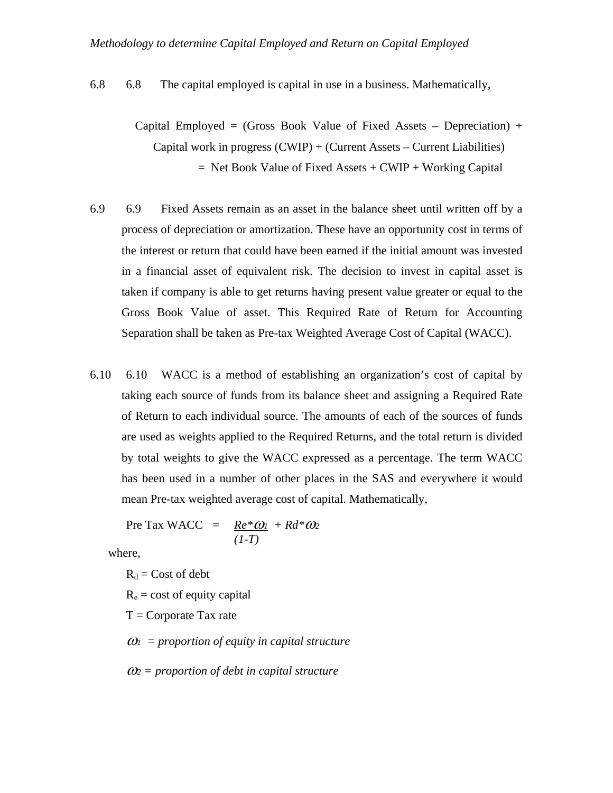6.8 6.8 The capital employed is capital in use in a business. Mathematically,

- Capital Employed = (Gross Book Value of Fixed Assets Depreciation) + Capital work in progress  $(CWIP) + (Current Assets - Current Liabilities)$  $=$  Net Book Value of Fixed Assets  $+$  CWIP  $+$  Working Capital
- 6.9 6.9 Fixed Assets remain as an asset in the balance sheet until written off by a process of depreciation or amortization. These have an opportunity cost in terms of the interest or return that could have been earned if the initial amount was invested in a financial asset of equivalent risk. The decision to invest in capital asset is taken if company is able to get returns having present value greater or equal to the Gross Book Value of asset. This Required Rate of Return for Accounting Separation shall be taken as Pre-tax Weighted Average Cost of Capital (WACC).
- 6.10 6.10 WACC is a method of establishing an organization's cost of capital by taking each source of funds from its balance sheet and assigning a Required Rate of Return to each individual source. The amounts of each of the sources of funds are used as weights applied to the Required Returns, and the total return is divided by total weights to give the WACC expressed as a percentage. The term WACC has been used in a number of other places in the SAS and everywhere it would mean Pre-tax weighted average cost of capital. Mathematically,

Pre Tax WACC =  $Re^* \omega_1 + Rd^* \omega_2$  $(I-T)$ 

where,

 $R_d$  = Cost of debt  $R_e$  = cost of equity capital

 $T =$ Corporate Tax rate

<sup>ω</sup>*1 = proportion of equity in capital structure* 

ω*2 = proportion of debt in capital structure*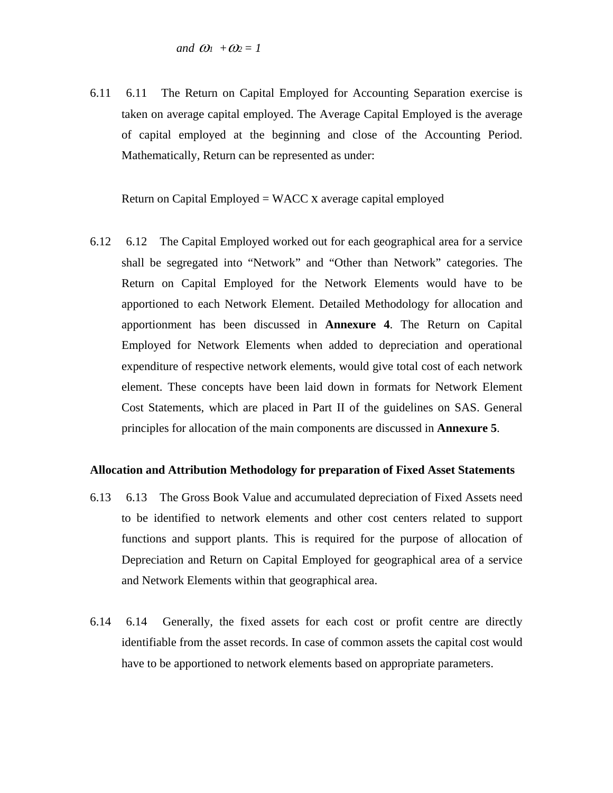6.11 6.11 The Return on Capital Employed for Accounting Separation exercise is taken on average capital employed. The Average Capital Employed is the average of capital employed at the beginning and close of the Accounting Period. Mathematically, Return can be represented as under:

Return on Capital Employed = WACC x average capital employed

6.12 6.12 The Capital Employed worked out for each geographical area for a service shall be segregated into "Network" and "Other than Network" categories. The Return on Capital Employed for the Network Elements would have to be apportioned to each Network Element. Detailed Methodology for allocation and apportionment has been discussed in **Annexure 4**. The Return on Capital Employed for Network Elements when added to depreciation and operational expenditure of respective network elements, would give total cost of each network element. These concepts have been laid down in formats for Network Element Cost Statements, which are placed in Part II of the guidelines on SAS. General principles for allocation of the main components are discussed in **Annexure 5**.

#### **Allocation and Attribution Methodology for preparation of Fixed Asset Statements**

- 6.13 6.13 The Gross Book Value and accumulated depreciation of Fixed Assets need to be identified to network elements and other cost centers related to support functions and support plants. This is required for the purpose of allocation of Depreciation and Return on Capital Employed for geographical area of a service and Network Elements within that geographical area.
- 6.14 6.14 Generally, the fixed assets for each cost or profit centre are directly identifiable from the asset records. In case of common assets the capital cost would have to be apportioned to network elements based on appropriate parameters.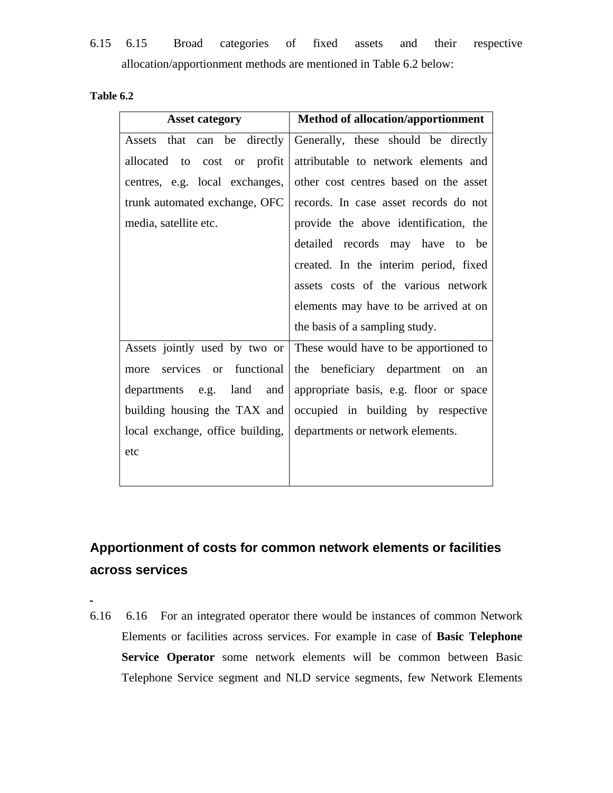6.15 6.15 Broad categories of fixed assets and their respective allocation/apportionment methods are mentioned in Table 6.2 below:

| Table 6.2 |  |
|-----------|--|
|           |  |

| <b>Asset category</b>                                               | <b>Method of allocation/apportionment</b>                           |
|---------------------------------------------------------------------|---------------------------------------------------------------------|
| Assets that can be directly                                         | Generally, these should be directly                                 |
| allocated to cost or profit                                         | attributable to network elements and                                |
| centres, e.g. local exchanges,                                      | other cost centres based on the asset                               |
| trunk automated exchange, OFC                                       | records. In case asset records do not                               |
| media, satellite etc.                                               | provide the above identification, the                               |
|                                                                     | detailed records may have to be                                     |
|                                                                     | created. In the interim period, fixed                               |
|                                                                     | assets costs of the various network                                 |
|                                                                     | elements may have to be arrived at on                               |
|                                                                     | the basis of a sampling study.                                      |
|                                                                     | Assets jointly used by two or These would have to be apportioned to |
| more                                                                | services or functional the beneficiary department on an             |
|                                                                     | departments e.g. land and appropriate basis, e.g. floor or space    |
|                                                                     | building housing the TAX and occupied in building by respective     |
| local exchange, office building,   departments or network elements. |                                                                     |
| etc                                                                 |                                                                     |
|                                                                     |                                                                     |

# **Apportionment of costs for common network elements or facilities across services**

6.16 6.16 For an integrated operator there would be instances of common Network Elements or facilities across services. For example in case of **Basic Telephone Service Operator** some network elements will be common between Basic Telephone Service segment and NLD service segments, few Network Elements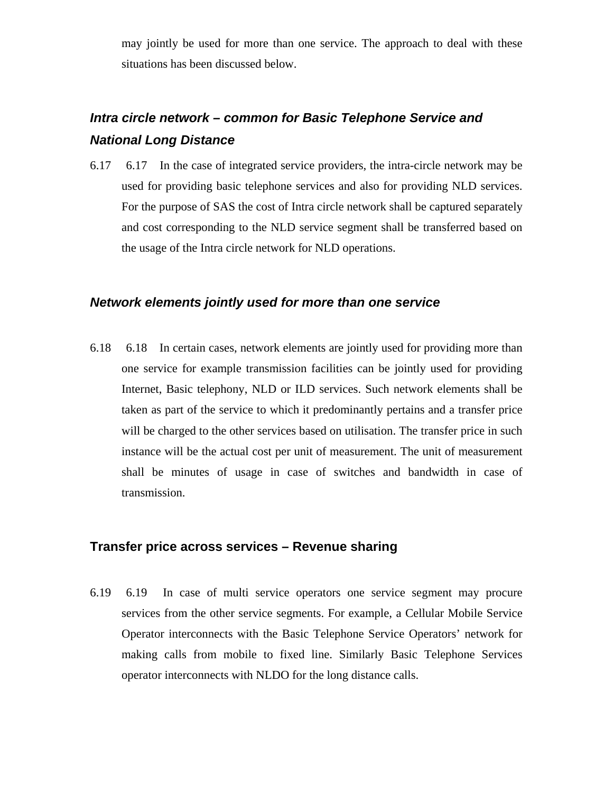may jointly be used for more than one service. The approach to deal with these situations has been discussed below.

# *Intra circle network – common for Basic Telephone Service and National Long Distance*

6.17 6.17 In the case of integrated service providers, the intra-circle network may be used for providing basic telephone services and also for providing NLD services. For the purpose of SAS the cost of Intra circle network shall be captured separately and cost corresponding to the NLD service segment shall be transferred based on the usage of the Intra circle network for NLD operations.

## *Network elements jointly used for more than one service*

6.18 6.18 In certain cases, network elements are jointly used for providing more than one service for example transmission facilities can be jointly used for providing Internet, Basic telephony, NLD or ILD services. Such network elements shall be taken as part of the service to which it predominantly pertains and a transfer price will be charged to the other services based on utilisation. The transfer price in such instance will be the actual cost per unit of measurement. The unit of measurement shall be minutes of usage in case of switches and bandwidth in case of transmission.

### **Transfer price across services – Revenue sharing**

6.19 6.19 In case of multi service operators one service segment may procure services from the other service segments. For example, a Cellular Mobile Service Operator interconnects with the Basic Telephone Service Operators' network for making calls from mobile to fixed line. Similarly Basic Telephone Services operator interconnects with NLDO for the long distance calls.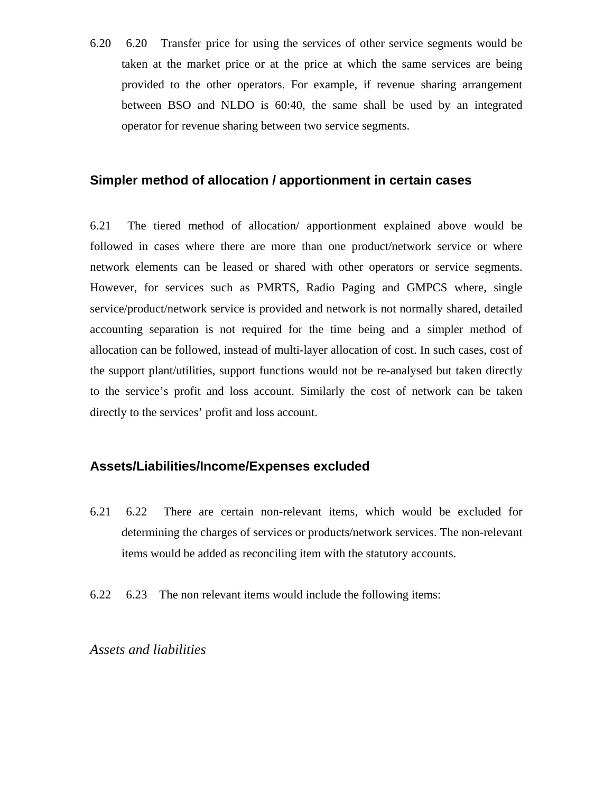6.20 6.20 Transfer price for using the services of other service segments would be taken at the market price or at the price at which the same services are being provided to the other operators. For example, if revenue sharing arrangement between BSO and NLDO is 60:40, the same shall be used by an integrated operator for revenue sharing between two service segments.

### **Simpler method of allocation / apportionment in certain cases**

6.21 The tiered method of allocation/ apportionment explained above would be followed in cases where there are more than one product/network service or where network elements can be leased or shared with other operators or service segments. However, for services such as PMRTS, Radio Paging and GMPCS where, single service/product/network service is provided and network is not normally shared, detailed accounting separation is not required for the time being and a simpler method of allocation can be followed, instead of multi-layer allocation of cost. In such cases, cost of the support plant/utilities, support functions would not be re-analysed but taken directly to the service's profit and loss account. Similarly the cost of network can be taken directly to the services' profit and loss account.

### **Assets/Liabilities/Income/Expenses excluded**

- 6.21 6.22 There are certain non-relevant items, which would be excluded for determining the charges of services or products/network services. The non-relevant items would be added as reconciling item with the statutory accounts.
- 6.22 6.23 The non relevant items would include the following items:

*Assets and liabilities*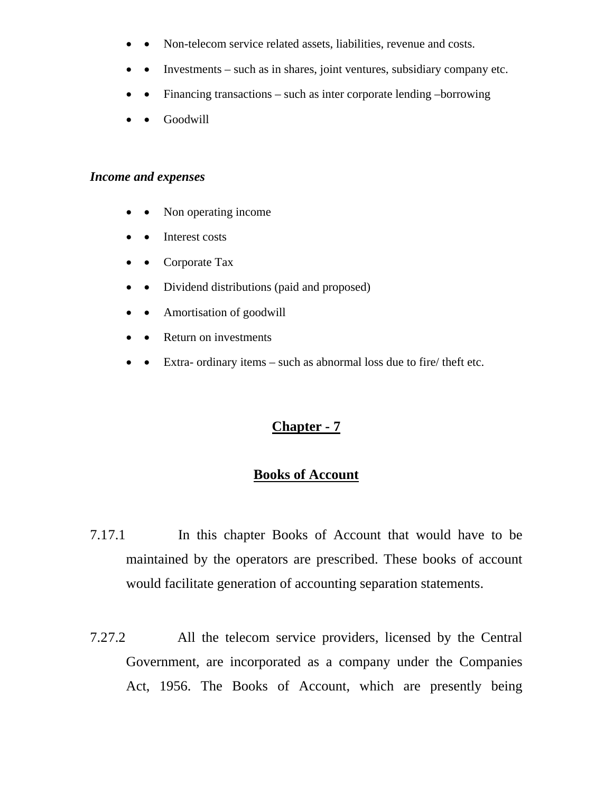- Non-telecom service related assets, liabilities, revenue and costs.
- Investments such as in shares, joint ventures, subsidiary company etc.
- Financing transactions such as inter corporate lending –borrowing
- Goodwill

### *Income and expenses*

- Non operating income
- Interest costs
- Corporate Tax
- Dividend distributions (paid and proposed)
- Amortisation of goodwill
- Return on investments
- Extra- ordinary items such as abnormal loss due to fire/ theft etc.

# **Chapter - 7**

# **Books of Account**

- 7.17.1 In this chapter Books of Account that would have to be maintained by the operators are prescribed. These books of account would facilitate generation of accounting separation statements.
- 7.27.2 All the telecom service providers, licensed by the Central Government, are incorporated as a company under the Companies Act, 1956. The Books of Account, which are presently being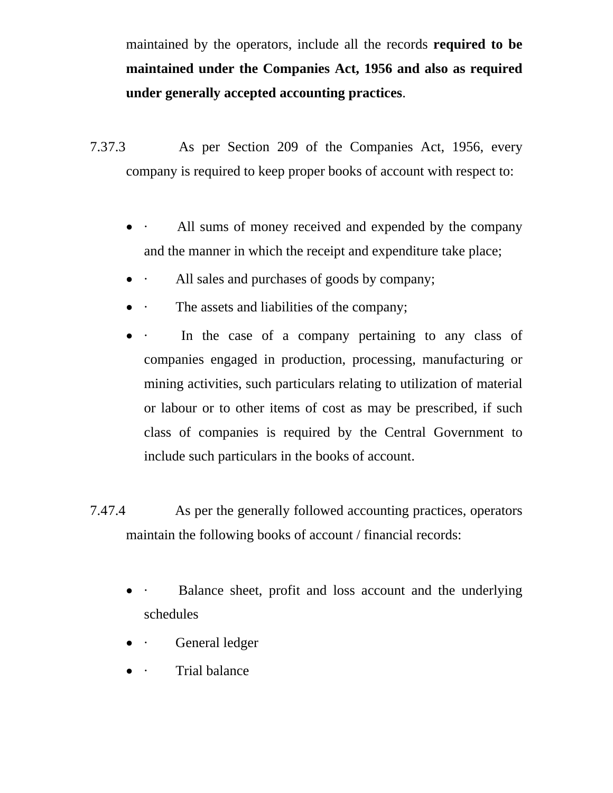maintained by the operators, include all the records **required to be maintained under the Companies Act, 1956 and also as required under generally accepted accounting practices**.

- 7.37.3 As per Section 209 of the Companies Act, 1956, every company is required to keep proper books of account with respect to:
	- All sums of money received and expended by the company and the manner in which the receipt and expenditure take place;
	- · All sales and purchases of goods by company;
	- The assets and liabilities of the company;
	- In the case of a company pertaining to any class of companies engaged in production, processing, manufacturing or mining activities, such particulars relating to utilization of material or labour or to other items of cost as may be prescribed, if such class of companies is required by the Central Government to include such particulars in the books of account.
- 7.47.4 As per the generally followed accounting practices, operators maintain the following books of account / financial records:
	- Balance sheet, profit and loss account and the underlying schedules
	- **General ledger**
	- · Trial balance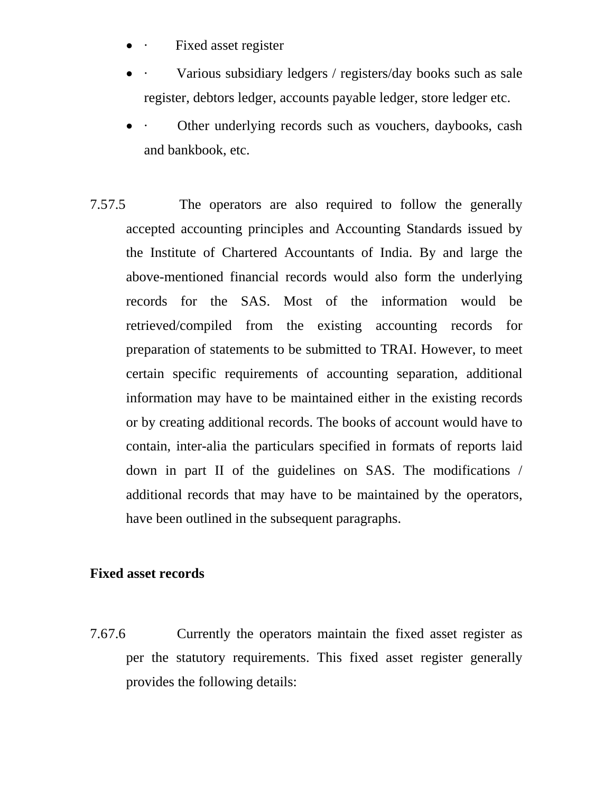- Fixed asset register
- Various subsidiary ledgers / registers/day books such as sale register, debtors ledger, accounts payable ledger, store ledger etc.
- Other underlying records such as vouchers, daybooks, cash and bankbook, etc.
- 7.57.5 The operators are also required to follow the generally accepted accounting principles and Accounting Standards issued by the Institute of Chartered Accountants of India. By and large the above-mentioned financial records would also form the underlying records for the SAS. Most of the information would be retrieved/compiled from the existing accounting records for preparation of statements to be submitted to TRAI. However, to meet certain specific requirements of accounting separation, additional information may have to be maintained either in the existing records or by creating additional records. The books of account would have to contain, inter-alia the particulars specified in formats of reports laid down in part II of the guidelines on SAS. The modifications / additional records that may have to be maintained by the operators, have been outlined in the subsequent paragraphs.

## **Fixed asset records**

7.67.6 Currently the operators maintain the fixed asset register as per the statutory requirements. This fixed asset register generally provides the following details: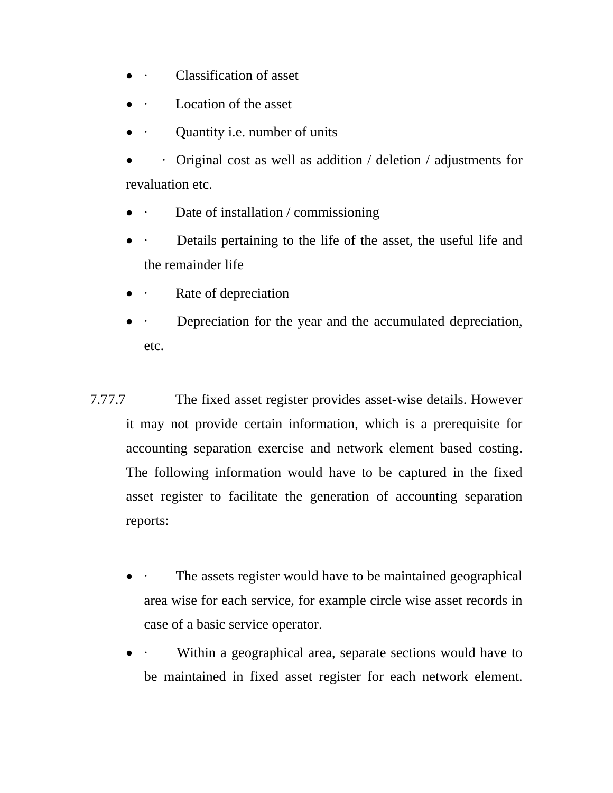- · Classification of asset
- Location of the asset
- Quantity i.e. number of units

 $\cdot$  Original cost as well as addition / deletion / adjustments for revaluation etc.

- Date of installation / commissioning
- Details pertaining to the life of the asset, the useful life and the remainder life
- · Rate of depreciation
- Depreciation for the year and the accumulated depreciation, etc.
- 7.77.7 The fixed asset register provides asset-wise details. However it may not provide certain information, which is a prerequisite for accounting separation exercise and network element based costing. The following information would have to be captured in the fixed asset register to facilitate the generation of accounting separation reports:
	- The assets register would have to be maintained geographical area wise for each service, for example circle wise asset records in case of a basic service operator.
	- Within a geographical area, separate sections would have to be maintained in fixed asset register for each network element.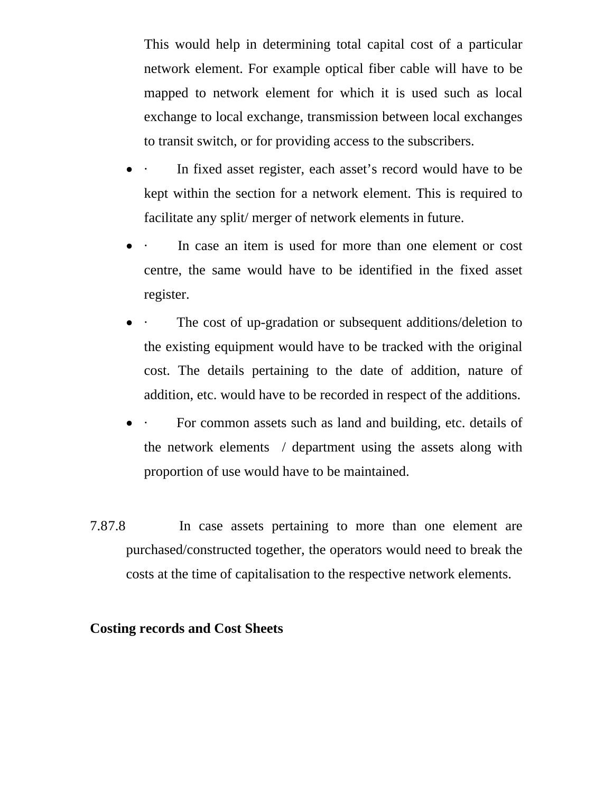This would help in determining total capital cost of a particular network element. For example optical fiber cable will have to be mapped to network element for which it is used such as local exchange to local exchange, transmission between local exchanges to transit switch, or for providing access to the subscribers.

- In fixed asset register, each asset's record would have to be kept within the section for a network element. This is required to facilitate any split/ merger of network elements in future.
- In case an item is used for more than one element or cost centre, the same would have to be identified in the fixed asset register.
- The cost of up-gradation or subsequent additions/deletion to the existing equipment would have to be tracked with the original cost. The details pertaining to the date of addition, nature of addition, etc. would have to be recorded in respect of the additions.
- For common assets such as land and building, etc. details of the network elements / department using the assets along with proportion of use would have to be maintained.
- 7.87.8 In case assets pertaining to more than one element are purchased/constructed together, the operators would need to break the costs at the time of capitalisation to the respective network elements.

## **Costing records and Cost Sheets**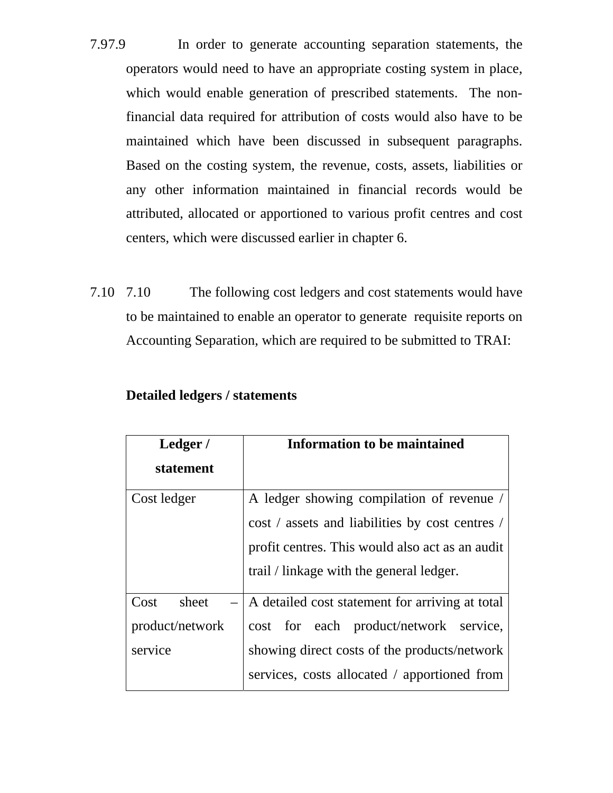- 7.97.9 In order to generate accounting separation statements, the operators would need to have an appropriate costing system in place, which would enable generation of prescribed statements. The nonfinancial data required for attribution of costs would also have to be maintained which have been discussed in subsequent paragraphs. Based on the costing system, the revenue, costs, assets, liabilities or any other information maintained in financial records would be attributed, allocated or apportioned to various profit centres and cost centers, which were discussed earlier in chapter 6.
- 7.10 7.10 The following cost ledgers and cost statements would have to be maintained to enable an operator to generate requisite reports on Accounting Separation, which are required to be submitted to TRAI:

| Ledger/         | <b>Information to be maintained</b>             |  |  |
|-----------------|-------------------------------------------------|--|--|
| statement       |                                                 |  |  |
| Cost ledger     | A ledger showing compilation of revenue /       |  |  |
|                 | cost / assets and liabilities by cost centres / |  |  |
|                 | profit centres. This would also act as an audit |  |  |
|                 | trail / linkage with the general ledger.        |  |  |
| Cost<br>sheet   | A detailed cost statement for arriving at total |  |  |
| product/network | cost for each product/network service,          |  |  |
| service         | showing direct costs of the products/network    |  |  |
|                 | services, costs allocated / apportioned from    |  |  |

### **Detailed ledgers / statements**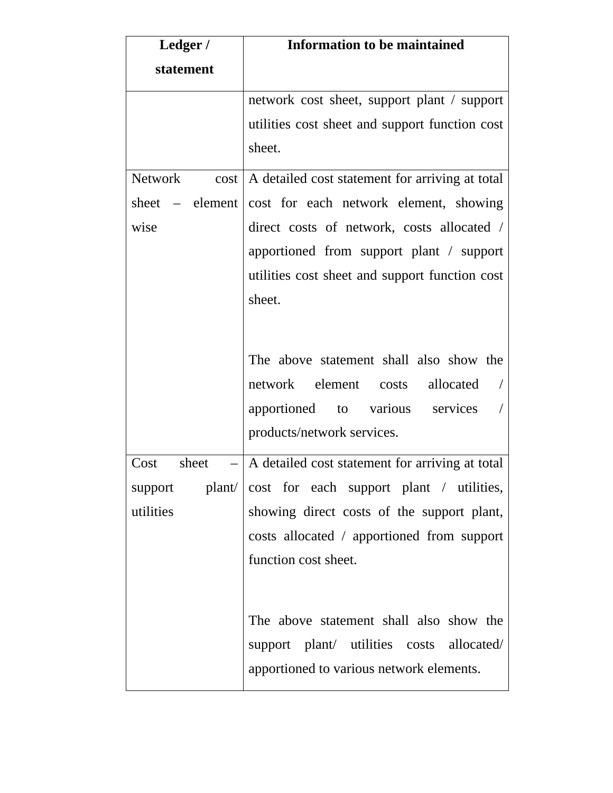| Ledger /               | <b>Information to be maintained</b>             |
|------------------------|-------------------------------------------------|
| statement              |                                                 |
|                        | network cost sheet, support plant / support     |
|                        | utilities cost sheet and support function cost  |
|                        | sheet.                                          |
| <b>Network</b><br>cost | A detailed cost statement for arriving at total |
| sheet $-$ element      | cost for each network element, showing          |
| wise                   | direct costs of network, costs allocated /      |
|                        | apportioned from support plant / support        |
|                        | utilities cost sheet and support function cost  |
|                        | sheet.                                          |
|                        |                                                 |
|                        | The above statement shall also show the         |
|                        | network element costs<br>allocated              |
|                        | apportioned to various services                 |
|                        | products/network services.                      |
| sheet<br>Cost          | A detailed cost statement for arriving at total |
| support<br>plan/       | cost for each support plant / utilities,        |
| utilities              | showing direct costs of the support plant,      |
|                        | costs allocated / apportioned from support      |
|                        | function cost sheet.                            |
|                        |                                                 |
|                        | The above statement shall also show the         |
|                        | support plant/ utilities costs allocated/       |
|                        | apportioned to various network elements.        |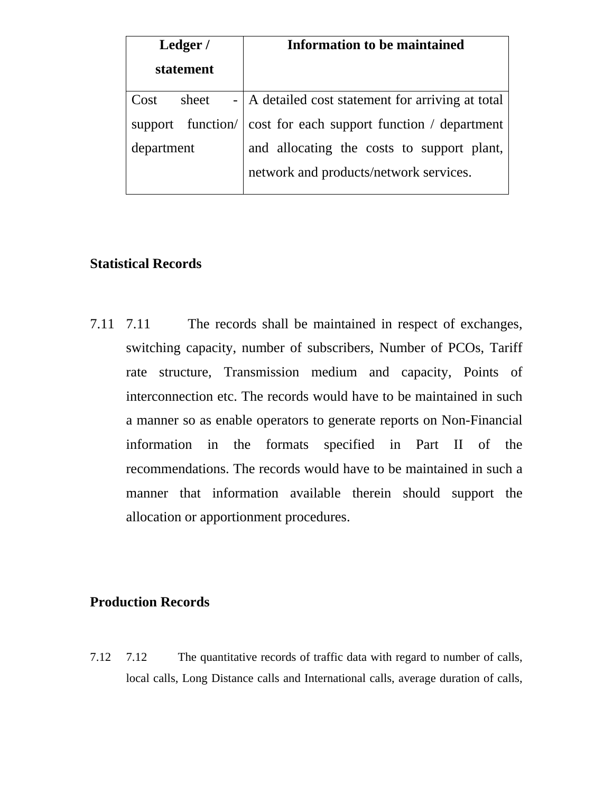| Ledger /      | <b>Information to be maintained</b>                           |  |
|---------------|---------------------------------------------------------------|--|
| statement     |                                                               |  |
| sheet<br>Cost | -   A detailed cost statement for arriving at total           |  |
|               | support function/ cost for each support function / department |  |
| department    | and allocating the costs to support plant,                    |  |
|               | network and products/network services.                        |  |

# **Statistical Records**

7.11 7.11 The records shall be maintained in respect of exchanges, switching capacity, number of subscribers, Number of PCOs, Tariff rate structure, Transmission medium and capacity, Points of interconnection etc. The records would have to be maintained in such a manner so as enable operators to generate reports on Non-Financial information in the formats specified in Part II of the recommendations. The records would have to be maintained in such a manner that information available therein should support the allocation or apportionment procedures.

# **Production Records**

7.12 7.12 The quantitative records of traffic data with regard to number of calls, local calls, Long Distance calls and International calls, average duration of calls,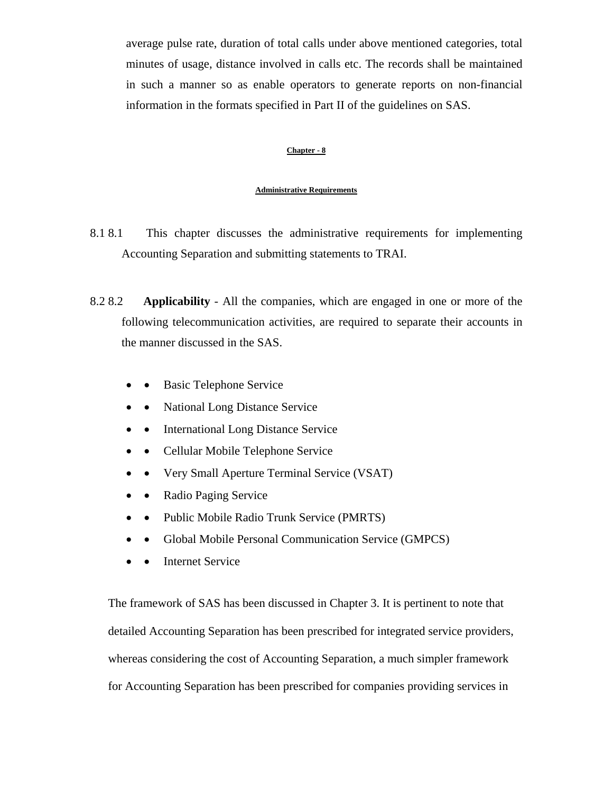average pulse rate, duration of total calls under above mentioned categories, total minutes of usage, distance involved in calls etc. The records shall be maintained in such a manner so as enable operators to generate reports on non-financial information in the formats specified in Part II of the guidelines on SAS.

#### **Chapter - 8**

#### **Administrative Requirements**

- 8.1 8.1 This chapter discusses the administrative requirements for implementing Accounting Separation and submitting statements to TRAI.
- 8.2 8.2 **Applicability** All the companies, which are engaged in one or more of the following telecommunication activities, are required to separate their accounts in the manner discussed in the SAS.
	- Basic Telephone Service
	- National Long Distance Service
	- • International Long Distance Service
	- • Cellular Mobile Telephone Service
	- • Very Small Aperture Terminal Service (VSAT)
	- • Radio Paging Service
	- Public Mobile Radio Trunk Service (PMRTS)
	- Global Mobile Personal Communication Service (GMPCS)
	- • Internet Service

The framework of SAS has been discussed in Chapter 3. It is pertinent to note that detailed Accounting Separation has been prescribed for integrated service providers, whereas considering the cost of Accounting Separation, a much simpler framework for Accounting Separation has been prescribed for companies providing services in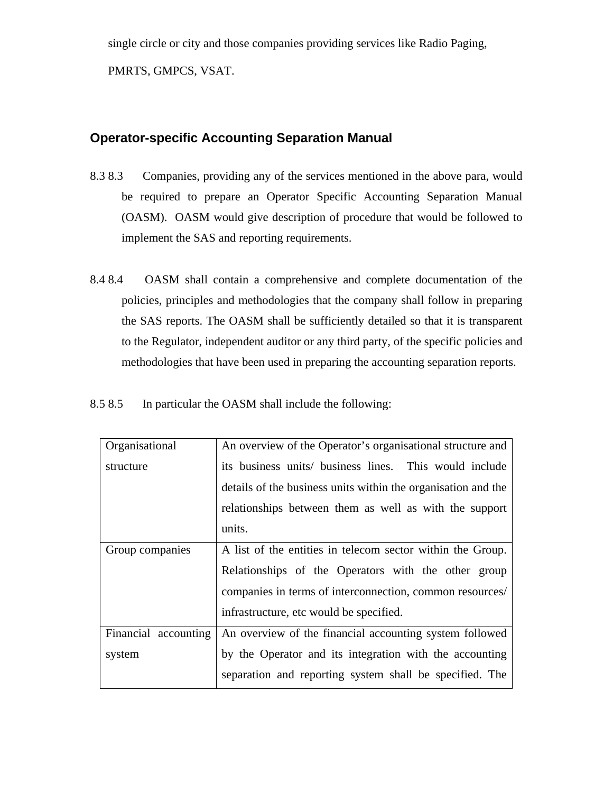single circle or city and those companies providing services like Radio Paging, PMRTS, GMPCS, VSAT.

## **Operator-specific Accounting Separation Manual**

- 8.3 8.3 Companies, providing any of the services mentioned in the above para, would be required to prepare an Operator Specific Accounting Separation Manual (OASM). OASM would give description of procedure that would be followed to implement the SAS and reporting requirements.
- 8.4 8.4 OASM shall contain a comprehensive and complete documentation of the policies, principles and methodologies that the company shall follow in preparing the SAS reports. The OASM shall be sufficiently detailed so that it is transparent to the Regulator, independent auditor or any third party, of the specific policies and methodologies that have been used in preparing the accounting separation reports.
- 8.5 8.5 In particular the OASM shall include the following:

| Organisational       | An overview of the Operator's organisational structure and    |
|----------------------|---------------------------------------------------------------|
| structure            | its business units/ business lines. This would include        |
|                      | details of the business units within the organisation and the |
|                      | relationships between them as well as with the support        |
|                      | units.                                                        |
| Group companies      | A list of the entities in telecom sector within the Group.    |
|                      | Relationships of the Operators with the other group           |
|                      | companies in terms of interconnection, common resources/      |
|                      | infrastructure, etc would be specified.                       |
| Financial accounting | An overview of the financial accounting system followed       |
| system               | by the Operator and its integration with the accounting       |
|                      | separation and reporting system shall be specified. The       |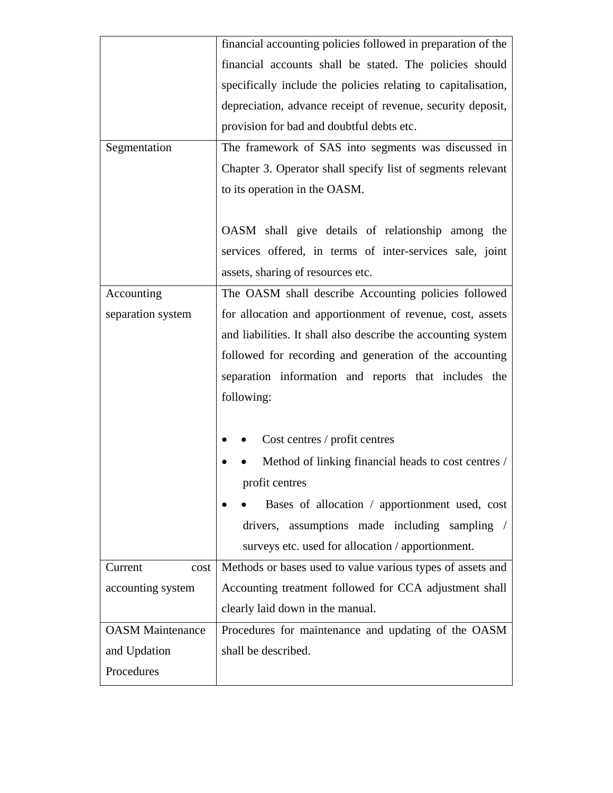|                         | financial accounting policies followed in preparation of the  |
|-------------------------|---------------------------------------------------------------|
|                         | financial accounts shall be stated. The policies should       |
|                         | specifically include the policies relating to capitalisation, |
|                         | depreciation, advance receipt of revenue, security deposit,   |
|                         | provision for bad and doubtful debts etc.                     |
| Segmentation            | The framework of SAS into segments was discussed in           |
|                         | Chapter 3. Operator shall specify list of segments relevant   |
|                         | to its operation in the OASM.                                 |
|                         |                                                               |
|                         | OASM shall give details of relationship among the             |
|                         | services offered, in terms of inter-services sale, joint      |
|                         | assets, sharing of resources etc.                             |
| Accounting              | The OASM shall describe Accounting policies followed          |
| separation system       | for allocation and apportionment of revenue, cost, assets     |
|                         | and liabilities. It shall also describe the accounting system |
|                         | followed for recording and generation of the accounting       |
|                         | separation information and reports that includes the          |
|                         | following:                                                    |
|                         |                                                               |
|                         | Cost centres / profit centres                                 |
|                         | Method of linking financial heads to cost centres /           |
|                         | profit centres                                                |
|                         | Bases of allocation / apportionment used, cost                |
|                         |                                                               |
|                         | drivers, assumptions made including sampling /                |
|                         | surveys etc. used for allocation / apportionment.             |
| Current<br>cost         | Methods or bases used to value various types of assets and    |
| accounting system       | Accounting treatment followed for CCA adjustment shall        |
|                         | clearly laid down in the manual.                              |
| <b>OASM</b> Maintenance | Procedures for maintenance and updating of the OASM           |
| and Updation            | shall be described.                                           |
| Procedures              |                                                               |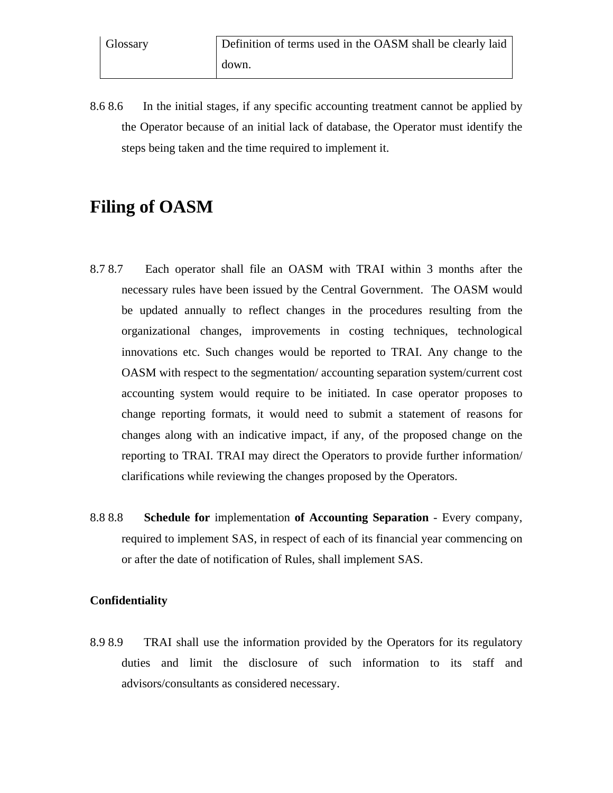8.6 8.6 In the initial stages, if any specific accounting treatment cannot be applied by the Operator because of an initial lack of database, the Operator must identify the steps being taken and the time required to implement it.

# **Filing of OASM**

- 8.7 8.7 Each operator shall file an OASM with TRAI within 3 months after the necessary rules have been issued by the Central Government. The OASM would be updated annually to reflect changes in the procedures resulting from the organizational changes, improvements in costing techniques, technological innovations etc. Such changes would be reported to TRAI. Any change to the OASM with respect to the segmentation/ accounting separation system/current cost accounting system would require to be initiated. In case operator proposes to change reporting formats, it would need to submit a statement of reasons for changes along with an indicative impact, if any, of the proposed change on the reporting to TRAI. TRAI may direct the Operators to provide further information/ clarifications while reviewing the changes proposed by the Operators.
- 8.8 8.8 **Schedule for** implementation **of Accounting Separation** Every company, required to implement SAS, in respect of each of its financial year commencing on or after the date of notification of Rules, shall implement SAS.

### **Confidentiality**

8.9 8.9 TRAI shall use the information provided by the Operators for its regulatory duties and limit the disclosure of such information to its staff and advisors/consultants as considered necessary.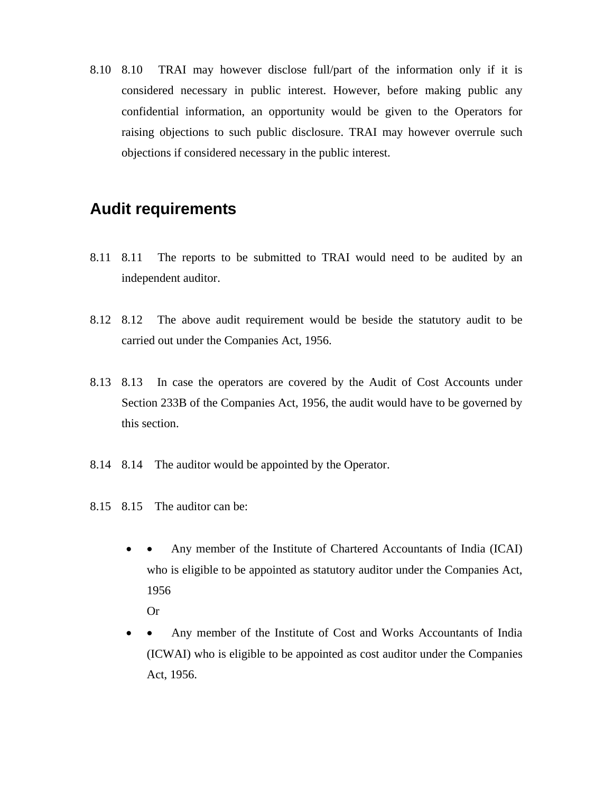8.10 8.10 TRAI may however disclose full/part of the information only if it is considered necessary in public interest. However, before making public any confidential information, an opportunity would be given to the Operators for raising objections to such public disclosure. TRAI may however overrule such objections if considered necessary in the public interest.

# **Audit requirements**

- 8.11 8.11 The reports to be submitted to TRAI would need to be audited by an independent auditor.
- 8.12 8.12 The above audit requirement would be beside the statutory audit to be carried out under the Companies Act, 1956.
- 8.13 8.13 In case the operators are covered by the Audit of Cost Accounts under Section 233B of the Companies Act, 1956, the audit would have to be governed by this section.
- 8.14 8.14 The auditor would be appointed by the Operator.
- 8.15 8.15 The auditor can be:
	- • Any member of the Institute of Chartered Accountants of India (ICAI) who is eligible to be appointed as statutory auditor under the Companies Act, 1956
		- Or
	- • Any member of the Institute of Cost and Works Accountants of India (ICWAI) who is eligible to be appointed as cost auditor under the Companies Act, 1956.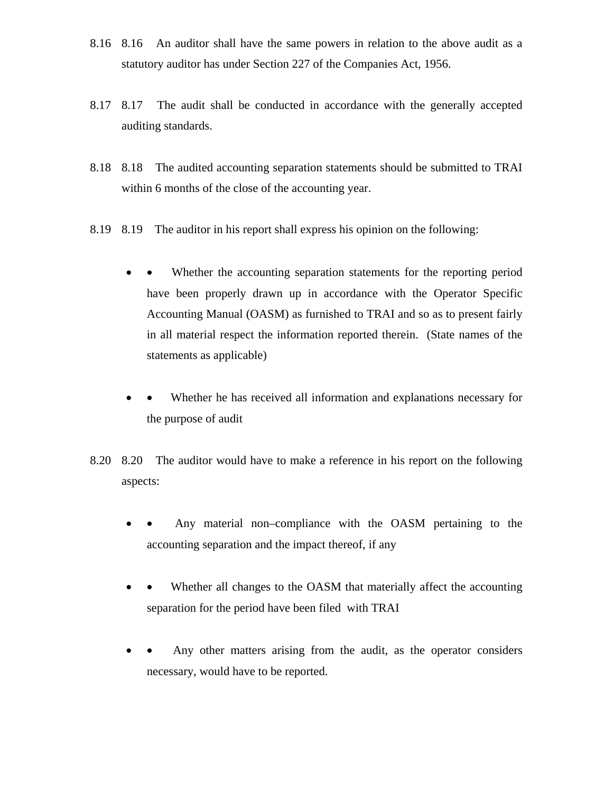- 8.16 8.16 An auditor shall have the same powers in relation to the above audit as a statutory auditor has under Section 227 of the Companies Act, 1956.
- 8.17 8.17 The audit shall be conducted in accordance with the generally accepted auditing standards.
- 8.18 8.18 The audited accounting separation statements should be submitted to TRAI within 6 months of the close of the accounting year.
- 8.19 8.19 The auditor in his report shall express his opinion on the following:
	- • Whether the accounting separation statements for the reporting period have been properly drawn up in accordance with the Operator Specific Accounting Manual (OASM) as furnished to TRAI and so as to present fairly in all material respect the information reported therein. (State names of the statements as applicable)
	- • Whether he has received all information and explanations necessary for the purpose of audit
- 8.20 8.20 The auditor would have to make a reference in his report on the following aspects:
	- Any material non–compliance with the OASM pertaining to the accounting separation and the impact thereof, if any
	- • Whether all changes to the OASM that materially affect the accounting separation for the period have been filed with TRAI
	- Any other matters arising from the audit, as the operator considers necessary, would have to be reported.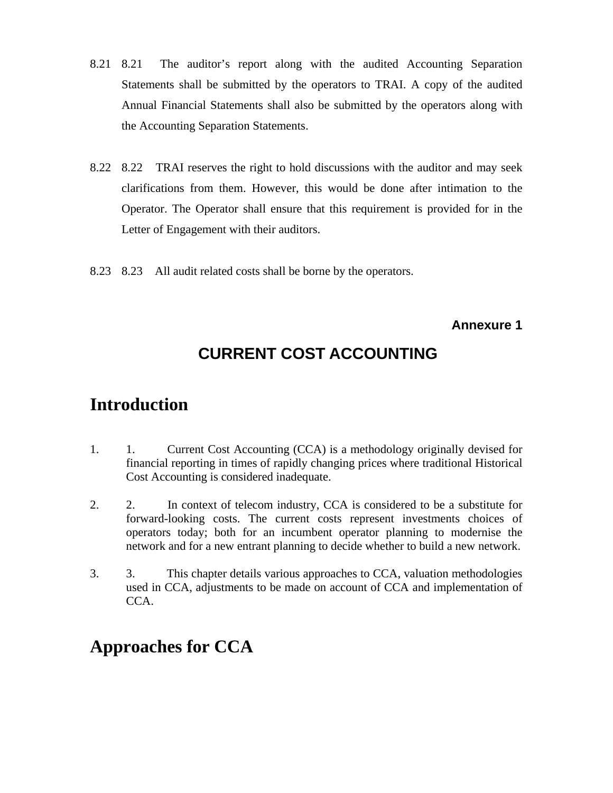- 8.21 8.21 The auditor's report along with the audited Accounting Separation Statements shall be submitted by the operators to TRAI. A copy of the audited Annual Financial Statements shall also be submitted by the operators along with the Accounting Separation Statements.
- 8.22 8.22 TRAI reserves the right to hold discussions with the auditor and may seek clarifications from them. However, this would be done after intimation to the Operator. The Operator shall ensure that this requirement is provided for in the Letter of Engagement with their auditors.
- 8.23 8.23 All audit related costs shall be borne by the operators.

**Annexure 1**

# **CURRENT COST ACCOUNTING**

# **Introduction**

- 1. 1. Current Cost Accounting (CCA) is a methodology originally devised for financial reporting in times of rapidly changing prices where traditional Historical Cost Accounting is considered inadequate.
- 2. 2. In context of telecom industry, CCA is considered to be a substitute for forward-looking costs. The current costs represent investments choices of operators today; both for an incumbent operator planning to modernise the network and for a new entrant planning to decide whether to build a new network.
- 3. 3. This chapter details various approaches to CCA, valuation methodologies used in CCA, adjustments to be made on account of CCA and implementation of CCA.

# **Approaches for CCA**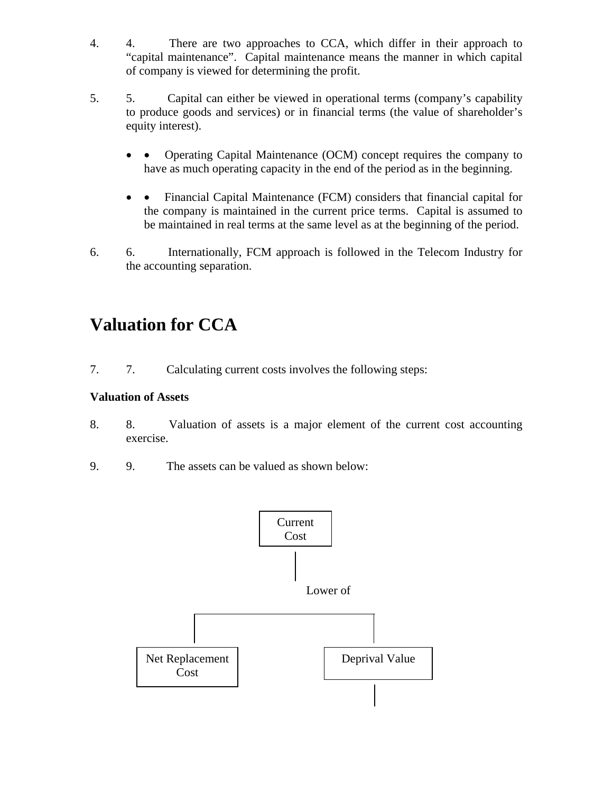- 4. 4. There are two approaches to CCA, which differ in their approach to "capital maintenance". Capital maintenance means the manner in which capital of company is viewed for determining the profit.
- 5. 5. Capital can either be viewed in operational terms (company's capability to produce goods and services) or in financial terms (the value of shareholder's equity interest).
	- • Operating Capital Maintenance (OCM) concept requires the company to have as much operating capacity in the end of the period as in the beginning.
	- • Financial Capital Maintenance (FCM) considers that financial capital for the company is maintained in the current price terms. Capital is assumed to be maintained in real terms at the same level as at the beginning of the period.
- 6. 6. Internationally, FCM approach is followed in the Telecom Industry for the accounting separation.

# **Valuation for CCA**

7. 7. Calculating current costs involves the following steps:

## **Valuation of Assets**

- 8. 8. Valuation of assets is a major element of the current cost accounting exercise.
- 9. 9. The assets can be valued as shown below:

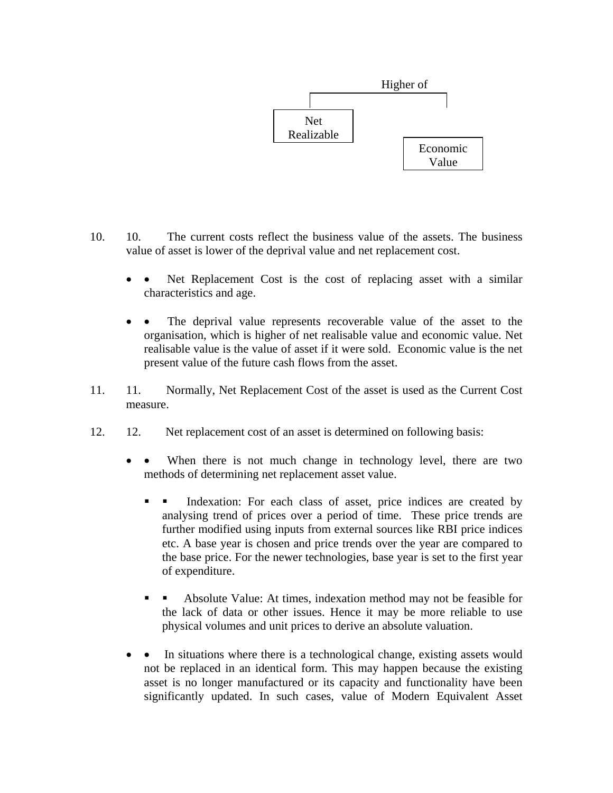

- 10. 10. The current costs reflect the business value of the assets. The business value of asset is lower of the deprival value and net replacement cost.
	- • Net Replacement Cost is the cost of replacing asset with a similar characteristics and age.
	- The deprival value represents recoverable value of the asset to the organisation, which is higher of net realisable value and economic value. Net realisable value is the value of asset if it were sold. Economic value is the net present value of the future cash flows from the asset.
- 11. 11. Normally, Net Replacement Cost of the asset is used as the Current Cost measure.
- 12. 12. Net replacement cost of an asset is determined on following basis:
	- • When there is not much change in technology level, there are two methods of determining net replacement asset value.
		- Indexation: For each class of asset, price indices are created by analysing trend of prices over a period of time. These price trends are further modified using inputs from external sources like RBI price indices etc. A base year is chosen and price trends over the year are compared to the base price. For the newer technologies, base year is set to the first year of expenditure.
		- Absolute Value: At times, indexation method may not be feasible for the lack of data or other issues. Hence it may be more reliable to use physical volumes and unit prices to derive an absolute valuation.
	- In situations where there is a technological change, existing assets would not be replaced in an identical form. This may happen because the existing asset is no longer manufactured or its capacity and functionality have been significantly updated. In such cases, value of Modern Equivalent Asset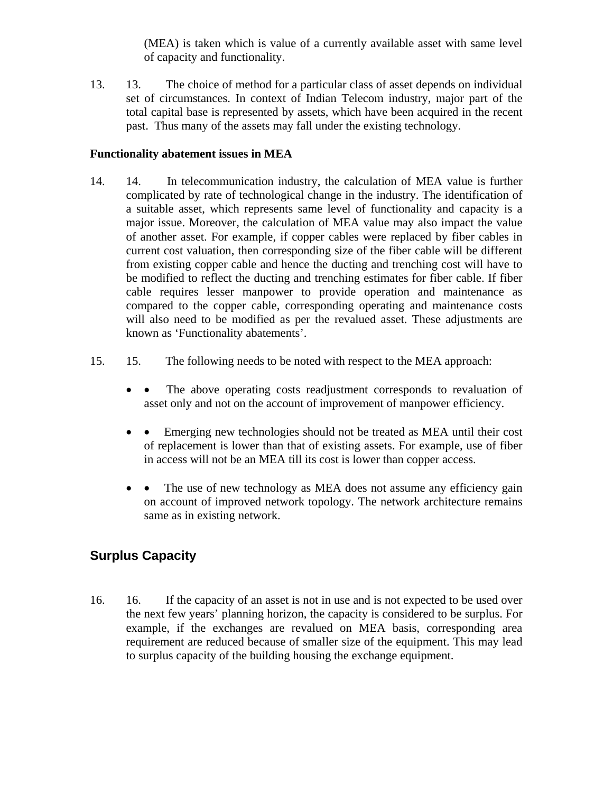(MEA) is taken which is value of a currently available asset with same level of capacity and functionality.

13. 13. The choice of method for a particular class of asset depends on individual set of circumstances. In context of Indian Telecom industry, major part of the total capital base is represented by assets, which have been acquired in the recent past. Thus many of the assets may fall under the existing technology.

### **Functionality abatement issues in MEA**

- 14. 14. In telecommunication industry, the calculation of MEA value is further complicated by rate of technological change in the industry. The identification of a suitable asset, which represents same level of functionality and capacity is a major issue. Moreover, the calculation of MEA value may also impact the value of another asset. For example, if copper cables were replaced by fiber cables in current cost valuation, then corresponding size of the fiber cable will be different from existing copper cable and hence the ducting and trenching cost will have to be modified to reflect the ducting and trenching estimates for fiber cable. If fiber cable requires lesser manpower to provide operation and maintenance as compared to the copper cable, corresponding operating and maintenance costs will also need to be modified as per the revalued asset. These adjustments are known as 'Functionality abatements'.
- 15. 15. The following needs to be noted with respect to the MEA approach:
	- The above operating costs readjustment corresponds to revaluation of asset only and not on the account of improvement of manpower efficiency.
	- Emerging new technologies should not be treated as MEA until their cost of replacement is lower than that of existing assets. For example, use of fiber in access will not be an MEA till its cost is lower than copper access.
	- • The use of new technology as MEA does not assume any efficiency gain on account of improved network topology. The network architecture remains same as in existing network.

# **Surplus Capacity**

16. 16. If the capacity of an asset is not in use and is not expected to be used over the next few years' planning horizon, the capacity is considered to be surplus. For example, if the exchanges are revalued on MEA basis, corresponding area requirement are reduced because of smaller size of the equipment. This may lead to surplus capacity of the building housing the exchange equipment.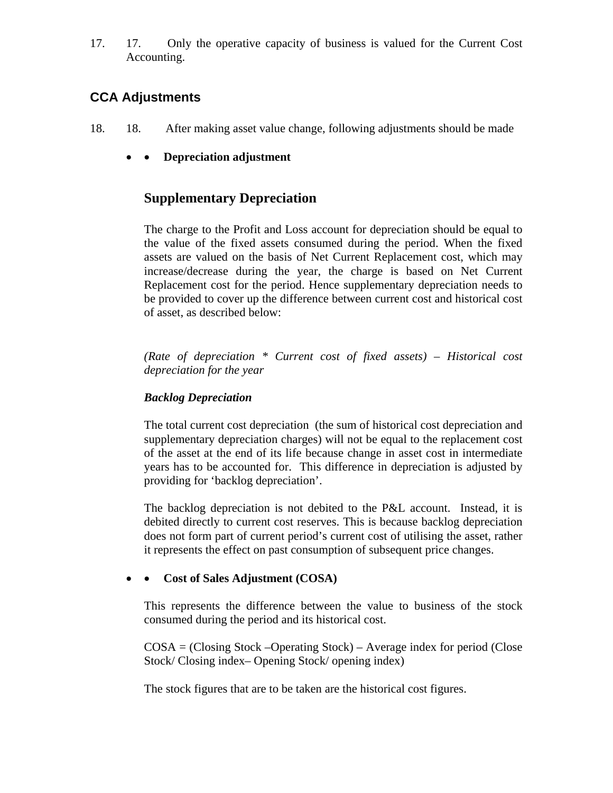17. 17. Only the operative capacity of business is valued for the Current Cost Accounting.

# **CCA Adjustments**

- 18. 18. After making asset value change, following adjustments should be made
	- • **Depreciation adjustment**

## **Supplementary Depreciation**

The charge to the Profit and Loss account for depreciation should be equal to the value of the fixed assets consumed during the period. When the fixed assets are valued on the basis of Net Current Replacement cost, which may increase/decrease during the year, the charge is based on Net Current Replacement cost for the period. Hence supplementary depreciation needs to be provided to cover up the difference between current cost and historical cost of asset, as described below:

*(Rate of depreciation \* Current cost of fixed assets) – Historical cost depreciation for the year* 

### *Backlog Depreciation*

The total current cost depreciation (the sum of historical cost depreciation and supplementary depreciation charges) will not be equal to the replacement cost of the asset at the end of its life because change in asset cost in intermediate years has to be accounted for. This difference in depreciation is adjusted by providing for 'backlog depreciation'.

The backlog depreciation is not debited to the P&L account. Instead, it is debited directly to current cost reserves. This is because backlog depreciation does not form part of current period's current cost of utilising the asset, rather it represents the effect on past consumption of subsequent price changes.

### • • **Cost of Sales Adjustment (COSA)**

This represents the difference between the value to business of the stock consumed during the period and its historical cost.

 $COSA = (Closing Stock - Operating Stock) - Average index for period (Close$ Stock/ Closing index– Opening Stock/ opening index)

The stock figures that are to be taken are the historical cost figures.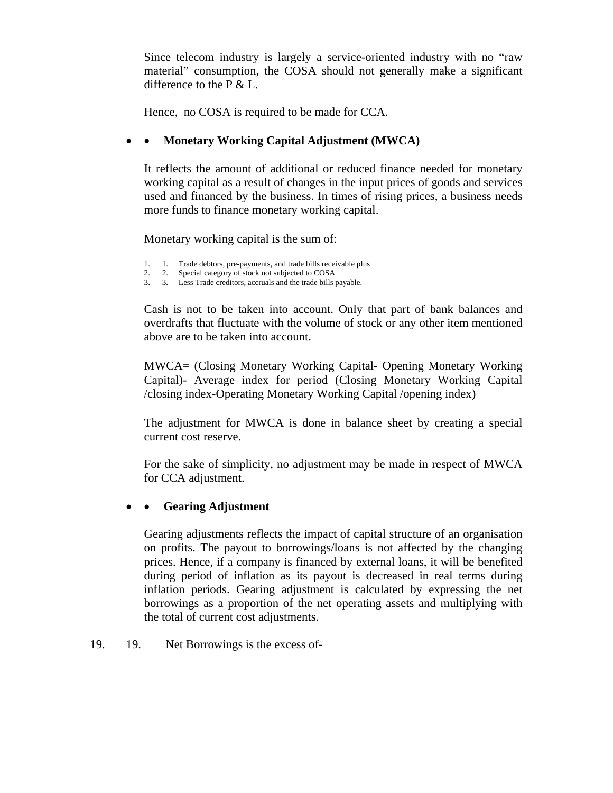Since telecom industry is largely a service-oriented industry with no "raw material" consumption, the COSA should not generally make a significant difference to the P & L.

Hence, no COSA is required to be made for CCA.

### • • **Monetary Working Capital Adjustment (MWCA)**

It reflects the amount of additional or reduced finance needed for monetary working capital as a result of changes in the input prices of goods and services used and financed by the business. In times of rising prices, a business needs more funds to finance monetary working capital.

Monetary working capital is the sum of:

- 1. 1. Trade debtors, pre-payments, and trade bills receivable plus
- 2. 2. Special category of stock not subjected to COSA
- 3. 3. Less Trade creditors, accruals and the trade bills payable.

Cash is not to be taken into account. Only that part of bank balances and overdrafts that fluctuate with the volume of stock or any other item mentioned above are to be taken into account.

MWCA= (Closing Monetary Working Capital- Opening Monetary Working Capital)- Average index for period (Closing Monetary Working Capital /closing index-Operating Monetary Working Capital /opening index)

The adjustment for MWCA is done in balance sheet by creating a special current cost reserve.

For the sake of simplicity, no adjustment may be made in respect of MWCA for CCA adjustment.

### • • **Gearing Adjustment**

Gearing adjustments reflects the impact of capital structure of an organisation on profits. The payout to borrowings/loans is not affected by the changing prices. Hence, if a company is financed by external loans, it will be benefited during period of inflation as its payout is decreased in real terms during inflation periods. Gearing adjustment is calculated by expressing the net borrowings as a proportion of the net operating assets and multiplying with the total of current cost adjustments.

19. 19. Net Borrowings is the excess of-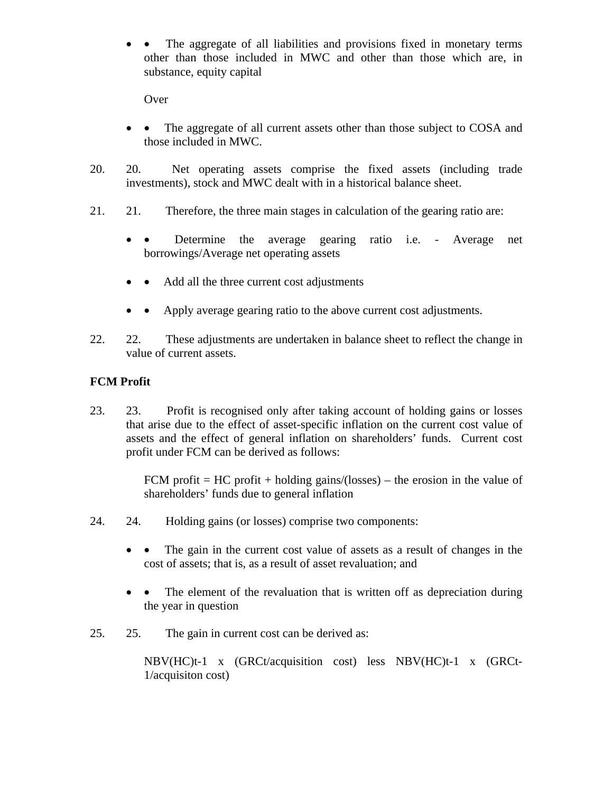• • The aggregate of all liabilities and provisions fixed in monetary terms other than those included in MWC and other than those which are, in substance, equity capital

Over

- • The aggregate of all current assets other than those subject to COSA and those included in MWC.
- 20. 20. Net operating assets comprise the fixed assets (including trade investments), stock and MWC dealt with in a historical balance sheet.
- 21. 21. Therefore, the three main stages in calculation of the gearing ratio are:
	- • Determine the average gearing ratio i.e. Average net borrowings/Average net operating assets
	- • Add all the three current cost adjustments
	- Apply average gearing ratio to the above current cost adjustments.
- 22. 22. These adjustments are undertaken in balance sheet to reflect the change in value of current assets.

## **FCM Profit**

23. 23. Profit is recognised only after taking account of holding gains or losses that arise due to the effect of asset-specific inflation on the current cost value of assets and the effect of general inflation on shareholders' funds. Current cost profit under FCM can be derived as follows:

> FCM profit = HC profit + holding gains/(losses) – the erosion in the value of shareholders' funds due to general inflation

- 24. 24. Holding gains (or losses) comprise two components:
	- • The gain in the current cost value of assets as a result of changes in the cost of assets; that is, as a result of asset revaluation; and
	- • The element of the revaluation that is written off as depreciation during the year in question
- 25. 25. The gain in current cost can be derived as:

NBV(HC)t-1 x (GRCt/acquisition cost) less NBV(HC)t-1 x (GRCt-1/acquisiton cost)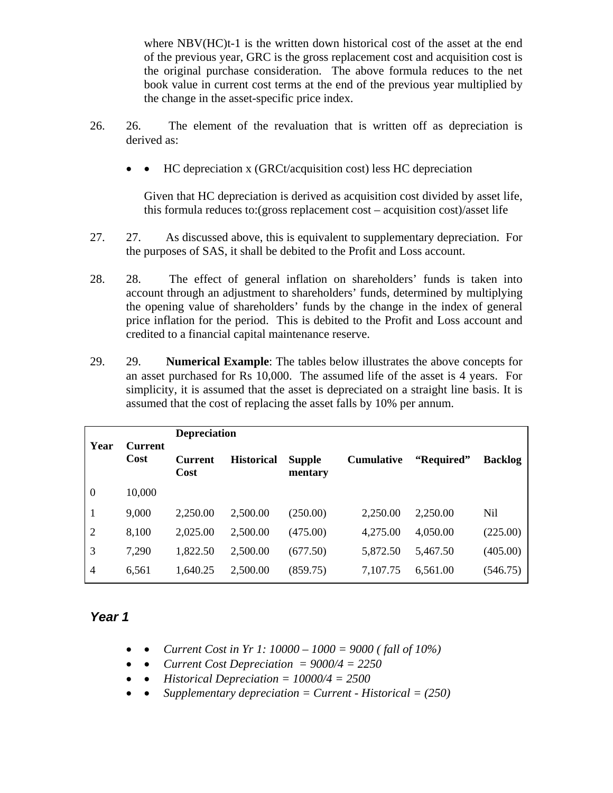where NBV(HC)t-1 is the written down historical cost of the asset at the end of the previous year, GRC is the gross replacement cost and acquisition cost is the original purchase consideration. The above formula reduces to the net book value in current cost terms at the end of the previous year multiplied by the change in the asset-specific price index.

- 26. 26. The element of the revaluation that is written off as depreciation is derived as:
	- • HC depreciation x (GRCt/acquisition cost) less HC depreciation

Given that HC depreciation is derived as acquisition cost divided by asset life, this formula reduces to:(gross replacement cost – acquisition cost)/asset life

- 27. 27. As discussed above, this is equivalent to supplementary depreciation. For the purposes of SAS, it shall be debited to the Profit and Loss account.
- 28. 28. The effect of general inflation on shareholders' funds is taken into account through an adjustment to shareholders' funds, determined by multiplying the opening value of shareholders' funds by the change in the index of general price inflation for the period. This is debited to the Profit and Loss account and credited to a financial capital maintenance reserve.
- 29. 29. **Numerical Example**: The tables below illustrates the above concepts for an asset purchased for Rs 10,000. The assumed life of the asset is 4 years. For simplicity, it is assumed that the asset is depreciated on a straight line basis. It is assumed that the cost of replacing the asset falls by 10% per annum.

| Year           | <b>Current</b><br>Cost | <b>Depreciation</b>    |                   |                          |                   |            |                |
|----------------|------------------------|------------------------|-------------------|--------------------------|-------------------|------------|----------------|
|                |                        | <b>Current</b><br>Cost | <b>Historical</b> | <b>Supple</b><br>mentary | <b>Cumulative</b> | "Required" | <b>Backlog</b> |
| $\overline{0}$ | 10,000                 |                        |                   |                          |                   |            |                |
| 1              | 9,000                  | 2,250.00               | 2,500.00          | (250.00)                 | 2,250.00          | 2,250.00   | Nil            |
| $\overline{2}$ | 8,100                  | 2,025.00               | 2,500.00          | (475.00)                 | 4,275.00          | 4,050.00   | (225.00)       |
| 3              | 7,290                  | 1,822.50               | 2,500.00          | (677.50)                 | 5,872.50          | 5,467.50   | (405.00)       |
| $\overline{4}$ | 6,561                  | 1,640.25               | 2,500.00          | (859.75)                 | 7,107.75          | 6,561.00   | (546.75)       |

## *Year 1*

- • *Current Cost in Yr 1: 10000 1000 = 9000 ( fall of 10%)*
- • *Current Cost Depreciation = 9000/4 = 2250*
- • *Historical Depreciation = 10000/4 = 2500*
- • *Supplementary depreciation = Current Historical = (250)*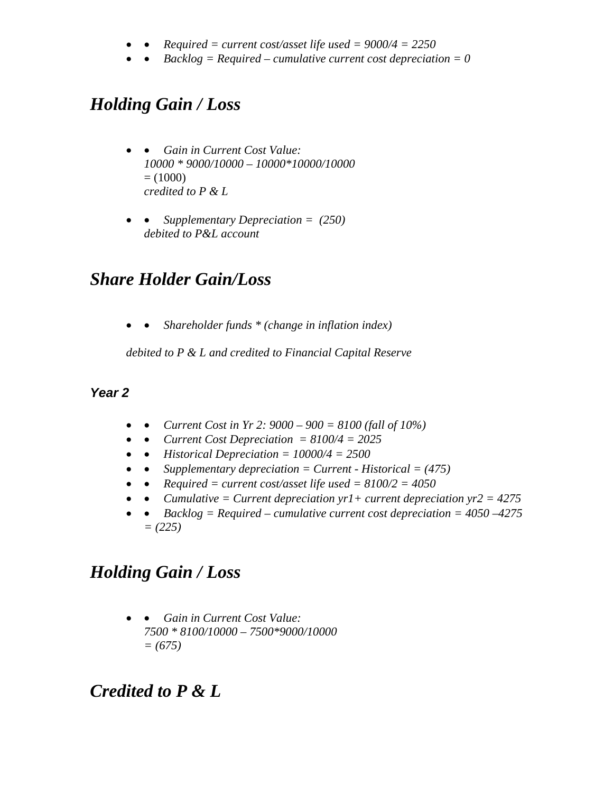- • *Required = current cost/asset life used = 9000/4 = 2250*
- • *Backlog = Required cumulative current cost depreciation = 0*

# *Holding Gain / Loss*

- • *Gain in Current Cost Value: 10000 \* 9000/10000 – 10000\*10000/10000*   $= (1000)$ *credited to P & L*
- • *Supplementary Depreciation = (250) debited to P&L account*

# *Share Holder Gain/Loss*

• • *Shareholder funds \* (change in inflation index)* 

*debited to P & L and credited to Financial Capital Reserve* 

# *Year 2*

- • *Current Cost in Yr 2: 9000 900 = 8100 (fall of 10%)*
- • *Current Cost Depreciation = 8100/4 = 2025*
- • *Historical Depreciation = 10000/4 = 2500*
- • *Supplementary depreciation = Current Historical = (475)*
- • *Required = current cost/asset life used = 8100/2 = 4050*
- • *Cumulative = Current depreciation yr1+ current depreciation yr2 = 4275*
- • *Backlog = Required cumulative current cost depreciation = 4050 –4275 = (225)*

# *Holding Gain / Loss*

• • *Gain in Current Cost Value: 7500 \* 8100/10000 – 7500\*9000/10000 = (675)* 

# *Credited to P & L*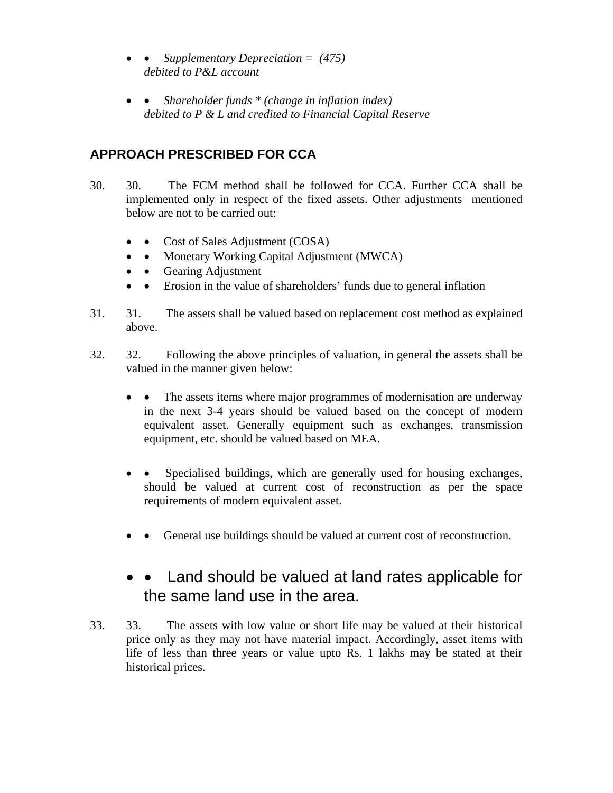- • *Supplementary Depreciation = (475) debited to P&L account*
- • *Shareholder funds \* (change in inflation index) debited to P & L and credited to Financial Capital Reserve*

# **APPROACH PRESCRIBED FOR CCA**

- 30. 30. The FCM method shall be followed for CCA. Further CCA shall be implemented only in respect of the fixed assets. Other adjustments mentioned below are not to be carried out:
	- Cost of Sales Adjustment (COSA)
	- • Monetary Working Capital Adjustment (MWCA)
	- • Gearing Adjustment
	- • Erosion in the value of shareholders' funds due to general inflation
- 31. 31. The assets shall be valued based on replacement cost method as explained above.
- 32. 32. Following the above principles of valuation, in general the assets shall be valued in the manner given below:
	- • The assets items where major programmes of modernisation are underway in the next 3-4 years should be valued based on the concept of modern equivalent asset. Generally equipment such as exchanges, transmission equipment, etc. should be valued based on MEA.
	- • Specialised buildings, which are generally used for housing exchanges, should be valued at current cost of reconstruction as per the space requirements of modern equivalent asset.
	- • General use buildings should be valued at current cost of reconstruction.

# • Land should be valued at land rates applicable for the same land use in the area.

33. 33. The assets with low value or short life may be valued at their historical price only as they may not have material impact. Accordingly, asset items with life of less than three years or value upto Rs. 1 lakhs may be stated at their historical prices.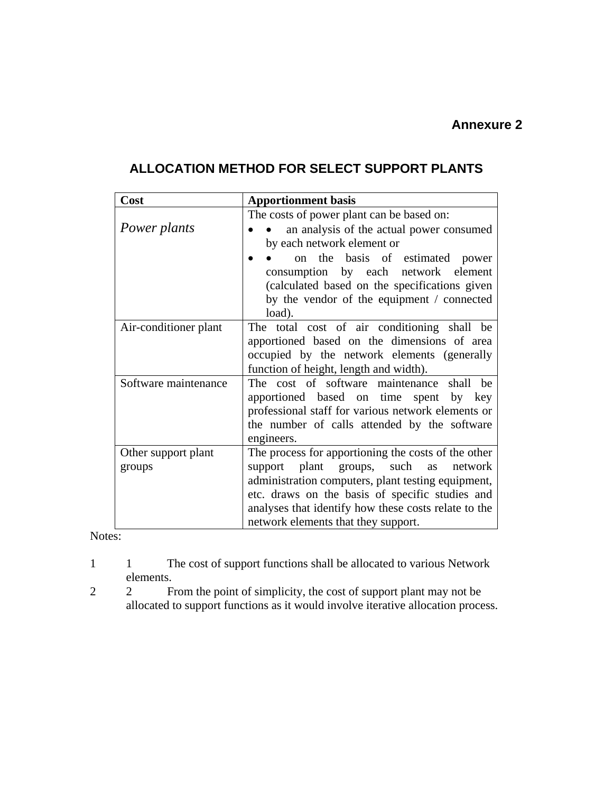# **ALLOCATION METHOD FOR SELECT SUPPORT PLANTS**

| Cost                  | <b>Apportionment basis</b>                           |
|-----------------------|------------------------------------------------------|
|                       | The costs of power plant can be based on:            |
| Power plants          | an analysis of the actual power consumed             |
|                       | by each network element or                           |
|                       | on the basis of estimated power                      |
|                       | consumption by each network element                  |
|                       | (calculated based on the specifications given        |
|                       | by the vendor of the equipment / connected           |
|                       | load).                                               |
| Air-conditioner plant | The total cost of air conditioning shall be          |
|                       | apportioned based on the dimensions of area          |
|                       | occupied by the network elements (generally          |
|                       | function of height, length and width).               |
| Software maintenance  | The cost of software maintenance<br>shall be         |
|                       | apportioned based on time spent by key               |
|                       | professional staff for various network elements or   |
|                       | the number of calls attended by the software         |
|                       | engineers.                                           |
| Other support plant   | The process for apportioning the costs of the other  |
| groups                | support plant groups, such as network                |
|                       | administration computers, plant testing equipment,   |
|                       | etc. draws on the basis of specific studies and      |
|                       | analyses that identify how these costs relate to the |
|                       | network elements that they support.                  |

Notes:

- 1 1 1 The cost of support functions shall be allocated to various Network elements.
- 2 2 From the point of simplicity, the cost of support plant may not be allocated to support functions as it would involve iterative allocation process.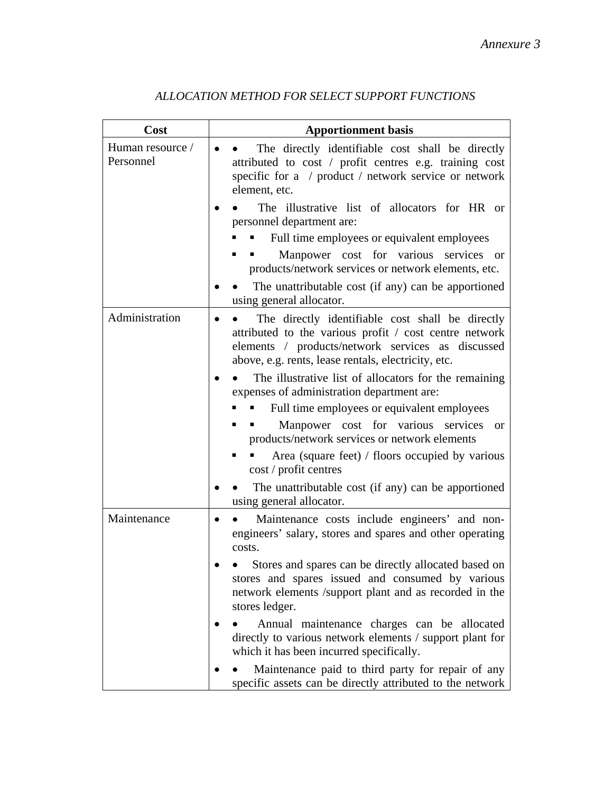| Cost                          | <b>Apportionment basis</b>                                                                                                                                                                                             |
|-------------------------------|------------------------------------------------------------------------------------------------------------------------------------------------------------------------------------------------------------------------|
| Human resource /<br>Personnel | The directly identifiable cost shall be directly<br>attributed to cost / profit centres e.g. training cost<br>specific for a / product / network service or network<br>element, etc.                                   |
|                               | The illustrative list of allocators for HR or<br>personnel department are:                                                                                                                                             |
|                               | Full time employees or equivalent employees                                                                                                                                                                            |
|                               | Manpower cost for various services<br><b>or</b><br>products/network services or network elements, etc.                                                                                                                 |
|                               | The unattributable cost (if any) can be apportioned<br>using general allocator.                                                                                                                                        |
| Administration                | The directly identifiable cost shall be directly<br>attributed to the various profit / cost centre network<br>elements / products/network services as discussed<br>above, e.g. rents, lease rentals, electricity, etc. |
|                               | The illustrative list of allocators for the remaining<br>expenses of administration department are:                                                                                                                    |
|                               | Full time employees or equivalent employees                                                                                                                                                                            |
|                               | Manpower cost for various services<br><sub>or</sub><br>products/network services or network elements                                                                                                                   |
|                               | Area (square feet) / floors occupied by various<br>cost / profit centres                                                                                                                                               |
|                               | The unattributable cost (if any) can be apportioned<br>using general allocator.                                                                                                                                        |
| Maintenance                   | Maintenance costs include engineers' and non-<br>engineers' salary, stores and spares and other operating<br>costs.                                                                                                    |
|                               | Stores and spares can be directly allocated based on<br>stores and spares issued and consumed by various<br>network elements /support plant and as recorded in the<br>stores ledger.                                   |
|                               | Annual maintenance charges can be allocated<br>directly to various network elements / support plant for<br>which it has been incurred specifically.                                                                    |
|                               | Maintenance paid to third party for repair of any<br>specific assets can be directly attributed to the network                                                                                                         |

# *ALLOCATION METHOD FOR SELECT SUPPORT FUNCTIONS*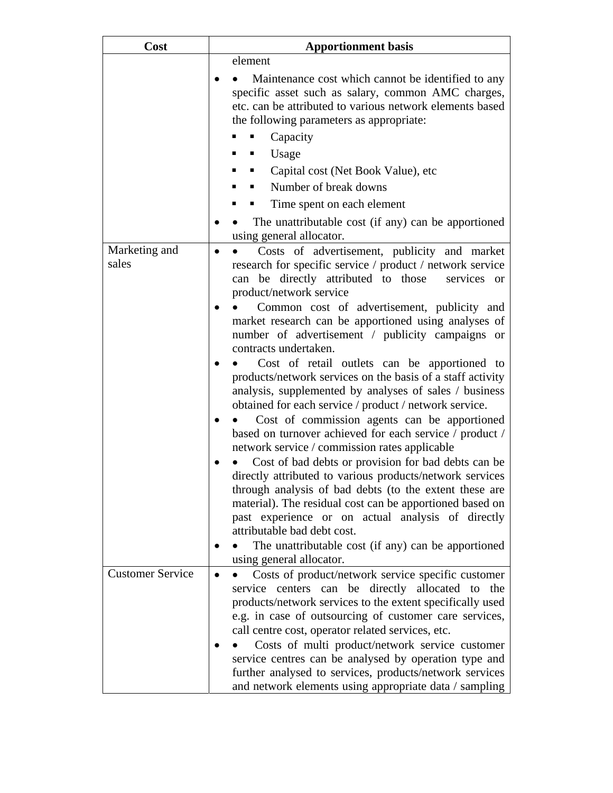| Cost                    | <b>Apportionment basis</b>                                                                                                                                                                                                                                                                                                                                                                                                                                                                                                                                                                                                                                                                                                                                                                                                                                                                                                                                                                                                                                                                                                                                                                   |  |  |  |
|-------------------------|----------------------------------------------------------------------------------------------------------------------------------------------------------------------------------------------------------------------------------------------------------------------------------------------------------------------------------------------------------------------------------------------------------------------------------------------------------------------------------------------------------------------------------------------------------------------------------------------------------------------------------------------------------------------------------------------------------------------------------------------------------------------------------------------------------------------------------------------------------------------------------------------------------------------------------------------------------------------------------------------------------------------------------------------------------------------------------------------------------------------------------------------------------------------------------------------|--|--|--|
| Marketing and           | element<br>Maintenance cost which cannot be identified to any<br>specific asset such as salary, common AMC charges,<br>etc. can be attributed to various network elements based<br>the following parameters as appropriate:<br>Capacity<br>Usage<br>Capital cost (Net Book Value), etc<br>Number of break downs<br>Time spent on each element<br>The unattributable cost (if any) can be apportioned<br>using general allocator.                                                                                                                                                                                                                                                                                                                                                                                                                                                                                                                                                                                                                                                                                                                                                             |  |  |  |
| sales                   | Costs of advertisement, publicity and market<br>research for specific service / product / network service<br>can be directly attributed to those<br>services or<br>product/network service<br>Common cost of advertisement, publicity and<br>market research can be apportioned using analyses of<br>number of advertisement / publicity campaigns or<br>contracts undertaken.<br>Cost of retail outlets can be apportioned to<br>products/network services on the basis of a staff activity<br>analysis, supplemented by analyses of sales / business<br>obtained for each service / product / network service.<br>Cost of commission agents can be apportioned<br>based on turnover achieved for each service / product /<br>network service / commission rates applicable<br>Cost of bad debts or provision for bad debts can be<br>directly attributed to various products/network services<br>through analysis of bad debts (to the extent these are<br>material). The residual cost can be apportioned based on<br>past experience or on actual analysis of directly<br>attributable bad debt cost.<br>The unattributable cost (if any) can be apportioned<br>using general allocator. |  |  |  |
| <b>Customer Service</b> | Costs of product/network service specific customer<br>service centers can be directly allocated to<br>the<br>products/network services to the extent specifically used<br>e.g. in case of outsourcing of customer care services,<br>call centre cost, operator related services, etc.<br>Costs of multi product/network service customer<br>service centres can be analysed by operation type and<br>further analysed to services, products/network services<br>and network elements using appropriate data / sampling                                                                                                                                                                                                                                                                                                                                                                                                                                                                                                                                                                                                                                                                       |  |  |  |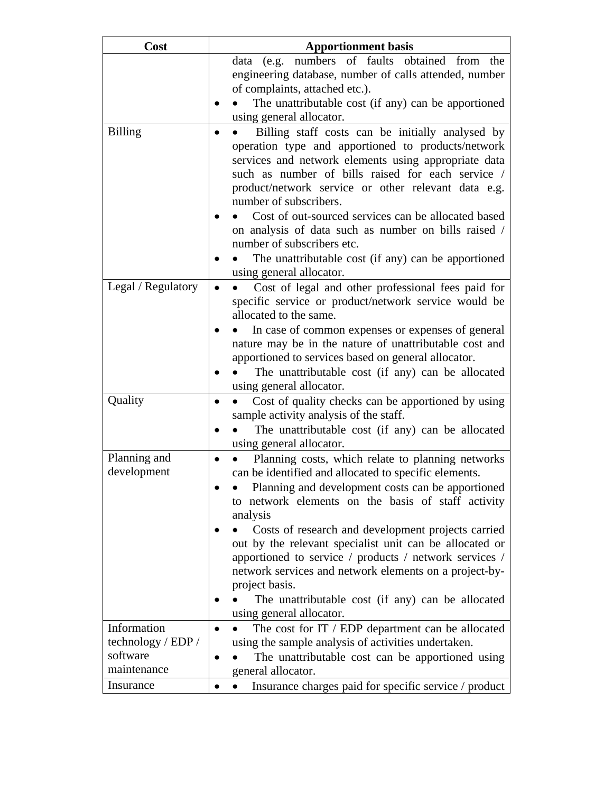| Cost                              | <b>Apportionment basis</b>                                                         |
|-----------------------------------|------------------------------------------------------------------------------------|
|                                   | data (e.g. numbers of faults obtained from<br>the                                  |
|                                   | engineering database, number of calls attended, number                             |
|                                   | of complaints, attached etc.).                                                     |
|                                   | The unattributable cost (if any) can be apportioned                                |
|                                   | using general allocator.                                                           |
| <b>Billing</b>                    | Billing staff costs can be initially analysed by                                   |
|                                   | operation type and apportioned to products/network                                 |
|                                   | services and network elements using appropriate data                               |
|                                   | such as number of bills raised for each service /                                  |
|                                   | product/network service or other relevant data e.g.<br>number of subscribers.      |
|                                   |                                                                                    |
|                                   | Cost of out-sourced services can be allocated based                                |
|                                   | on analysis of data such as number on bills raised /<br>number of subscribers etc. |
|                                   | The unattributable cost (if any) can be apportioned                                |
|                                   | using general allocator.                                                           |
| Legal / Regulatory                | Cost of legal and other professional fees paid for                                 |
|                                   | specific service or product/network service would be                               |
|                                   | allocated to the same.                                                             |
|                                   | In case of common expenses or expenses of general                                  |
|                                   | nature may be in the nature of unattributable cost and                             |
|                                   | apportioned to services based on general allocator.                                |
|                                   | The unattributable cost (if any) can be allocated                                  |
|                                   | using general allocator.                                                           |
| Quality                           | Cost of quality checks can be apportioned by using                                 |
|                                   | sample activity analysis of the staff.                                             |
|                                   | The unattributable cost (if any) can be allocated                                  |
|                                   | using general allocator.                                                           |
| Planning and                      | Planning costs, which relate to planning networks                                  |
| development                       | can be identified and allocated to specific elements.                              |
|                                   | Planning and development costs can be apportioned                                  |
|                                   | to network elements on the basis of staff activity                                 |
|                                   | analysis                                                                           |
|                                   | Costs of research and development projects carried                                 |
|                                   | out by the relevant specialist unit can be allocated or                            |
|                                   | apportioned to service / products / network services /                             |
|                                   | network services and network elements on a project-by-                             |
|                                   | project basis.                                                                     |
|                                   | The unattributable cost (if any) can be allocated                                  |
|                                   | using general allocator.                                                           |
| Information<br>technology / EDP / | The cost for IT / EDP department can be allocated                                  |
| software                          | using the sample analysis of activities undertaken.                                |
| maintenance                       | The unattributable cost can be apportioned using<br>general allocator.             |
| Insurance                         | Insurance charges paid for specific service / product                              |
|                                   |                                                                                    |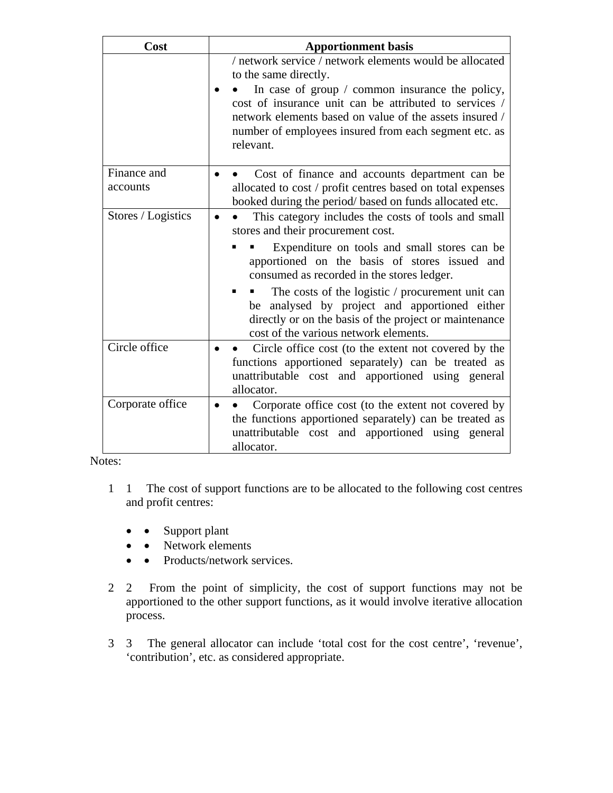| Cost                    | <b>Apportionment basis</b>                                                                                                                                                                                                                        |  |  |  |
|-------------------------|---------------------------------------------------------------------------------------------------------------------------------------------------------------------------------------------------------------------------------------------------|--|--|--|
|                         | / network service / network elements would be allocated<br>to the same directly.                                                                                                                                                                  |  |  |  |
|                         | In case of group $\prime$ common insurance the policy,<br>cost of insurance unit can be attributed to services /<br>network elements based on value of the assets insured /<br>number of employees insured from each segment etc. as<br>relevant. |  |  |  |
| Finance and<br>accounts | Cost of finance and accounts department can be<br>allocated to cost / profit centres based on total expenses<br>booked during the period/based on funds allocated etc.                                                                            |  |  |  |
| Stores / Logistics      | This category includes the costs of tools and small<br>stores and their procurement cost.                                                                                                                                                         |  |  |  |
|                         | Expenditure on tools and small stores can be<br>apportioned on the basis of stores issued and<br>consumed as recorded in the stores ledger.                                                                                                       |  |  |  |
|                         | The costs of the logistic / procurement unit can<br>analysed by project and apportioned either<br>be<br>directly or on the basis of the project or maintenance<br>cost of the various network elements.                                           |  |  |  |
| Circle office           | Circle office cost (to the extent not covered by the<br>functions apportioned separately) can be treated as<br>unattributable cost and apportioned using general<br>allocator.                                                                    |  |  |  |
| Corporate office        | Corporate office cost (to the extent not covered by<br>the functions apportioned separately) can be treated as<br>unattributable cost and apportioned using general<br>allocator.                                                                 |  |  |  |

Notes:

- 1 1 The cost of support functions are to be allocated to the following cost centres and profit centres:
	- • Support plant
	- • Network elements
	- • Products/network services.
- 2 2 From the point of simplicity, the cost of support functions may not be apportioned to the other support functions, as it would involve iterative allocation process.
- 3 3 The general allocator can include 'total cost for the cost centre', 'revenue', 'contribution', etc. as considered appropriate.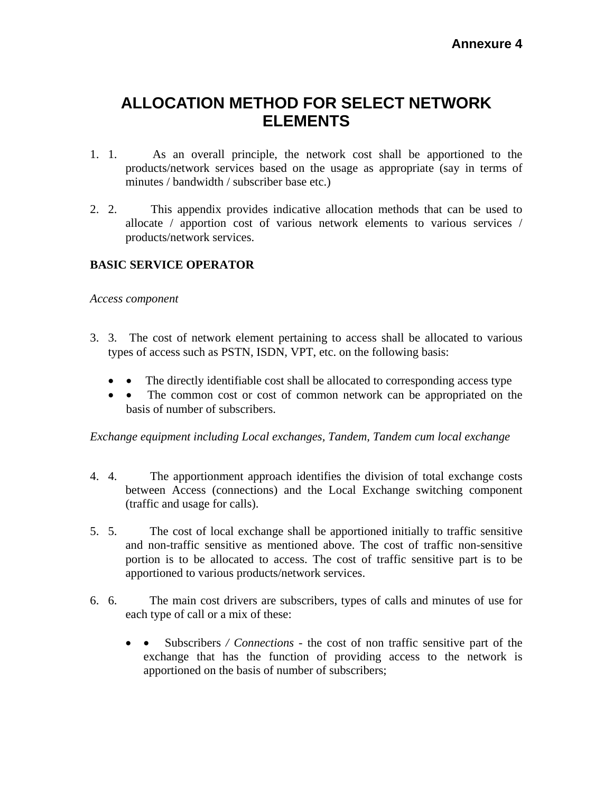# **ALLOCATION METHOD FOR SELECT NETWORK ELEMENTS**

- 1. 1. As an overall principle, the network cost shall be apportioned to the products/network services based on the usage as appropriate (say in terms of minutes / bandwidth / subscriber base etc.)
- 2. 2. This appendix provides indicative allocation methods that can be used to allocate / apportion cost of various network elements to various services / products/network services.

## **BASIC SERVICE OPERATOR**

#### *Access component*

- 3. 3. The cost of network element pertaining to access shall be allocated to various types of access such as PSTN, ISDN, VPT, etc. on the following basis:
	- The directly identifiable cost shall be allocated to corresponding access type
	- • The common cost or cost of common network can be appropriated on the basis of number of subscribers.

*Exchange equipment including Local exchanges, Tandem, Tandem cum local exchange*

- 4. 4. The apportionment approach identifies the division of total exchange costs between Access (connections) and the Local Exchange switching component (traffic and usage for calls).
- 5. 5. The cost of local exchange shall be apportioned initially to traffic sensitive and non-traffic sensitive as mentioned above. The cost of traffic non-sensitive portion is to be allocated to access. The cost of traffic sensitive part is to be apportioned to various products/network services.
- 6. 6. The main cost drivers are subscribers, types of calls and minutes of use for each type of call or a mix of these:
	- • Subscribers */ Connections*  the cost of non traffic sensitive part of the exchange that has the function of providing access to the network is apportioned on the basis of number of subscribers;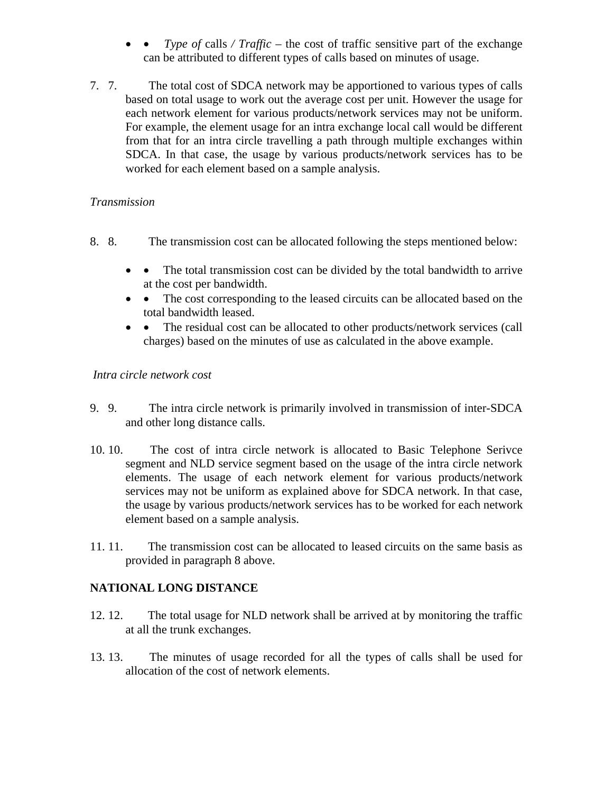- *Type of calls / Traffic the cost of traffic sensitive part of the exchange* can be attributed to different types of calls based on minutes of usage.
- 7. 7. The total cost of SDCA network may be apportioned to various types of calls based on total usage to work out the average cost per unit. However the usage for each network element for various products/network services may not be uniform. For example, the element usage for an intra exchange local call would be different from that for an intra circle travelling a path through multiple exchanges within SDCA. In that case, the usage by various products/network services has to be worked for each element based on a sample analysis.

#### *Transmission*

- 8. 8. The transmission cost can be allocated following the steps mentioned below:
	- • The total transmission cost can be divided by the total bandwidth to arrive at the cost per bandwidth.
	- • The cost corresponding to the leased circuits can be allocated based on the total bandwidth leased.
	- • The residual cost can be allocated to other products/network services (call charges) based on the minutes of use as calculated in the above example.

#### *Intra circle network cost*

- 9. 9. The intra circle network is primarily involved in transmission of inter-SDCA and other long distance calls.
- 10. 10. The cost of intra circle network is allocated to Basic Telephone Serivce segment and NLD service segment based on the usage of the intra circle network elements. The usage of each network element for various products/network services may not be uniform as explained above for SDCA network. In that case, the usage by various products/network services has to be worked for each network element based on a sample analysis.
- 11. 11. The transmission cost can be allocated to leased circuits on the same basis as provided in paragraph 8 above.

## **NATIONAL LONG DISTANCE**

- 12. 12. The total usage for NLD network shall be arrived at by monitoring the traffic at all the trunk exchanges.
- 13. 13. The minutes of usage recorded for all the types of calls shall be used for allocation of the cost of network elements.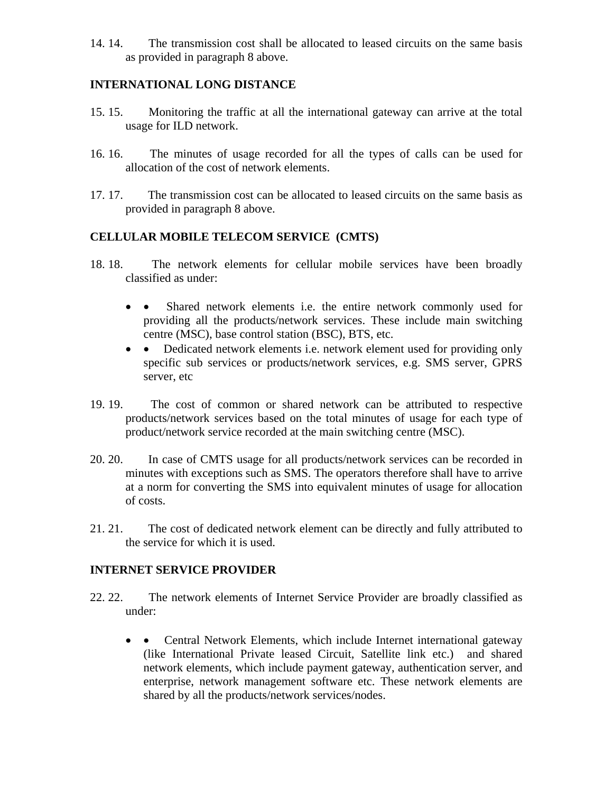14. 14. The transmission cost shall be allocated to leased circuits on the same basis as provided in paragraph 8 above.

## **INTERNATIONAL LONG DISTANCE**

- 15. 15. Monitoring the traffic at all the international gateway can arrive at the total usage for ILD network.
- 16. 16. The minutes of usage recorded for all the types of calls can be used for allocation of the cost of network elements.
- 17. 17. The transmission cost can be allocated to leased circuits on the same basis as provided in paragraph 8 above.

## **CELLULAR MOBILE TELECOM SERVICE (CMTS)**

- 18. 18. The network elements for cellular mobile services have been broadly classified as under:
	- • Shared network elements i.e. the entire network commonly used for providing all the products/network services. These include main switching centre (MSC), base control station (BSC), BTS, etc.
	- • Dedicated network elements i.e. network element used for providing only specific sub services or products/network services, e.g. SMS server, GPRS server, etc
- 19. 19. The cost of common or shared network can be attributed to respective products/network services based on the total minutes of usage for each type of product/network service recorded at the main switching centre (MSC).
- 20. 20. In case of CMTS usage for all products/network services can be recorded in minutes with exceptions such as SMS. The operators therefore shall have to arrive at a norm for converting the SMS into equivalent minutes of usage for allocation of costs.
- 21. 21. The cost of dedicated network element can be directly and fully attributed to the service for which it is used.

## **INTERNET SERVICE PROVIDER**

- 22. 22. The network elements of Internet Service Provider are broadly classified as under:
	- • Central Network Elements, which include Internet international gateway (like International Private leased Circuit, Satellite link etc.) and shared network elements, which include payment gateway, authentication server, and enterprise, network management software etc. These network elements are shared by all the products/network services/nodes.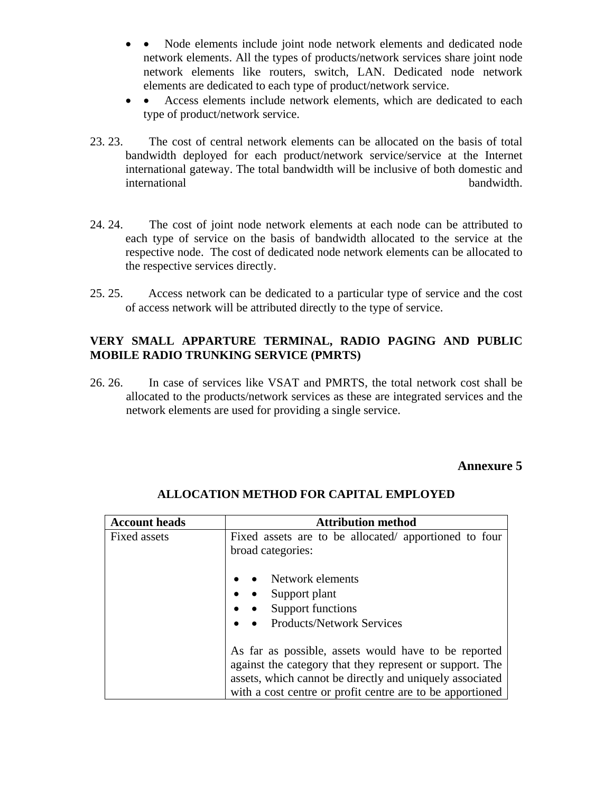- Node elements include joint node network elements and dedicated node network elements. All the types of products/network services share joint node network elements like routers, switch, LAN. Dedicated node network elements are dedicated to each type of product/network service.
- • Access elements include network elements, which are dedicated to each type of product/network service.
- 23. 23. The cost of central network elements can be allocated on the basis of total bandwidth deployed for each product/network service/service at the Internet international gateway. The total bandwidth will be inclusive of both domestic and international bandwidth.
- 24. 24. The cost of joint node network elements at each node can be attributed to each type of service on the basis of bandwidth allocated to the service at the respective node. The cost of dedicated node network elements can be allocated to the respective services directly.
- 25. 25. Access network can be dedicated to a particular type of service and the cost of access network will be attributed directly to the type of service.

## **VERY SMALL APPARTURE TERMINAL, RADIO PAGING AND PUBLIC MOBILE RADIO TRUNKING SERVICE (PMRTS)**

26. 26. In case of services like VSAT and PMRTS, the total network cost shall be allocated to the products/network services as these are integrated services and the network elements are used for providing a single service.

## **Annexure 5**

| <b>Account heads</b> | <b>Attribution method</b>                                                                                                                                                                                                                 |
|----------------------|-------------------------------------------------------------------------------------------------------------------------------------------------------------------------------------------------------------------------------------------|
| Fixed assets         | Fixed assets are to be allocated/ apportioned to four<br>broad categories:                                                                                                                                                                |
|                      | Network elements                                                                                                                                                                                                                          |
|                      | Support plant                                                                                                                                                                                                                             |
|                      | Support functions                                                                                                                                                                                                                         |
|                      | <b>Products/Network Services</b>                                                                                                                                                                                                          |
|                      | As far as possible, assets would have to be reported<br>against the category that they represent or support. The<br>assets, which cannot be directly and uniquely associated<br>with a cost centre or profit centre are to be apportioned |

## **ALLOCATION METHOD FOR CAPITAL EMPLOYED**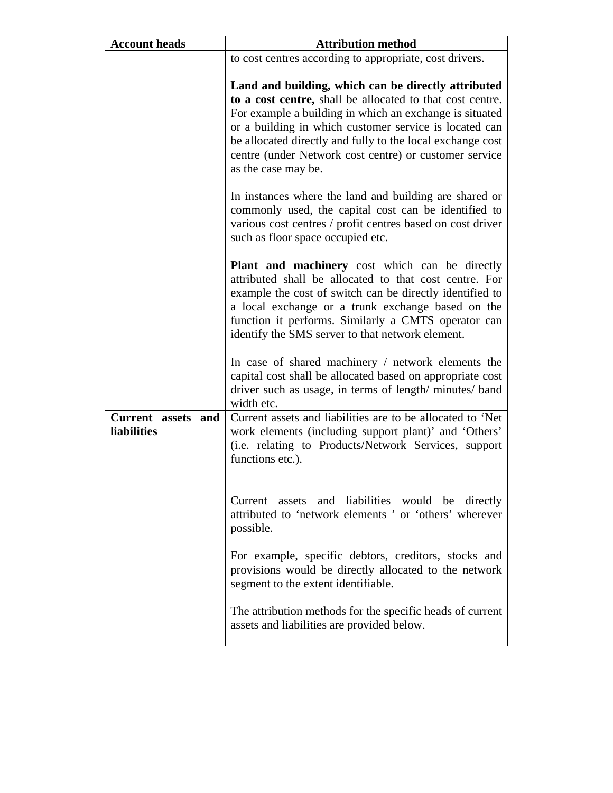| <b>Account heads</b>              | <b>Attribution method</b>                                                                                                                                                                                                                                                                                                                                                            |  |  |
|-----------------------------------|--------------------------------------------------------------------------------------------------------------------------------------------------------------------------------------------------------------------------------------------------------------------------------------------------------------------------------------------------------------------------------------|--|--|
|                                   | to cost centres according to appropriate, cost drivers.                                                                                                                                                                                                                                                                                                                              |  |  |
|                                   | Land and building, which can be directly attributed<br>to a cost centre, shall be allocated to that cost centre.<br>For example a building in which an exchange is situated<br>or a building in which customer service is located can<br>be allocated directly and fully to the local exchange cost<br>centre (under Network cost centre) or customer service<br>as the case may be. |  |  |
|                                   | In instances where the land and building are shared or<br>commonly used, the capital cost can be identified to<br>various cost centres / profit centres based on cost driver<br>such as floor space occupied etc.                                                                                                                                                                    |  |  |
|                                   | <b>Plant and machinery</b> cost which can be directly<br>attributed shall be allocated to that cost centre. For<br>example the cost of switch can be directly identified to<br>a local exchange or a trunk exchange based on the<br>function it performs. Similarly a CMTS operator can<br>identify the SMS server to that network element.                                          |  |  |
|                                   | In case of shared machinery / network elements the<br>capital cost shall be allocated based on appropriate cost<br>driver such as usage, in terms of length/minutes/band<br>width etc.                                                                                                                                                                                               |  |  |
| Current assets and<br>liabilities | Current assets and liabilities are to be allocated to 'Net<br>work elements (including support plant)' and 'Others'<br>(i.e. relating to Products/Network Services, support<br>functions etc.).                                                                                                                                                                                      |  |  |
|                                   | Current assets and liabilities would be directly<br>attributed to 'network elements' or 'others' wherever<br>possible.                                                                                                                                                                                                                                                               |  |  |
|                                   | For example, specific debtors, creditors, stocks and<br>provisions would be directly allocated to the network<br>segment to the extent identifiable.                                                                                                                                                                                                                                 |  |  |
|                                   | The attribution methods for the specific heads of current<br>assets and liabilities are provided below.                                                                                                                                                                                                                                                                              |  |  |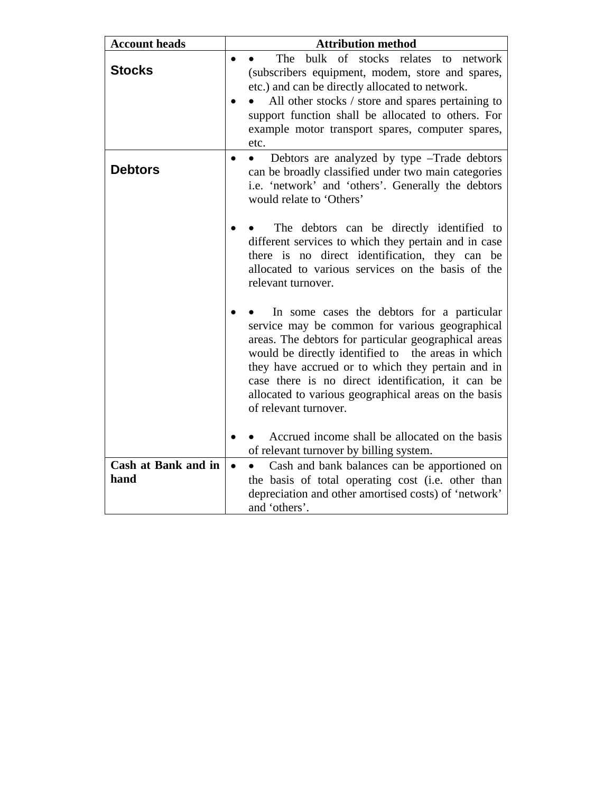| <b>Account heads</b>        | <b>Attribution method</b>                                                                                                                                                                                                                                                                                                                                                                             |  |  |
|-----------------------------|-------------------------------------------------------------------------------------------------------------------------------------------------------------------------------------------------------------------------------------------------------------------------------------------------------------------------------------------------------------------------------------------------------|--|--|
| <b>Stocks</b>               | bulk of stocks relates<br>The<br>to network<br>$\bullet$<br>(subscribers equipment, modem, store and spares,<br>etc.) and can be directly allocated to network.<br>All other stocks / store and spares pertaining to<br>support function shall be allocated to others. For<br>example motor transport spares, computer spares,<br>etc.                                                                |  |  |
| <b>Debtors</b>              | Debtors are analyzed by type -Trade debtors<br>$\bullet$<br>$\bullet$<br>can be broadly classified under two main categories<br>i.e. 'network' and 'others'. Generally the debtors<br>would relate to 'Others'                                                                                                                                                                                        |  |  |
|                             | The debtors can be directly identified to<br>different services to which they pertain and in case<br>there is no direct identification, they can be<br>allocated to various services on the basis of the<br>relevant turnover.                                                                                                                                                                        |  |  |
|                             | In some cases the debtors for a particular<br>service may be common for various geographical<br>areas. The debtors for particular geographical areas<br>would be directly identified to the areas in which<br>they have accrued or to which they pertain and in<br>case there is no direct identification, it can be<br>allocated to various geographical areas on the basis<br>of relevant turnover. |  |  |
|                             | Accrued income shall be allocated on the basis<br>of relevant turnover by billing system.                                                                                                                                                                                                                                                                                                             |  |  |
| Cash at Bank and in<br>hand | Cash and bank balances can be apportioned on<br>$\bullet$<br>the basis of total operating cost (i.e. other than<br>depreciation and other amortised costs) of 'network'<br>and 'others'.                                                                                                                                                                                                              |  |  |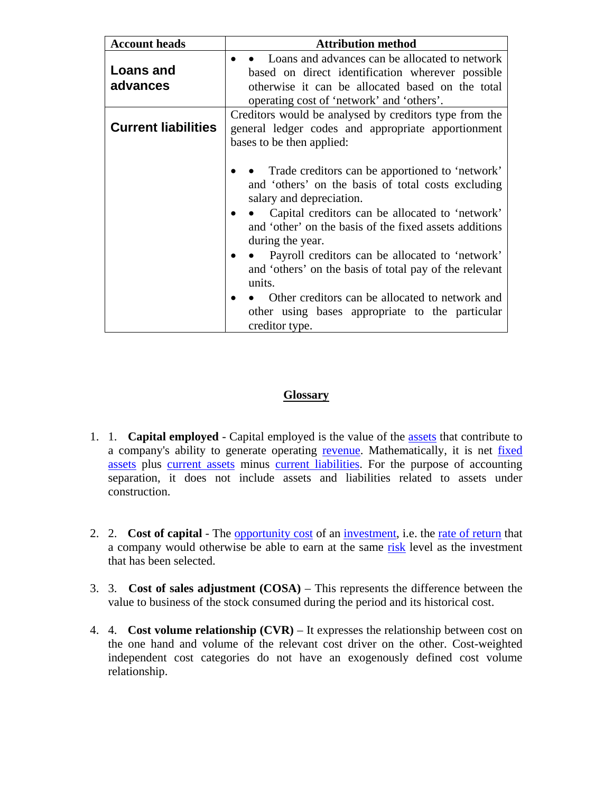| <b>Account heads</b>       | <b>Attribution method</b>                                                                                                                                                                                                                                                                                                                                                                                                                                                                                           |  |  |
|----------------------------|---------------------------------------------------------------------------------------------------------------------------------------------------------------------------------------------------------------------------------------------------------------------------------------------------------------------------------------------------------------------------------------------------------------------------------------------------------------------------------------------------------------------|--|--|
| Loans and<br>advances      | Loans and advances can be allocated to network<br>based on direct identification wherever possible<br>otherwise it can be allocated based on the total<br>operating cost of 'network' and 'others'.                                                                                                                                                                                                                                                                                                                 |  |  |
| <b>Current liabilities</b> | Creditors would be analysed by creditors type from the<br>general ledger codes and appropriate apportionment<br>bases to be then applied:                                                                                                                                                                                                                                                                                                                                                                           |  |  |
|                            | Trade creditors can be apportioned to 'network'<br>and 'others' on the basis of total costs excluding<br>salary and depreciation.<br>• Capital creditors can be allocated to 'network'<br>and 'other' on the basis of the fixed assets additions<br>during the year.<br>Payroll creditors can be allocated to 'network'<br>and 'others' on the basis of total pay of the relevant<br>units.<br>Other creditors can be allocated to network and<br>other using bases appropriate to the particular<br>creditor type. |  |  |

#### **Glossary**

- 1. 1. **Capital employed** Capital employed is the value of the assets that contribute to a company's ability to generate operating revenue. Mathematically, it is net fixed assets plus current assets minus current liabilities. For the purpose of accounting separation, it does not include assets and liabilities related to assets under construction.
- 2. 2. **Cost of capital** The opportunity cost of an investment, i.e. the rate of return that a company would otherwise be able to earn at the same risk level as the investment that has been selected.
- 3. 3. **Cost of sales adjustment (COSA)** This represents the difference between the value to business of the stock consumed during the period and its historical cost.
- 4. 4. **Cost volume relationship (CVR)** It expresses the relationship between cost on the one hand and volume of the relevant cost driver on the other. Cost-weighted independent cost categories do not have an exogenously defined cost volume relationship.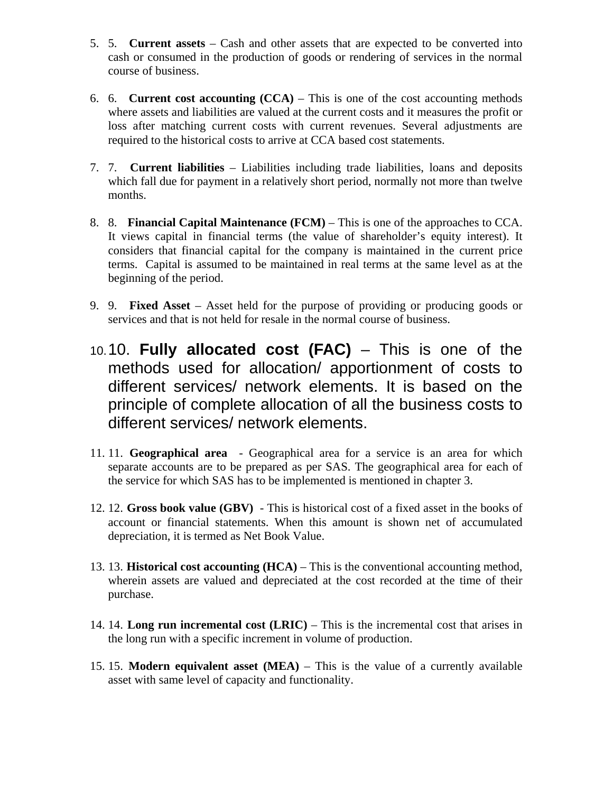- 5. 5. **Current assets** Cash and other assets that are expected to be converted into cash or consumed in the production of goods or rendering of services in the normal course of business.
- 6. 6. **Current cost accounting (CCA)** This is one of the cost accounting methods where assets and liabilities are valued at the current costs and it measures the profit or loss after matching current costs with current revenues. Several adjustments are required to the historical costs to arrive at CCA based cost statements.
- 7. 7. **Current liabilities** Liabilities including trade liabilities, loans and deposits which fall due for payment in a relatively short period, normally not more than twelve months.
- 8. 8. **Financial Capital Maintenance (FCM)** This is one of the approaches to CCA. It views capital in financial terms (the value of shareholder's equity interest). It considers that financial capital for the company is maintained in the current price terms. Capital is assumed to be maintained in real terms at the same level as at the beginning of the period.
- 9. 9. **Fixed Asset**  Asset held for the purpose of providing or producing goods or services and that is not held for resale in the normal course of business.
- 10. 10. **Fully allocated cost (FAC)** This is one of the methods used for allocation/ apportionment of costs to different services/ network elements. It is based on the principle of complete allocation of all the business costs to different services/ network elements.
- 11. 11. **Geographical area**  Geographical area for a service is an area for which separate accounts are to be prepared as per SAS. The geographical area for each of the service for which SAS has to be implemented is mentioned in chapter 3.
- 12. 12. **Gross book value (GBV)** This is historical cost of a fixed asset in the books of account or financial statements. When this amount is shown net of accumulated depreciation, it is termed as Net Book Value.
- 13. 13. **Historical cost accounting (HCA)** This is the conventional accounting method, wherein assets are valued and depreciated at the cost recorded at the time of their purchase.
- 14. 14. **Long run incremental cost (LRIC)**  This is the incremental cost that arises in the long run with a specific increment in volume of production.
- 15. 15. **Modern equivalent asset (MEA)**  This is the value of a currently available asset with same level of capacity and functionality.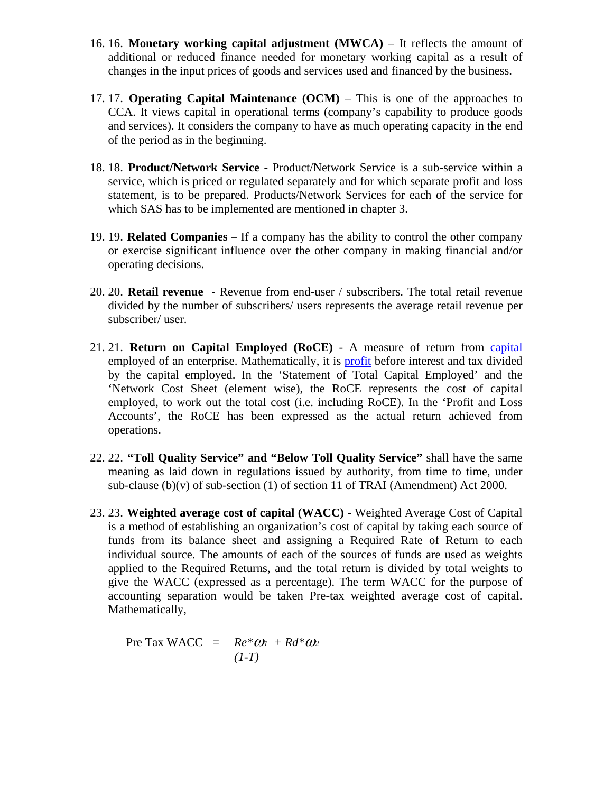- 16. 16. **Monetary working capital adjustment (MWCA)** It reflects the amount of additional or reduced finance needed for monetary working capital as a result of changes in the input prices of goods and services used and financed by the business.
- 17. 17. **Operating Capital Maintenance (OCM)** This is one of the approaches to CCA. It views capital in operational terms (company's capability to produce goods and services). It considers the company to have as much operating capacity in the end of the period as in the beginning.
- 18. 18. **Product/Network Service** Product/Network Service is a sub-service within a service, which is priced or regulated separately and for which separate profit and loss statement, is to be prepared. Products/Network Services for each of the service for which SAS has to be implemented are mentioned in chapter 3.
- 19. 19. **Related Companies** If a company has the ability to control the other company or exercise significant influence over the other company in making financial and/or operating decisions.
- 20. 20. **Retail revenue** Revenue from end-user / subscribers. The total retail revenue divided by the number of subscribers/ users represents the average retail revenue per subscriber/ user.
- 21. 21. **Return on Capital Employed (RoCE)** A measure of return from capital employed of an enterprise. Mathematically, it is profit before interest and tax divided by the capital employed. In the 'Statement of Total Capital Employed' and the 'Network Cost Sheet (element wise), the RoCE represents the cost of capital employed, to work out the total cost (i.e. including RoCE). In the 'Profit and Loss Accounts', the RoCE has been expressed as the actual return achieved from operations.
- 22. 22. **"Toll Quality Service" and "Below Toll Quality Service"** shall have the same meaning as laid down in regulations issued by authority, from time to time, under sub-clause (b)(v) of sub-section (1) of section 11 of TRAI (Amendment) Act 2000.
- 23. 23. **Weighted average cost of capital (WACC)** Weighted Average Cost of Capital is a method of establishing an organization's cost of capital by taking each source of funds from its balance sheet and assigning a Required Rate of Return to each individual source. The amounts of each of the sources of funds are used as weights applied to the Required Returns, and the total return is divided by total weights to give the WACC (expressed as a percentage). The term WACC for the purpose of accounting separation would be taken Pre-tax weighted average cost of capital. Mathematically,

Pre Tax WACC =  $\mathbf{Re}^*\omega_l$  +  $\mathbf{R}d^*\omega_2$  $(I-T)$